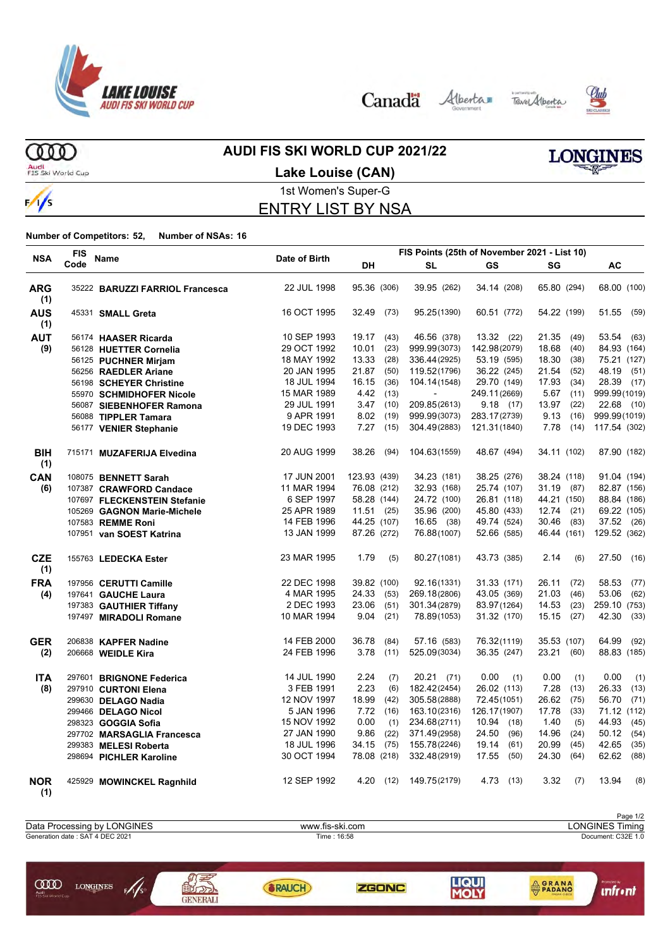

Canada Alberta Tave Alberta



**ORANA** 

**unfr** • nt



ത്ത Audi<br>FIS Ski World Cup

**COD** LONGINES

 $\sqrt{s}$ 

# **AUDI FIS SKI WORLD CUP 2021/22**

**LONGINES** 

### **Lake Louise (CAN)**



1st Women's Super-G ENTRY LIST BY NSA

### **Number of Competitors: 52, Number of NSAs: 16**

|                   | <b>FIS</b> |                                 |               |              |      |                          | FIS Points (25th of November 2021 - List 10) |               |               |
|-------------------|------------|---------------------------------|---------------|--------------|------|--------------------------|----------------------------------------------|---------------|---------------|
| <b>NSA</b>        | Code       | Name                            | Date of Birth | DH           |      | <b>SL</b>                | <b>GS</b>                                    | SG            | AC            |
| <b>ARG</b><br>(1) |            | 35222 BARUZZI FARRIOL Francesca | 22 JUL 1998   | 95.36 (306)  |      | 39.95 (262)              | 34.14 (208)                                  | 65.80 (294)   | 68.00 (100)   |
| <b>AUS</b><br>(1) |            | 45331 SMALL Greta               | 16 OCT 1995   | 32.49        | (73) | 95.25(1390)              | 60.51 (772)                                  | 54.22 (199)   | 51.55<br>(59) |
| <b>AUT</b>        |            | 56174 HAASER Ricarda            | 10 SEP 1993   | 19.17        | (43) | 46.56 (378)              | 13.32(22)                                    | 21.35<br>(49) | 53.54 (63)    |
| (9)               |            | 56128 HUETTER Cornelia          | 29 OCT 1992   | 10.01        | (23) | 999.99(3073)             | 142.98(2079)                                 | 18.68<br>(40) | 84.93 (164)   |
|                   |            | 56125 PUCHNER Mirjam            | 18 MAY 1992   | 13.33        | (28) | 336.44(2925)             | 53.19 (595)                                  | 18.30<br>(38) | 75.21 (127)   |
|                   |            | 56256 RAEDLER Ariane            | 20 JAN 1995   | 21.87        | (50) | 119.52(1796)             | 36.22 (245)                                  | 21.54<br>(52) | 48.19<br>(51) |
|                   |            | 56198 SCHEYER Christine         | 18 JUL 1994   | 16.15        | (36) | 104.14(1548)             | 29.70 (149)                                  | 17.93<br>(34) | 28.39 (17)    |
|                   |            | 55970 SCHMIDHOFER Nicole        | 15 MAR 1989   | 4.42 (13)    |      | $\overline{\phantom{a}}$ | 249.11(2669)                                 | 5.67<br>(11)  | 999.99(1019)  |
|                   |            | 56087 SIEBENHOFER Ramona        | 29 JUL 1991   | 3.47         | (10) | 209.85(2613)             | 9.18(17)                                     | 13.97<br>(22) | 22.68 (10)    |
|                   |            | 56088 TIPPLER Tamara            | 9 APR 1991    | 8.02         | (19) | 999.99(3073)             | 283.17(2739)                                 | 9.13(16)      | 999.99(1019)  |
|                   |            | 56177 VENIER Stephanie          | 19 DEC 1993   | 7.27         | (15) | 304.49(2883)             | 121.31(1840)                                 | 7.78<br>(14)  | 117.54 (302)  |
| <b>BIH</b><br>(1) |            | 715171 MUZAFERIJA Elvedina      | 20 AUG 1999   | 38.26        | (94) | 104.63(1559)             | 48.67 (494)                                  | 34.11 (102)   | 87.90 (182)   |
| CAN               |            | 108075 BENNETT Sarah            | 17 JUN 2001   | 123.93 (439) |      | 34.23 (181)              | 38.25 (276)                                  | 38.24 (118)   | 91.04 (194)   |
| (6)               |            | 107387 CRAWFORD Candace         | 11 MAR 1994   | 76.08 (212)  |      | 32.93 (168)              | 25.74 (107)                                  | 31.19 (87)    | 82.87 (156)   |
|                   |            | 107697 FLECKENSTEIN Stefanie    | 6 SEP 1997    | 58.28 (144)  |      | 24.72 (100)              | 26.81 (118)                                  | 44.21 (150)   | 88.84 (186)   |
|                   |            | 105269 GAGNON Marie-Michele     | 25 APR 1989   | 11.51(25)    |      | 35.96 (200)              | 45.80 (433)                                  | $12.74$ (21)  | 69.22 (105)   |
|                   |            | 107583 REMME Roni               | 14 FEB 1996   | 44.25 (107)  |      | 16.65 (38)               | 49.74 (524)                                  | 30.46<br>(83) | 37.52 (26)    |
|                   |            | 107951 van SOEST Katrina        | 13 JAN 1999   | 87.26 (272)  |      | 76.88(1007)              | 52.66 (585)                                  | 46.44 (161)   | 129.52 (362)  |
| <b>CZE</b><br>(1) |            | 155763 LEDECKA Ester            | 23 MAR 1995   | 1.79         | (5)  | 80.27(1081)              | 43.73 (385)                                  | 2.14<br>(6)   | 27.50 (16)    |
| <b>FRA</b>        |            | 197956 CERUTTI Camille          | 22 DEC 1998   | 39.82 (100)  |      | 92.16(1331)              | 31.33 (171)                                  | 26.11<br>(72) | 58.53<br>(77) |
| (4)               |            | 197641 GAUCHE Laura             | 4 MAR 1995    | 24.33        | (53) | 269.18(2806)             | 43.05 (369)                                  | 21.03<br>(46) | 53.06<br>(62) |
|                   |            | 197383 GAUTHIER Tiffany         | 2 DEC 1993    | 23.06        | (51) | 301.34(2879)             | 83.97(1264)                                  | 14.53<br>(23) | 259.10 (753)  |
|                   |            | 197497 MIRADOLI Romane          | 10 MAR 1994   | 9.04         | (21) | 78.89(1053)              | 31.32 (170)                                  | 15.15<br>(27) | 42.30<br>(33) |
| <b>GER</b>        |            | 206838 KAPFER Nadine            | 14 FEB 2000   | 36.78        | (84) | 57.16 (583)              | 76.32(1119)                                  | 35.53 (107)   | 64.99<br>(92) |
| (2)               |            | 206668 WEIDLE Kira              | 24 FEB 1996   | 3.78         | (11) | 525.09(3034)             | 36.35 (247)                                  | 23.21<br>(60) | 88.83 (185)   |
| <b>ITA</b>        |            | 297601 BRIGNONE Federica        | 14 JUL 1990   | 2.24         | (7)  | $20.21$ (71)             | 0.00<br>(1)                                  | 0.00<br>(1)   | 0.00<br>(1)   |
| (8)               |            | 297910 CURTONI Elena            | 3 FEB 1991    | 2.23         | (6)  | 182.42(2454)             | 26.02 (113)                                  | 7.28<br>(13)  | 26.33<br>(13) |
|                   |            | 299630 DELAGO Nadia             | 12 NOV 1997   | 18.99        | (42) | 305.58(2888)             | 72.45(1051)                                  | 26.62<br>(75) | 56.70<br>(71) |
|                   |            | 299466 DELAGO Nicol             | 5 JAN 1996    | 7.72(16)     |      | 163.10(2316)             | 126.17(1907)                                 | 17.78<br>(33) | 71.12 (112)   |
|                   |            | 298323 GOGGIA Sofia             | 15 NOV 1992   | 0.00         | (1)  | 234.68(2711)             | 10.94 (18)                                   | 1.40<br>(5)   | 44.93<br>(45) |
|                   |            | 297702 MARSAGLIA Francesca      | 27 JAN 1990   | 9.86         | (22) | 371.49(2958)             | 24.50<br>(96)                                | 14.96<br>(24) | 50.12<br>(54) |
|                   |            | 299383 MELESI Roberta           | 18 JUL 1996   | 34.15        | (75) | 155.78(2246)             | 19.14<br>(61)                                | 20.99<br>(45) | 42.65<br>(35) |
|                   |            | 298694 PICHLER Karoline         | 30 OCT 1994   | 78.08 (218)  |      | 332.48(2919)             | 17.55<br>(50)                                | 24.30<br>(64) | 62.62<br>(88) |
| <b>NOR</b><br>(1) |            | 425929 MOWINCKEL Ragnhild       | 12 SEP 1992   | 4.20 (12)    |      | 149.75(2179)             | 4.73 (13)                                    | 3.32<br>(7)   | 13.94<br>(8)  |



**ZGONC** 

**SRAUCH**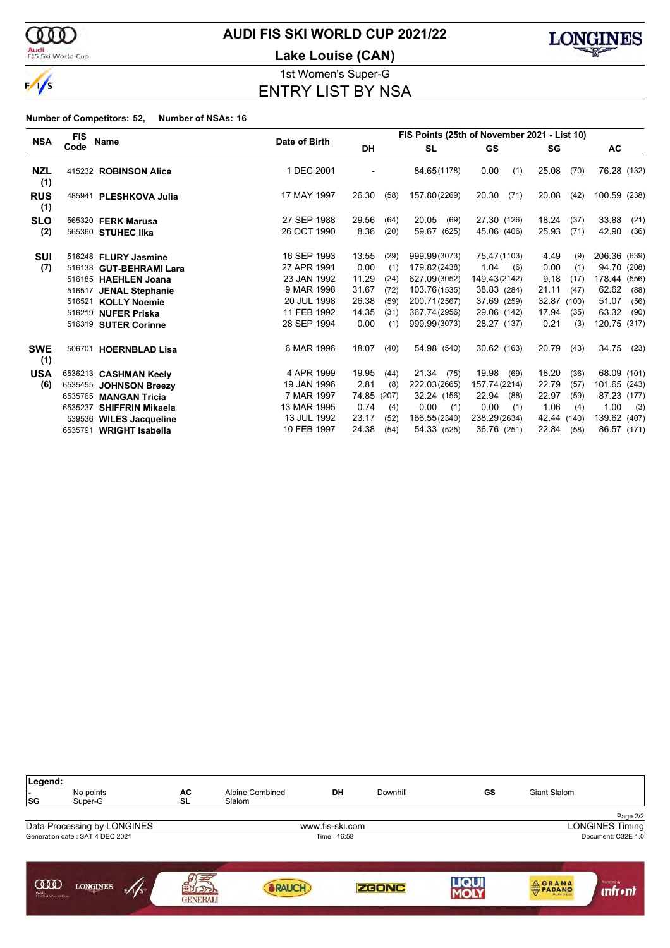

### Audi<br>FIS Ski World Cup

# **AUDI FIS SKI WORLD CUP 2021/22**

**Lake Louise (CAN)**



1st Women's Super-G ENTRY LIST BY NSA

|                   | <b>FIS</b> |                           |               | FIS Points (25th of November 2021 - List 10) |       |               |               |             |      |              |       |
|-------------------|------------|---------------------------|---------------|----------------------------------------------|-------|---------------|---------------|-------------|------|--------------|-------|
| <b>NSA</b>        | Code       | Name                      | Date of Birth | DH                                           |       | <b>SL</b>     | GS            | SG          |      | AC           |       |
| <b>NZL</b><br>(1) |            | 415232 ROBINSON Alice     | 1 DEC 2001    |                                              |       | 84.65(1178)   | 0.00<br>(1)   | 25.08       | (70) | 76.28 (132)  |       |
| <b>RUS</b><br>(1) |            | 485941 PLESHKOVA Julia    | 17 MAY 1997   | 26.30                                        | (58)  | 157.80(2269)  | 20.30<br>(71) | 20.08       | (42) | 100.59 (238) |       |
| <b>SLO</b>        |            | 565320 <b>FERK Marusa</b> | 27 SEP 1988   | 29.56                                        | (64)  | 20.05<br>(69) | 27.30 (126)   | 18.24       | (37) | 33.88        | (21)  |
| (2)               |            | 565360 STUHEC IIka        | 26 OCT 1990   | 8.36                                         | (20)  | 59.67 (625)   | 45.06 (406)   | 25.93       | (71) | 42.90        | (36)  |
| SUI               |            | 516248 FLURY Jasmine      | 16 SEP 1993   | 13.55                                        | (29)  | 999.99(3073)  | 75.47(1103)   | 4.49        | (9)  | 206.36 (639) |       |
| (7)               |            | 516138 GUT-BEHRAMI Lara   | 27 APR 1991   | 0.00                                         | (1)   | 179.82(2438)  | 1.04<br>(6)   | 0.00        | (1)  | 94.70 (208)  |       |
|                   |            | 516185 HAEHLEN Joana      | 23 JAN 1992   | 11.29                                        | (24)  | 627.09(3052)  | 149.43(2142)  | 9.18        | (17) | 178.44       | (556) |
|                   |            | 516517 JENAL Stephanie    | 9 MAR 1998    | 31.67                                        | (72)  | 103.76(1535)  | 38.83 (284)   | 21.11       | (47) | 62.62        | (88)  |
|                   |            | 516521 KOLLY Noemie       | 20 JUL 1998   | 26.38                                        | (59)  | 200.71(2567)  | 37.69 (259)   | 32.87 (100) |      | 51.07        | (56)  |
|                   |            | 516219 NUFER Priska       | 11 FEB 1992   | 14.35                                        | (31)  | 367.74(2956)  | 29.06 (142)   | 17.94       | (35) | 63.32        | (90)  |
|                   |            | 516319 SUTER Corinne      | 28 SEP 1994   | 0.00                                         | (1)   | 999.99(3073)  | 28.27 (137)   | 0.21        | (3)  | 120.75 (317) |       |
| <b>SWE</b><br>(1) |            | 506701 HOERNBLAD Lisa     | 6 MAR 1996    | 18.07                                        | (40)  | 54.98 (540)   | 30.62 (163)   | 20.79       | (43) | 34.75        | (23)  |
| <b>USA</b>        |            | 6536213 CASHMAN Keely     | 4 APR 1999    | 19.95                                        | (44)  | 21.34(75)     | 19.98<br>(69) | 18.20       | (36) | 68.09 (101)  |       |
| (6)               |            | 6535455 JOHNSON Breezy    | 19 JAN 1996   | 2.81                                         | (8)   | 222.03(2665)  | 157.74(2214)  | 22.79       | (57) | 101.65 (243) |       |
|                   |            | 6535765 MANGAN Tricia     | 7 MAR 1997    | 74.85                                        | (207) | 32.24 (156)   | 22.94<br>(88) | 22.97       | (59) | 87.23 (177)  |       |
|                   | 6535237    | <b>SHIFFRIN Mikaela</b>   | 13 MAR 1995   | 0.74                                         | (4)   | 0.00<br>(1)   | 0.00<br>(1)   | 1.06        | (4)  | 1.00         | (3)   |
|                   |            | 539536 WILES Jacqueline   | 13 JUL 1992   | 23.17                                        | (52)  | 166.55(2340)  | 238.29(2634)  | 42.44 (140) |      | 139.62 (407) |       |
|                   |            | 6535791 WRIGHT Isabella   | 10 FEB 1997   | 24.38                                        | (54)  | 54.33 (525)   | 36.76 (251)   | 22.84       | (58) | 86.57 (171)  |       |

| Legend:<br>. .<br> SG          | No points<br>Super-G            | AC<br>SL                     | Alpine Combined<br>Slalom | DH              | Downhill     | GS          | Giant Slalom |                               |
|--------------------------------|---------------------------------|------------------------------|---------------------------|-----------------|--------------|-------------|--------------|-------------------------------|
|                                |                                 |                              |                           |                 |              |             |              | Page 2/2                      |
|                                | Data Processing by LONGINES     |                              |                           | www.fis-ski.com |              |             |              | <b>LONGINES Timing</b>        |
|                                | Generation date: SAT 4 DEC 2021 |                              |                           | Time: 16:58     |              |             |              | Document: C32E 1.0            |
| ഝ<br>Audi<br>FIS Ski World Cup | <b>LONGINES</b><br>F/I/S        | 国<br>AGCT<br><b>GENERALI</b> | <b>RAUCH</b>              |                 | <b>ZGONC</b> | <b>LIQU</b> | <b>ORANA</b> | Promoted by<br><i>unfront</i> |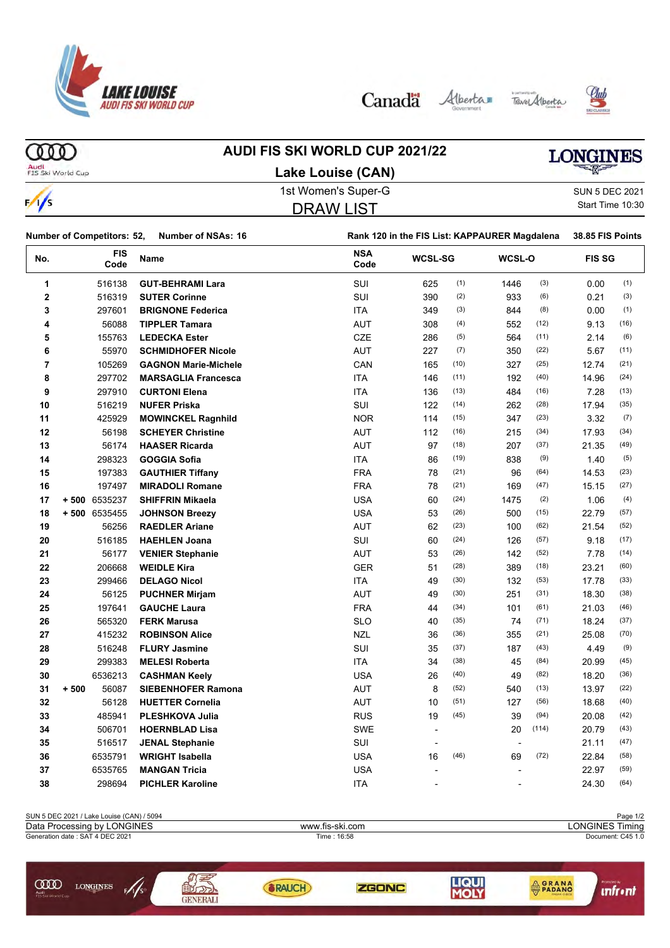

Canada Alberta TaverAlberta





**COO** 

### **AUDI FIS SKI WORLD CUP 2021/22 Lake Louise (CAN)**

# **LONGINES**

Audi<br>FIS Ski World Cup

 $\frac{1}{\sqrt{2}}$ 

| <b>LANG LUUIST (UAIV)</b> |                  |
|---------------------------|------------------|
| 1st Women's Super-G       | SUN 5 DEC 2021   |
| <b>DRAW LIST</b>          | Start Time 10:30 |
|                           |                  |

| SUN 5 DEC 2021   |
|------------------|
| Start Time 10:30 |

| Number of Competitors: 52,<br><b>Number of NSAs: 16</b> |                 | Rank 120 in the FIS List: KAPPAURER Magdalena |                    |                |      |                          |       | 38.85 FIS Points |      |
|---------------------------------------------------------|-----------------|-----------------------------------------------|--------------------|----------------|------|--------------------------|-------|------------------|------|
| FIS<br>No.<br>Code                                      |                 | Name                                          | <b>NSA</b><br>Code | <b>WCSL-SG</b> |      | WCSL-O                   |       | <b>FIS SG</b>    |      |
| 1                                                       | 516138          | <b>GUT-BEHRAMI Lara</b>                       | SUI                | 625            | (1)  | 1446                     | (3)   | 0.00             | (1)  |
| $\bf 2$                                                 | 516319          | <b>SUTER Corinne</b>                          | SUI                | 390            | (2)  | 933                      | (6)   | 0.21             | (3)  |
| 3                                                       | 297601          | <b>BRIGNONE Federica</b>                      | <b>ITA</b>         | 349            | (3)  | 844                      | (8)   | 0.00             | (1)  |
| 4                                                       | 56088           | <b>TIPPLER Tamara</b>                         | <b>AUT</b>         | 308            | (4)  | 552                      | (12)  | 9.13             | (16) |
| 5                                                       | 155763          | <b>LEDECKA Ester</b>                          | <b>CZE</b>         | 286            | (5)  | 564                      | (11)  | 2.14             | (6)  |
| 6                                                       | 55970           | <b>SCHMIDHOFER Nicole</b>                     | <b>AUT</b>         | 227            | (7)  | 350                      | (22)  | 5.67             | (11) |
| 7                                                       | 105269          | <b>GAGNON Marie-Michele</b>                   | CAN                | 165            | (10) | 327                      | (25)  | 12.74            | (21) |
| 8                                                       | 297702          | <b>MARSAGLIA Francesca</b>                    | <b>ITA</b>         | 146            | (11) | 192                      | (40)  | 14.96            | (24) |
| 9                                                       | 297910          | <b>CURTONI Elena</b>                          | <b>ITA</b>         | 136            | (13) | 484                      | (16)  | 7.28             | (13) |
| 10                                                      | 516219          | <b>NUFER Priska</b>                           | SUI                | 122            | (14) | 262                      | (28)  | 17.94            | (35) |
| 11                                                      | 425929          | <b>MOWINCKEL Ragnhild</b>                     | <b>NOR</b>         | 114            | (15) | 347                      | (23)  | 3.32             | (7)  |
| 12                                                      | 56198           | <b>SCHEYER Christine</b>                      | AUT                | 112            | (16) | 215                      | (34)  | 17.93            | (34) |
| 13                                                      | 56174           | <b>HAASER Ricarda</b>                         | <b>AUT</b>         | 97             | (18) | 207                      | (37)  | 21.35            | (49) |
| 14                                                      | 298323          | <b>GOGGIA Sofia</b>                           | <b>ITA</b>         | 86             | (19) | 838                      | (9)   | 1.40             | (5)  |
| 15                                                      | 197383          | <b>GAUTHIER Tiffany</b>                       | <b>FRA</b>         | 78             | (21) | 96                       | (64)  | 14.53            | (23) |
| 16                                                      | 197497          | <b>MIRADOLI Romane</b>                        | <b>FRA</b>         | 78             | (21) | 169                      | (47)  | 15.15            | (27) |
| 17                                                      | +500 6535237    | <b>SHIFFRIN Mikaela</b>                       | <b>USA</b>         | 60             | (24) | 1475                     | (2)   | 1.06             | (4)  |
| 18                                                      | +500 6535455    | <b>JOHNSON Breezy</b>                         | <b>USA</b>         | 53             | (26) | 500                      | (15)  | 22.79            | (57) |
| 19                                                      | 56256           | <b>RAEDLER Ariane</b>                         | <b>AUT</b>         | 62             | (23) | 100                      | (62)  | 21.54            | (52) |
| 20                                                      | 516185          | <b>HAEHLEN Joana</b>                          | SUI                | 60             | (24) | 126                      | (57)  | 9.18             | (17) |
| 21                                                      | 56177           | <b>VENIER Stephanie</b>                       | <b>AUT</b>         | 53             | (26) | 142                      | (52)  | 7.78             | (14) |
| 22                                                      | 206668          | <b>WEIDLE Kira</b>                            | <b>GER</b>         | 51             | (28) | 389                      | (18)  | 23.21            | (60) |
| 23                                                      | 299466          | <b>DELAGO Nicol</b>                           | <b>ITA</b>         | 49             | (30) | 132                      | (53)  | 17.78            | (33) |
| 24                                                      | 56125           | <b>PUCHNER Mirjam</b>                         | <b>AUT</b>         | 49             | (30) | 251                      | (31)  | 18.30            | (38) |
| 25                                                      | 197641          | <b>GAUCHE Laura</b>                           | <b>FRA</b>         | 44             | (34) | 101                      | (61)  | 21.03            | (46) |
| 26                                                      | 565320          | <b>FERK Marusa</b>                            | <b>SLO</b>         | 40             | (35) | 74                       | (71)  | 18.24            | (37) |
| 27                                                      | 415232          | <b>ROBINSON Alice</b>                         | <b>NZL</b>         | 36             | (36) | 355                      | (21)  | 25.08            | (70) |
| 28                                                      | 516248          | <b>FLURY Jasmine</b>                          | SUI                | 35             | (37) | 187                      | (43)  | 4.49             | (9)  |
| 29                                                      | 299383          | <b>MELESI Roberta</b>                         | <b>ITA</b>         | 34             | (38) | 45                       | (84)  | 20.99            | (45) |
| 30                                                      | 6536213         | <b>CASHMAN Keely</b>                          | <b>USA</b>         | 26             | (40) | 49                       | (82)  | 18.20            | (36) |
| 31                                                      | $+500$<br>56087 | <b>SIEBENHOFER Ramona</b>                     | <b>AUT</b>         | 8              | (52) | 540                      | (13)  | 13.97            | (22) |
| 32                                                      | 56128           | <b>HUETTER Cornelia</b>                       | <b>AUT</b>         | 10             | (51) | 127                      | (56)  | 18.68            | (40) |
| 33                                                      | 485941          | <b>PLESHKOVA Julia</b>                        | <b>RUS</b>         | 19             | (45) | 39                       | (94)  | 20.08            | (42) |
| 34                                                      | 506701          | <b>HOERNBLAD Lisa</b>                         | <b>SWE</b>         | $\overline{a}$ |      | 20                       | (114) | 20.79            | (43) |
| 35                                                      | 516517          | <b>JENAL Stephanie</b>                        | SUI                | $\blacksquare$ |      | $\overline{\phantom{a}}$ |       | 21.11            | (47) |
| 36                                                      | 6535791         | <b>WRIGHT Isabella</b>                        | <b>USA</b>         | 16             | (46) | 69                       | (72)  | 22.84            | (58) |
| 37                                                      | 6535765         | <b>MANGAN Tricia</b>                          | <b>USA</b>         |                |      |                          |       | 22.97            | (59) |
| 38                                                      | 298694          | <b>PICHLER Karoline</b>                       | <b>ITA</b>         |                |      |                          |       | 24.30            | (64) |
|                                                         |                 |                                               |                    |                |      |                          |       |                  |      |

| SUN 5 DEC 2021 / Lake Louise (CAN) / 5094                   |                 |                 |              |            |                        | Page 1/2          |  |  |
|-------------------------------------------------------------|-----------------|-----------------|--------------|------------|------------------------|-------------------|--|--|
| Data Processing by LONGINES                                 |                 | www.fis-ski.com |              |            | <b>LONGINES Timing</b> |                   |  |  |
| Generation date: SAT 4 DEC 2021                             |                 |                 | Time: 16:58  |            |                        | Document: C45 1.0 |  |  |
| <b>CODO</b><br><b>LONGINES</b><br>Audi<br>FIS Ski World Cup | <b>GENERALI</b> | <b>RAUCH</b>    | <b>ZGONC</b> | <b>HOL</b> | PADANO                 | <u>Intrinia</u>   |  |  |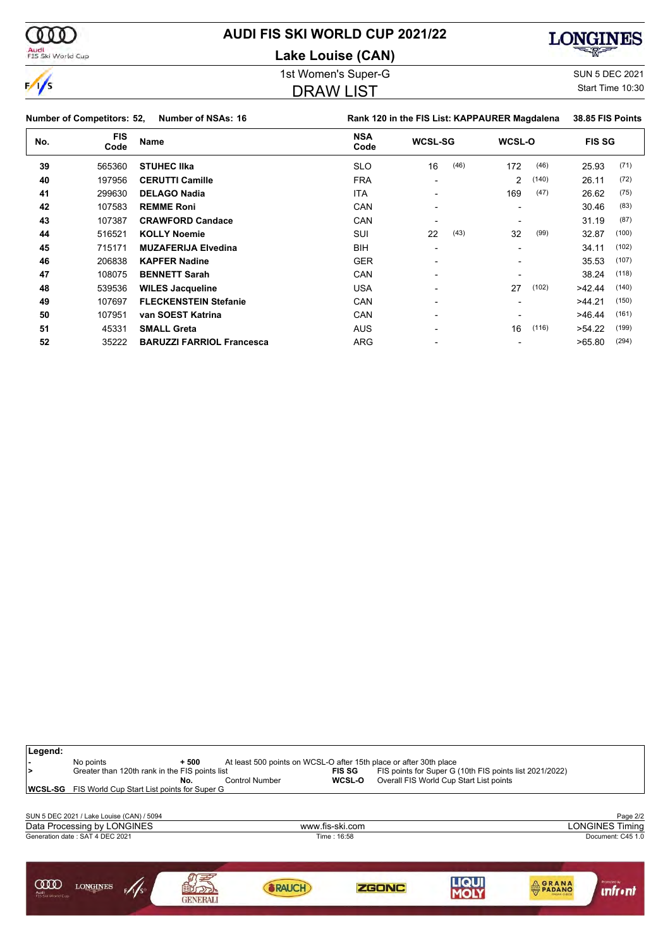

**Lake Louise (CAN)**



 $\frac{1}{2}$ 

00 Q

Audi<br>FIS Ski World Cup

# 1st Women's Super-G Super-G SUN 5 DEC 2021

### DRAW LIST

Start Time 10:30

| $\sim$ |                                   |                                  | <u>UIVAII LIVI</u>                            |                  |             |       |               |       |
|--------|-----------------------------------|----------------------------------|-----------------------------------------------|------------------|-------------|-------|---------------|-------|
|        | <b>Number of Competitors: 52,</b> | Number of NSAs: 16               | Rank 120 in the FIS List: KAPPAURER Magdalena | 38.85 FIS Points |             |       |               |       |
| No.    | <b>FIS</b><br>Code                | Name                             | <b>NSA</b><br>Code                            | <b>WCSL-SG</b>   | WCSL-O      |       | <b>FIS SG</b> |       |
| 39     | 565360                            | <b>STUHEC IIka</b>               | <b>SLO</b>                                    | 16               | (46)<br>172 | (46)  | 25.93         | (71)  |
| 40     | 197956                            | <b>CERUTTI Camille</b>           | <b>FRA</b>                                    |                  | 2           | (140) | 26.11         | (72)  |
| 41     | 299630                            | <b>DELAGO Nadia</b>              | <b>ITA</b>                                    |                  | 169         | (47)  | 26.62         | (75)  |
| 42     | 107583                            | <b>REMME Roni</b>                | CAN                                           |                  |             |       | 30.46         | (83)  |
| 43     | 107387                            | <b>CRAWFORD Candace</b>          | CAN                                           |                  |             |       | 31.19         | (87)  |
| 44     | 516521                            | <b>KOLLY Noemie</b>              | SUI                                           | 22               | (43)<br>32  | (99)  | 32.87         | (100) |
| 45     | 715171                            | <b>MUZAFERIJA Elvedina</b>       | <b>BIH</b>                                    | $\blacksquare$   |             |       | 34.11         | (102) |
| 46     | 206838                            | <b>KAPFER Nadine</b>             | <b>GER</b>                                    | -                |             |       | 35.53         | (107) |
| 47     | 108075                            | <b>BENNETT Sarah</b>             | CAN                                           | $\blacksquare$   |             |       | 38.24         | (118) |
| 48     | 539536                            | <b>WILES Jacqueline</b>          | <b>USA</b>                                    |                  | 27          | (102) | >42.44        | (140) |
| 49     | 107697                            | <b>FLECKENSTEIN Stefanie</b>     | CAN                                           | -                |             |       | >44.21        | (150) |
| 50     | 107951                            | van SOEST Katrina                | CAN                                           | -                |             |       | >46.44        | (161) |
| 51     | 45331                             | <b>SMALL Greta</b>               | <b>AUS</b>                                    | -                | 16          | (116) | >54.22        | (199) |
| 52     | 35222                             | <b>BARUZZI FARRIOL Francesca</b> | <b>ARG</b>                                    |                  |             |       | >65.80        | (294) |

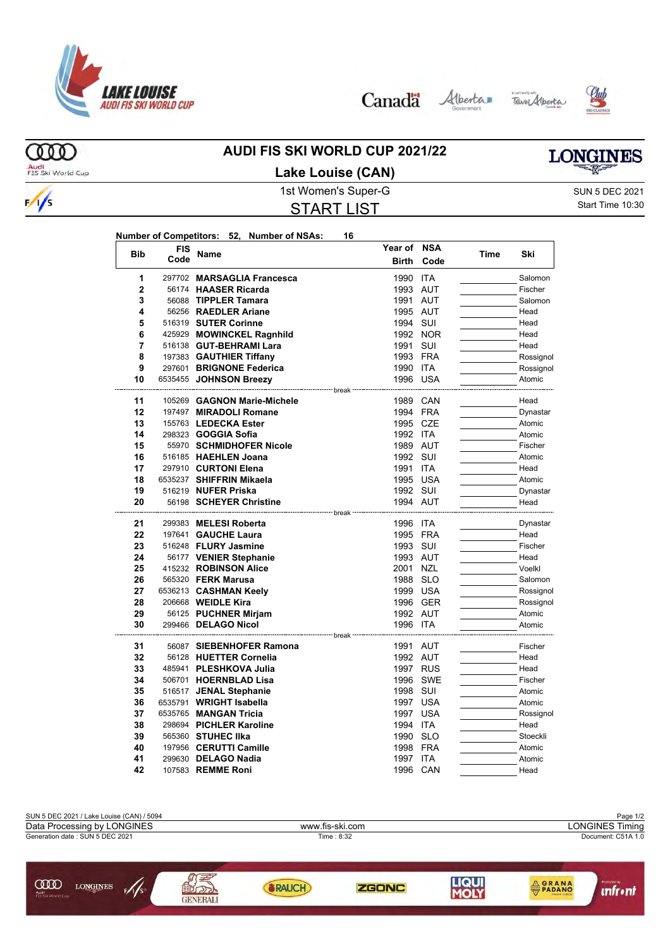

Canada Alberta Tave Alberta





**LONGINES** 

ത്ത Audi<br>FIS Ski World Cup

 $\frac{1}{s}$ 

### **AUDI FIS SKI WORLD CUP 2021/22 Lake Louise (CAN)**

1st Women's Super-G Super-G SUN 5 DEC 2021

# START LIST

Start Time 10:30

| Number of Competitors: 52, Number of NSAs: 16 |  |  |
|-----------------------------------------------|--|--|
| FIS                                           |  |  |

|                | <b>FIS</b> |                                             | Year of NSA          |            |      |                  |
|----------------|------------|---------------------------------------------|----------------------|------------|------|------------------|
| <b>Bib</b>     | Code       | Name                                        | Birth                | Code       | Time | Ski              |
| 1              |            | 297702 MARSAGLIA Francesca                  | 1990                 | <b>ITA</b> |      | Salomon          |
| $\overline{2}$ |            | 56174 HAASER Ricarda                        | 1993 AUT             |            |      | Fischer          |
| 3              |            | 56088 TIPPLER Tamara                        | 1991 AUT             |            |      | Salomon          |
| 4              |            | 56256 RAEDLER Ariane                        | 1995 AUT             |            |      | Head             |
| 5              |            | 516319 SUTER Corinne                        | 1994 SUI             |            |      | Head             |
| 6              |            | 425929 MOWINCKEL Ragnhild                   |                      | 1992 NOR   |      | Head             |
| 7              |            | 516138 GUT-BEHRAMI Lara                     | 1991 SUI             |            |      | Head             |
| 8              |            | 197383 GAUTHIER Tiffany                     | 1993 FRA             |            |      | Rossignol        |
| 9              |            | 297601 BRIGNONE Federica                    | 1990 ITA             |            |      | Rossignol        |
| 10             |            | 6535455 JOHNSON Breezy                      |                      | 1996 USA   |      | Atomic           |
| 11             |            | 105269 GAGNON Marie-Michele                 | ------- break        | 1989 CAN   |      | Head             |
| 12             |            | 197497 MIRADOLI Romane                      | 1994 FRA             |            |      | Dynastar         |
| 13             |            | 155763 LEDECKA Ester                        | 1995 CZE             |            |      | Atomic           |
| 14             |            | 298323 <b>GOGGIA Sofia</b>                  | 1992 ITA             |            |      | Atomic           |
| 15             |            | 55970 SCHMIDHOFER Nicole                    | 1989 AUT             |            |      | Fischer          |
| 16             |            | 516185 HAEHLEN Joana                        | 1992 SUI             |            |      | Atomic           |
| 17             |            | 297910 CURTONI Elena                        | 1991 ITA             |            |      | Head             |
| 18             |            | 6535237 SHIFFRIN Mikaela                    |                      | 1995 USA   |      | Atomic           |
| 19             |            | 516219 NUFER Priska                         | 1992 SUI             |            |      | Dynastar         |
| 20             |            | 56198 SCHEYER Christine                     | 1994 AUT             |            |      | Head             |
|                |            |                                             |                      |            |      |                  |
| 21             |            | 299383 MELESI Roberta                       | 1996 ITA             |            |      | Dynastar         |
| 22             |            | 197641 GAUCHE Laura                         | 1995 FRA             |            |      | Head             |
| 23             |            | 516248 FLURY Jasmine                        | 1993 SUI             |            |      | Fischer          |
| 24             |            | 56177 VENIER Stephanie                      | 1993 AUT             |            |      | Head             |
| 25             |            | 415232 ROBINSON Alice                       | 2001 NZL             |            |      | Voelkl           |
| 26             |            | 565320 FERK Marusa                          | 1988 SLO             |            |      | Salomon          |
| 27             |            | 6536213 CASHMAN Keely                       |                      | 1999 USA   |      | Rossignol        |
| 28<br>29       |            | 206668 WEIDLE Kira                          |                      | 1996 GER   |      | Rossignol        |
| 30             |            | 56125 PUCHNER Mirjam<br>299466 DELAGO Nicol | 1992 AUT<br>1996 ITA |            |      | Atomic<br>Atomic |
|                |            |                                             | --- break            |            |      |                  |
| 31             |            | 56087 SIEBENHOFER Ramona                    | 1991 AUT             |            |      | Fischer          |
| 32             |            | 56128 HUETTER Cornelia                      | 1992 AUT             |            |      | Head             |
| 33             |            | 485941 PLESHKOVA Julia                      |                      | 1997 RUS   |      | Head             |
| 34             |            | 506701 HOERNBLAD Lisa                       |                      | 1996 SWE   |      | Fischer          |
| 35             |            | 516517 JENAL Stephanie                      | 1998 SUI             |            |      | Atomic           |
| 36             |            | 6535791 WRIGHT Isabella                     |                      | 1997 USA   |      | Atomic           |
| 37             |            | 6535765 MANGAN Tricia                       |                      | 1997 USA   |      | Rossignol        |
| 38             |            | 298694 PICHLER Karoline                     | 1994 ITA             |            |      | Head             |
| 39             |            | 565360 STUHEC IIka                          | 1990 SLO             |            |      | Stoeckli         |
| 40             |            | 197956 CERUTTI Camille                      | 1998 FRA             |            |      | Atomic           |
| 41             |            | 299630 DELAGO Nadia                         | 1997 ITA             |            |      | Atomic           |
| 42             |            | 107583 <b>REMME Roni</b>                    | 1996                 | CAN        |      | Head             |

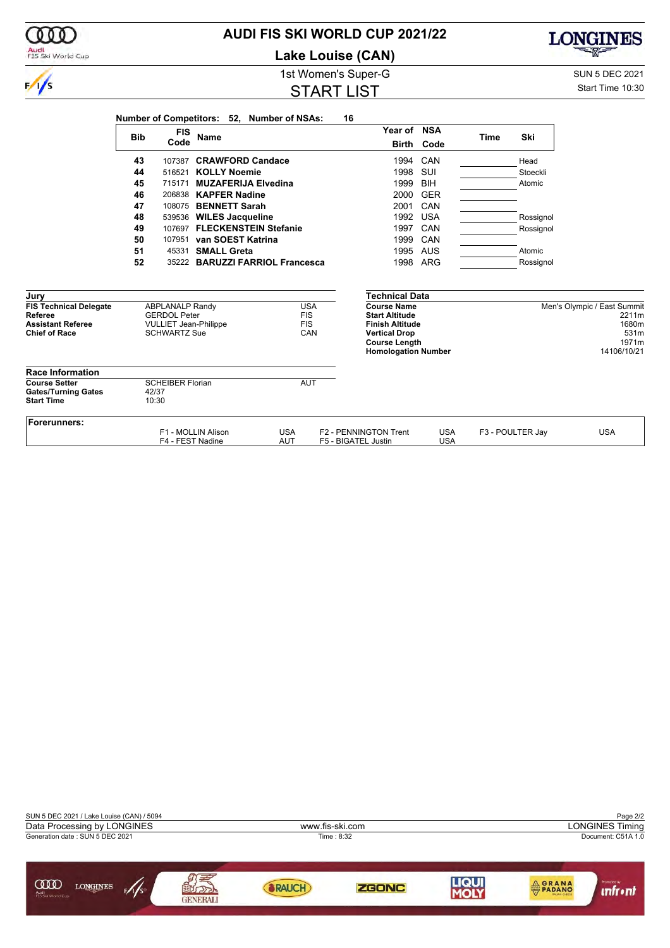| Audi<br>FIS Ski World Cup                        |            |                                                     |                          |                                            | <b>Lake Louise (CAN)</b> |                                              |            |             |                  | <b>CONTROLL</b>             |
|--------------------------------------------------|------------|-----------------------------------------------------|--------------------------|--------------------------------------------|--------------------------|----------------------------------------------|------------|-------------|------------------|-----------------------------|
|                                                  |            |                                                     |                          |                                            | 1st Women's Super-G      |                                              |            |             |                  | <b>SUN 5 DEC 2021</b>       |
| $\frac{1}{s}$                                    |            | Start Time 10:30                                    |                          |                                            |                          |                                              |            |             |                  |                             |
|                                                  |            |                                                     |                          | Number of Competitors: 52, Number of NSAs: | 16                       |                                              |            |             |                  |                             |
|                                                  | <b>Bib</b> | <b>FIS</b>                                          | <b>Name</b>              |                                            |                          | Year of NSA                                  |            | <b>Time</b> | Ski              |                             |
|                                                  |            | Code                                                |                          |                                            |                          | <b>Birth</b>                                 | Code       |             |                  |                             |
|                                                  | 43         |                                                     | 107387 CRAWFORD Candace  |                                            |                          | 1994                                         | CAN        |             | Head             |                             |
|                                                  | 44         |                                                     | 516521 KOLLY Noemie      |                                            |                          | 1998 SUI                                     |            |             | Stoeckli         |                             |
|                                                  | 45         |                                                     |                          | 715171 MUZAFERIJA Elvedina                 |                          | 1999                                         | <b>BIH</b> |             | Atomic           |                             |
|                                                  | 46         |                                                     | 206838 KAPFER Nadine     |                                            |                          | 2000                                         | <b>GER</b> |             |                  |                             |
|                                                  | 47         |                                                     | 108075 BENNETT Sarah     |                                            |                          | 2001                                         | CAN        |             |                  |                             |
|                                                  | 48         |                                                     | 539536 WILES Jacqueline  |                                            |                          | 1992                                         | <b>USA</b> |             | Rossignol        |                             |
|                                                  | 49         |                                                     |                          | 107697 FLECKENSTEIN Stefanie               |                          | 1997                                         | CAN        |             | Rossignol        |                             |
|                                                  | 50         |                                                     | 107951 van SOEST Katrina |                                            |                          | 1999                                         | CAN        |             |                  |                             |
|                                                  | 51         | 45331                                               | <b>SMALL Greta</b>       |                                            |                          |                                              | 1995 AUS   |             | Atomic           |                             |
|                                                  | 52         |                                                     |                          | 35222 BARUZZI FARRIOL Francesca            |                          |                                              | 1998 ARG   |             | Rossignol        |                             |
| Jury                                             |            |                                                     |                          |                                            |                          | <b>Technical Data</b>                        |            |             |                  |                             |
| <b>FIS Technical Delegate</b>                    |            | <b>ABPLANALP Randy</b>                              |                          | <b>USA</b>                                 |                          | <b>Course Name</b>                           |            |             |                  | Men's Olympic / East Summit |
| Referee                                          |            | <b>GERDOL Peter</b>                                 |                          | <b>FIS</b>                                 |                          | <b>Start Altitude</b>                        |            |             |                  | 2211m                       |
| <b>Assistant Referee</b><br><b>Chief of Race</b> |            | <b>VULLIET Jean-Philippe</b><br><b>SCHWARTZ Sue</b> |                          | <b>FIS</b><br>CAN                          |                          | <b>Finish Altitude</b>                       |            |             |                  | 1680m<br>531m               |
|                                                  |            |                                                     |                          |                                            |                          | <b>Vertical Drop</b><br><b>Course Length</b> |            |             |                  | 1971m                       |
|                                                  |            |                                                     |                          |                                            |                          | <b>Homologation Number</b>                   |            |             |                  | 14106/10/21                 |
| <b>Race Information</b>                          |            |                                                     |                          |                                            |                          |                                              |            |             |                  |                             |
| <b>Course Setter</b>                             |            | <b>SCHEIBER Florian</b>                             |                          | <b>AUT</b>                                 |                          |                                              |            |             |                  |                             |
| <b>Gates/Turning Gates</b><br><b>Start Time</b>  |            | 42/37<br>10:30                                      |                          |                                            |                          |                                              |            |             |                  |                             |
|                                                  |            |                                                     |                          |                                            |                          |                                              |            |             |                  |                             |
| <b>Forerunners:</b>                              |            |                                                     | F1 - MOLLIN Alison       | <b>USA</b>                                 |                          | F2 - PENNINGTON Trent                        | <b>USA</b> |             | F3 - POULTER Jay | <b>USA</b>                  |
|                                                  |            | F4 - FEST Nadine                                    |                          | <b>AUT</b>                                 | F5 - BIGATEL Justin      |                                              | <b>USA</b> |             |                  |                             |

**AUDI FIS SKI WORLD CUP 2021/22**

 $0<sub>0</sub>$ 

LONGINES

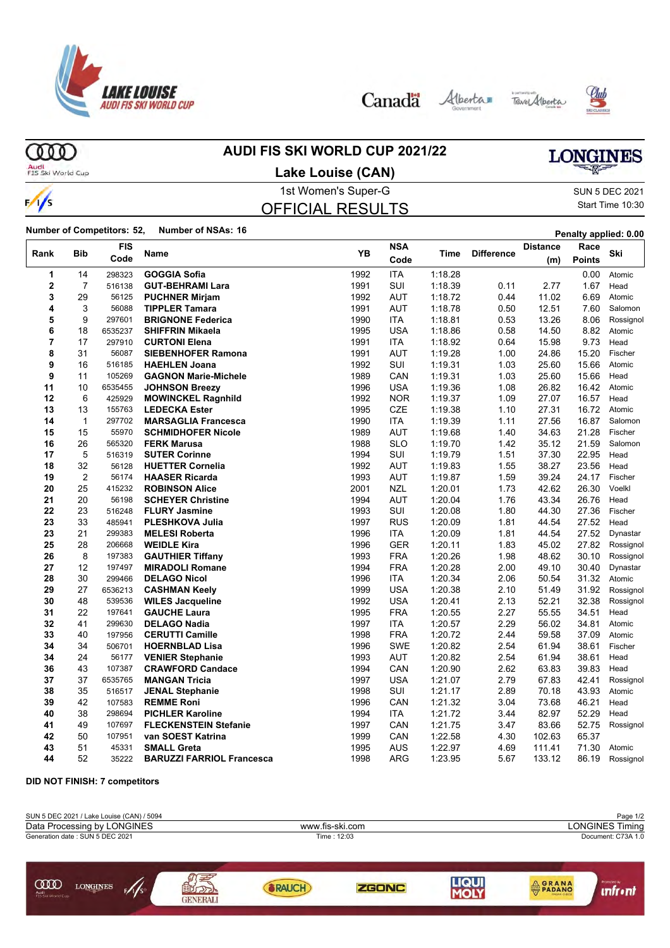

Canada Alberta Tave Alberta





ത്ത

### **AUDI FIS SKI WORLD CUP 2021/22**

# **LONGINES**

Audi<br>FIS Ski World Cup

 $\frac{1}{s}$ 

# 1st Women's Super-G Super-G SUN 5 DEC 2021 **Lake Louise (CAN)**

# OFFICIAL RESULTS

# Start Time 10:30

**Number of Competitors: 52, Number of NSAs: 16 Penalty applied: 0.00** 

|             |                | <b>FIS</b> |                                  |      | <b>NSA</b> |         |                   | <b>Distance</b> | Race          |           |
|-------------|----------------|------------|----------------------------------|------|------------|---------|-------------------|-----------------|---------------|-----------|
| Rank        | Bib            | Code       | Name                             | YB   | Code       | Time    | <b>Difference</b> | (m)             | <b>Points</b> | Ski       |
| 1           | 14             | 298323     | <b>GOGGIA Sofia</b>              | 1992 | <b>ITA</b> | 1:18.28 |                   |                 | 0.00          | Atomic    |
| $\mathbf 2$ | $\overline{7}$ | 516138     | <b>GUT-BEHRAMI Lara</b>          | 1991 | SUI        | 1:18.39 | 0.11              | 2.77            | 1.67          | Head      |
| 3           | 29             | 56125      | <b>PUCHNER Mirjam</b>            | 1992 | AUT        | 1:18.72 | 0.44              | 11.02           | 6.69          | Atomic    |
| 4           | 3              | 56088      | <b>TIPPLER Tamara</b>            | 1991 | <b>AUT</b> | 1:18.78 | 0.50              | 12.51           | 7.60          | Salomon   |
| 5           | 9              | 297601     | <b>BRIGNONE Federica</b>         | 1990 | <b>ITA</b> | 1:18.81 | 0.53              | 13.26           | 8.06          | Rossignol |
| 6           | 18             | 6535237    | <b>SHIFFRIN Mikaela</b>          | 1995 | <b>USA</b> | 1:18.86 | 0.58              | 14.50           | 8.82          | Atomic    |
| 7           | 17             | 297910     | <b>CURTONI Elena</b>             | 1991 | <b>ITA</b> | 1:18.92 | 0.64              | 15.98           | 9.73          | Head      |
| 8           | 31             | 56087      | <b>SIEBENHOFER Ramona</b>        | 1991 | <b>AUT</b> | 1:19.28 | 1.00              | 24.86           | 15.20         | Fischer   |
| 9           | 16             | 516185     | <b>HAEHLEN Joana</b>             | 1992 | SUI        | 1:19.31 | 1.03              | 25.60           | 15.66         | Atomic    |
| 9           | 11             | 105269     | <b>GAGNON Marie-Michele</b>      | 1989 | CAN        | 1:19.31 | 1.03              | 25.60           | 15.66         | Head      |
| 11          | 10             | 6535455    | <b>JOHNSON Breezy</b>            | 1996 | USA        | 1:19.36 | 1.08              | 26.82           | 16.42         | Atomic    |
| 12          | 6              | 425929     | <b>MOWINCKEL Ragnhild</b>        | 1992 | <b>NOR</b> | 1:19.37 | 1.09              | 27.07           | 16.57         | Head      |
| 13          | 13             | 155763     | <b>LEDECKA Ester</b>             | 1995 | CZE        | 1:19.38 | 1.10              | 27.31           | 16.72         | Atomic    |
| 14          | $\mathbf{1}$   | 297702     | <b>MARSAGLIA Francesca</b>       | 1990 | <b>ITA</b> | 1:19.39 | 1.11              | 27.56           | 16.87         | Salomon   |
| 15          | 15             | 55970      | <b>SCHMIDHOFER Nicole</b>        | 1989 | AUT        | 1:19.68 | 1.40              | 34.63           | 21.28         | Fischer   |
| 16          | 26             | 565320     | <b>FERK Marusa</b>               | 1988 | <b>SLO</b> | 1:19.70 | 1.42              | 35.12           | 21.59         | Salomon   |
| 17          | 5              | 516319     | <b>SUTER Corinne</b>             | 1994 | SUI        | 1:19.79 | 1.51              | 37.30           | 22.95         | Head      |
| 18          | 32             | 56128      | <b>HUETTER Cornelia</b>          | 1992 | <b>AUT</b> | 1:19.83 | 1.55              | 38.27           | 23.56         | Head      |
| 19          | $\overline{2}$ | 56174      | <b>HAASER Ricarda</b>            | 1993 | <b>AUT</b> | 1:19.87 | 1.59              | 39.24           | 24.17         | Fischer   |
| 20          | 25             | 415232     | <b>ROBINSON Alice</b>            | 2001 | NZL        | 1:20.01 | 1.73              | 42.62           | 26.30         | Voelkl    |
| 21          | 20             | 56198      | <b>SCHEYER Christine</b>         | 1994 | AUT        | 1:20.04 | 1.76              | 43.34           | 26.76         | Head      |
| 22          | 23             | 516248     | <b>FLURY Jasmine</b>             | 1993 | <b>SUI</b> | 1:20.08 | 1.80              | 44.30           | 27.36         | Fischer   |
| 23          | 33             | 485941     | <b>PLESHKOVA Julia</b>           | 1997 | <b>RUS</b> | 1:20.09 | 1.81              | 44.54           | 27.52         | Head      |
| 23          | 21             | 299383     | <b>MELESI Roberta</b>            | 1996 | <b>ITA</b> | 1:20.09 | 1.81              | 44.54           | 27.52         | Dynastar  |
| 25          | 28             | 206668     | <b>WEIDLE Kira</b>               | 1996 | <b>GER</b> | 1:20.11 | 1.83              | 45.02           | 27.82         | Rossignol |
| 26          | 8              | 197383     | <b>GAUTHIER Tiffany</b>          | 1993 | <b>FRA</b> | 1:20.26 | 1.98              | 48.62           | 30.10         | Rossignol |
| 27          | 12             | 197497     | <b>MIRADOLI Romane</b>           | 1994 | <b>FRA</b> | 1:20.28 | 2.00              | 49.10           | 30.40         | Dynastar  |
| 28          | 30             | 299466     | <b>DELAGO Nicol</b>              | 1996 | <b>ITA</b> | 1:20.34 | 2.06              | 50.54           | 31.32         | Atomic    |
| 29          | 27             | 6536213    | <b>CASHMAN Keely</b>             | 1999 | <b>USA</b> | 1:20.38 | 2.10              | 51.49           | 31.92         | Rossignol |
| 30          | 48             | 539536     | <b>WILES Jacqueline</b>          | 1992 | <b>USA</b> | 1:20.41 | 2.13              | 52.21           | 32.38         | Rossignol |
| 31          | 22             | 197641     | <b>GAUCHE Laura</b>              | 1995 | <b>FRA</b> | 1:20.55 | 2.27              | 55.55           | 34.51         | Head      |
| 32          | 41             | 299630     | <b>DELAGO Nadia</b>              | 1997 | <b>ITA</b> | 1:20.57 | 2.29              | 56.02           | 34.81         | Atomic    |
| 33          | 40             | 197956     | <b>CERUTTI Camille</b>           | 1998 | <b>FRA</b> | 1:20.72 | 2.44              | 59.58           | 37.09         | Atomic    |
| 34          | 34             | 506701     | <b>HOERNBLAD Lisa</b>            | 1996 | <b>SWE</b> | 1:20.82 | 2.54              | 61.94           | 38.61         | Fischer   |
| 34          | 24             | 56177      | <b>VENIER Stephanie</b>          | 1993 | <b>AUT</b> | 1:20.82 | 2.54              | 61.94           | 38.61         | Head      |
| 36          | 43             | 107387     | <b>CRAWFORD Candace</b>          | 1994 | CAN        | 1:20.90 | 2.62              | 63.83           | 39.83         | Head      |
| 37          | 37             | 6535765    | <b>MANGAN Tricia</b>             | 1997 | <b>USA</b> | 1:21.07 | 2.79              | 67.83           | 42.41         | Rossignol |
| 38          | 35             | 516517     | <b>JENAL Stephanie</b>           | 1998 | SUI        | 1:21.17 | 2.89              | 70.18           | 43.93         | Atomic    |
| 39          | 42             | 107583     | <b>REMME Roni</b>                | 1996 | CAN        | 1:21.32 | 3.04              | 73.68           | 46.21         | Head      |
| 40          | 38             | 298694     | <b>PICHLER Karoline</b>          | 1994 | ITA        | 1:21.72 | 3.44              | 82.97           | 52.29         | Head      |
| 41          | 49             | 107697     | <b>FLECKENSTEIN Stefanie</b>     | 1997 | CAN        | 1:21.75 | 3.47              | 83.66           | 52.75         | Rossignol |
| 42          | 50             | 107951     | van SOEST Katrina                | 1999 | CAN        | 1:22.58 | 4.30              | 102.63          | 65.37         |           |
| 43          | 51             | 45331      | <b>SMALL Greta</b>               | 1995 | AUS        | 1:22.97 | 4.69              | 111.41          | 71.30         | Atomic    |
| 44          | 52             | 35222      | <b>BARUZZI FARRIOL Francesca</b> | 1998 | <b>ARG</b> | 1:23.95 | 5.67              | 133.12          | 86.19         | Rossignol |

#### **DID NOT FINISH: 7 competitors**

| SUN 5 DEC 2021 / Lake Louise (CAN) / 5094                  |          |                 |                    |                         | Page 1/2               |  |  |
|------------------------------------------------------------|----------|-----------------|--------------------|-------------------------|------------------------|--|--|
| Data Processing by LONGINES                                |          | www.fis-ski.com |                    |                         | <b>LONGINES Timing</b> |  |  |
| Generation date: SUN 5 DEC 2021                            |          | Time: 12:03     | Document: C73A 1.0 |                         |                        |  |  |
| <b>COO</b><br><b>LONGINES</b><br>Audi<br>FIS Ski World Cup | GENERALI | <b>RAICH</b>    | ZGONC              | <b>AGRANA</b><br>PADANO | Promoted by            |  |  |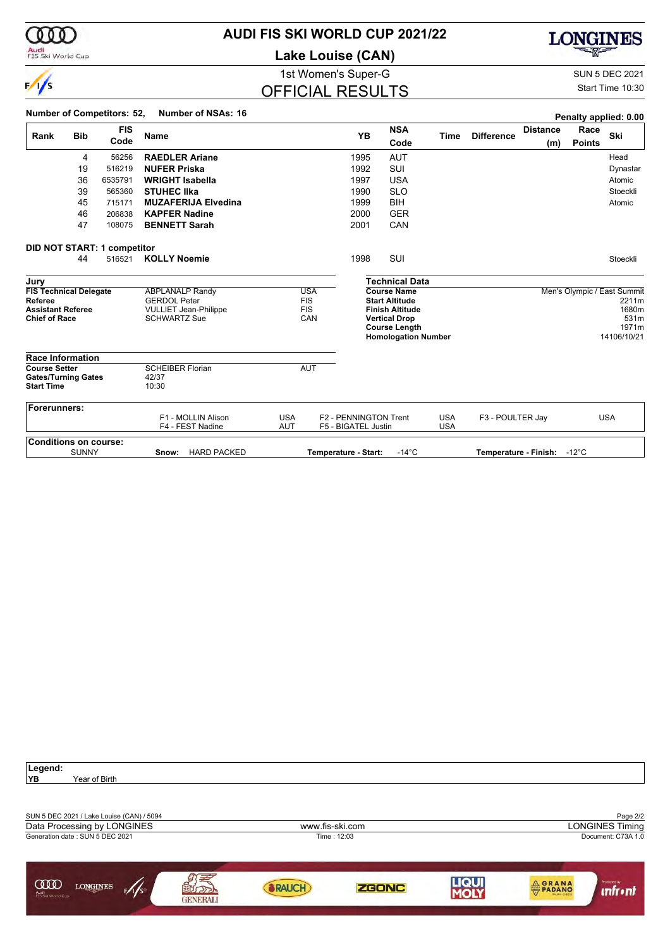

# **AUDI FIS SKI WORLD CUP 2021/22**

**Lake Louise (CAN)**



1st Women's Super-G Super-G SUN 5 DEC 2021

Start Time 10:30

## OFFICIAL RESULTS

|                                                                         |                                                                                   | <b>Number of Competitors: 52,</b>  | <b>Number of NSAs: 16</b>                                                                            |                          |                                               |                                              |                                                                                                                                                     |                          |                   |                        |                       | Penalty applied: 0.00                                                         |
|-------------------------------------------------------------------------|-----------------------------------------------------------------------------------|------------------------------------|------------------------------------------------------------------------------------------------------|--------------------------|-----------------------------------------------|----------------------------------------------|-----------------------------------------------------------------------------------------------------------------------------------------------------|--------------------------|-------------------|------------------------|-----------------------|-------------------------------------------------------------------------------|
| Rank                                                                    | <b>Bib</b>                                                                        | <b>FIS</b><br>Code                 | <b>Name</b>                                                                                          |                          |                                               | <b>YB</b>                                    | <b>NSA</b><br>Code                                                                                                                                  | Time                     | <b>Difference</b> | <b>Distance</b><br>(m) | Race<br><b>Points</b> | Ski                                                                           |
|                                                                         | 4                                                                                 | 56256                              | <b>RAEDLER Ariane</b>                                                                                |                          |                                               | 1995                                         | <b>AUT</b>                                                                                                                                          |                          |                   |                        |                       | Head                                                                          |
|                                                                         | 19                                                                                | 516219                             | <b>NUFER Priska</b>                                                                                  |                          |                                               | 1992                                         | SUI                                                                                                                                                 |                          |                   |                        |                       | Dynastar                                                                      |
|                                                                         | 36                                                                                | 6535791                            | <b>WRIGHT Isabella</b>                                                                               |                          |                                               | 1997                                         | <b>USA</b>                                                                                                                                          |                          |                   |                        |                       | Atomic                                                                        |
|                                                                         | 39                                                                                | 565360                             | <b>STUHEC IIka</b>                                                                                   |                          |                                               | 1990                                         | <b>SLO</b>                                                                                                                                          |                          |                   |                        |                       | Stoeckli                                                                      |
|                                                                         | 45                                                                                | 715171                             | <b>MUZAFERIJA Elvedina</b>                                                                           |                          |                                               | 1999                                         | <b>BIH</b>                                                                                                                                          |                          |                   |                        |                       | Atomic                                                                        |
|                                                                         | 46                                                                                | 206838                             | <b>KAPFER Nadine</b>                                                                                 |                          |                                               | 2000                                         | <b>GER</b>                                                                                                                                          |                          |                   |                        |                       |                                                                               |
|                                                                         | 47                                                                                | 108075                             | <b>BENNETT Sarah</b>                                                                                 |                          |                                               | 2001                                         | CAN                                                                                                                                                 |                          |                   |                        |                       |                                                                               |
|                                                                         |                                                                                   | <b>DID NOT START: 1 competitor</b> |                                                                                                      |                          |                                               |                                              |                                                                                                                                                     |                          |                   |                        |                       |                                                                               |
|                                                                         | 44                                                                                | 516521                             | <b>KOLLY Noemie</b>                                                                                  |                          |                                               | 1998                                         | SUI                                                                                                                                                 |                          |                   |                        |                       | Stoeckli                                                                      |
| Jury                                                                    |                                                                                   |                                    |                                                                                                      |                          |                                               |                                              | <b>Technical Data</b>                                                                                                                               |                          |                   |                        |                       |                                                                               |
| Referee                                                                 | <b>FIS Technical Delegate</b><br><b>Assistant Referee</b><br><b>Chief of Race</b> |                                    | <b>ABPLANALP Randy</b><br><b>GERDOL Peter</b><br><b>VULLIET Jean-Philippe</b><br><b>SCHWARTZ Sue</b> |                          | <b>USA</b><br><b>FIS</b><br><b>FIS</b><br>CAN |                                              | <b>Course Name</b><br><b>Start Altitude</b><br><b>Finish Altitude</b><br><b>Vertical Drop</b><br><b>Course Length</b><br><b>Homologation Number</b> |                          |                   |                        |                       | Men's Olympic / East Summit<br>2211m<br>1680m<br>531m<br>1971m<br>14106/10/21 |
| <b>Race Information</b>                                                 |                                                                                   |                                    |                                                                                                      |                          |                                               |                                              |                                                                                                                                                     |                          |                   |                        |                       |                                                                               |
| <b>Course Setter</b><br><b>Gates/Turning Gates</b><br><b>Start Time</b> |                                                                                   |                                    | <b>SCHEIBER Florian</b><br>42/37<br>10:30                                                            |                          | <b>AUT</b>                                    |                                              |                                                                                                                                                     |                          |                   |                        |                       |                                                                               |
| Forerunners:                                                            |                                                                                   |                                    |                                                                                                      |                          |                                               |                                              |                                                                                                                                                     |                          |                   |                        |                       |                                                                               |
|                                                                         |                                                                                   |                                    | F1 - MOLLIN Alison<br>F4 - FEST Nadine                                                               | <b>USA</b><br><b>AUT</b> |                                               | F2 - PENNINGTON Trent<br>F5 - BIGATEL Justin |                                                                                                                                                     | <b>USA</b><br><b>USA</b> | F3 - POULTER Jay  |                        |                       | <b>USA</b>                                                                    |
| <b>Conditions on course:</b>                                            |                                                                                   |                                    |                                                                                                      |                          |                                               |                                              |                                                                                                                                                     |                          |                   |                        |                       |                                                                               |
|                                                                         | <b>SUNNY</b>                                                                      |                                    | <b>HARD PACKED</b><br>Snow:                                                                          |                          |                                               | Temperature - Start:                         | $-14^{\circ}$ C                                                                                                                                     |                          |                   | Temperature - Finish:  | -12 $^{\circ}$ C      |                                                                               |

| Legend:                                 |                                           |                       |                 |              |                             |              |                                 |
|-----------------------------------------|-------------------------------------------|-----------------------|-----------------|--------------|-----------------------------|--------------|---------------------------------|
| YB)                                     | Year of Birth                             |                       |                 |              |                             |              |                                 |
|                                         |                                           |                       |                 |              |                             |              |                                 |
|                                         | SUN 5 DEC 2021 / Lake Louise (CAN) / 5094 |                       |                 |              |                             |              | Page 2/2                        |
|                                         | Data Processing by LONGINES               |                       | www.fis-ski.com |              |                             |              | <b>LONGINES Timing</b>          |
|                                         | Generation date: SUN 5 DEC 2021           |                       |                 | Time: 12:03  |                             |              | Document: C73A 1.0              |
|                                         |                                           |                       |                 |              |                             |              |                                 |
| <b>COO</b><br>Audi<br>FIS Ski World Cup | <b>LONGINES</b>                           | 22<br><b>GENERALI</b> | RAUCH           | <b>ZGONC</b> | <b>LIQUI</b><br><b>MOLY</b> | <b>CRANA</b> | Promoted by<br><b>unfr</b> • nt |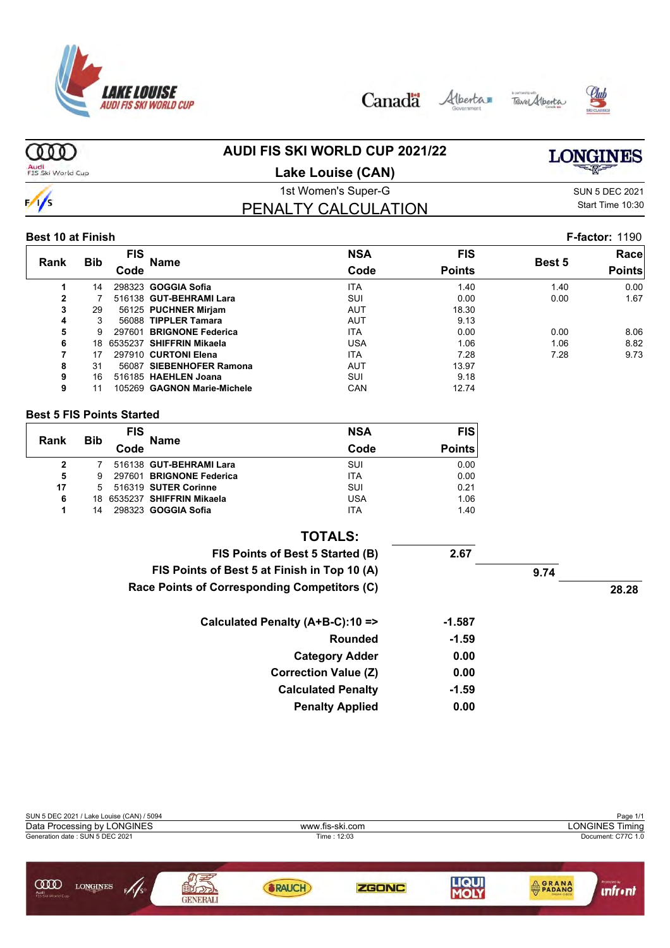





#### ത്ത **AUDI FIS SKI WORLD CUP 2021/22 LONGINES**

Audi<br>FIS Ski World Cup

### **Lake Louise (CAN)**

PENALTY CALCULATION

# $\frac{1}{s}$

### 1st Women's Super-G Super-G SUN 5 DEC 2021 Start Time 10:30

#### **Best 10 at Finish F-factor:** 1190

| <b>Rank</b>    | <b>Bib</b> | <b>FIS</b><br>Code | Name                        | <b>NSA</b><br>Code | <b>FIS</b><br><b>Points</b> | <b>Best 5</b> | Racel<br><b>Points</b> |
|----------------|------------|--------------------|-----------------------------|--------------------|-----------------------------|---------------|------------------------|
|                |            |                    |                             |                    |                             |               |                        |
|                | 14         |                    | 298323 GOGGIA Sofia         | <b>ITA</b>         | 1.40                        | 1.40          | 0.00                   |
| $\overline{2}$ |            |                    | 516138 GUT-BEHRAMI Lara     | SUI                | 0.00                        | 0.00          | 1.67                   |
| 3              | 29         |                    | 56125 PUCHNER Mirjam        | <b>AUT</b>         | 18.30                       |               |                        |
| 4              | 3          |                    | 56088 TIPPLER Tamara        | <b>AUT</b>         | 9.13                        |               |                        |
| 5              | g          |                    | 297601 BRIGNONE Federica    | <b>ITA</b>         | 0.00                        | 0.00          | 8.06                   |
| 6              | 18.        |                    | 6535237 SHIFFRIN Mikaela    | USA                | 1.06                        | 1.06          | 8.82                   |
| 7              | 17         |                    | 297910 CURTONI Elena        | <b>ITA</b>         | 7.28                        | 7.28          | 9.73                   |
| 8              | 31         |                    | 56087 SIEBENHOFER Ramona    | <b>AUT</b>         | 13.97                       |               |                        |
| 9              | 16         |                    | 516185 HAEHLEN Joana        | SUI                | 9.18                        |               |                        |
| 9              |            |                    | 105269 GAGNON Marie-Michele | CAN                | 12.74                       |               |                        |

#### **Best 5 FIS Points Started**

|      | <b>Bib</b> | <b>FIS</b> |                             | <b>NSA</b> | FIS           |
|------|------------|------------|-----------------------------|------------|---------------|
| Rank |            | Code       | <b>Name</b>                 | Code       | <b>Points</b> |
| 2    |            |            | 516138 GUT-BEHRAMI Lara     | SUI        | 0.00          |
| 5    | 9          |            | 297601 BRIGNONE Federica    | <b>ITA</b> | 0.00          |
| 17   | 5          |            | 516319 SUTER Corinne        | SUI        | 0.21          |
| 6    |            |            | 18 6535237 SHIFFRIN Mikaela | <b>USA</b> | 1.06          |
| 1    | 14         |            | 298323 GOGGIA Sofia         | ITA        | 1.40          |

| <b>TOTALS:</b>                               |         |      |       |
|----------------------------------------------|---------|------|-------|
| FIS Points of Best 5 Started (B)             | 2.67    |      |       |
| FIS Points of Best 5 at Finish in Top 10 (A) |         | 9.74 |       |
| Race Points of Corresponding Competitors (C) |         |      | 28.28 |
| Calculated Penalty (A+B-C):10 =>             | -1.587  |      |       |
| Rounded                                      | $-1.59$ |      |       |
| <b>Category Adder</b>                        | 0.00    |      |       |
| <b>Correction Value (Z)</b>                  | 0.00    |      |       |
| <b>Calculated Penalty</b>                    | $-1.59$ |      |       |
| <b>Penalty Applied</b>                       | 0.00    |      |       |

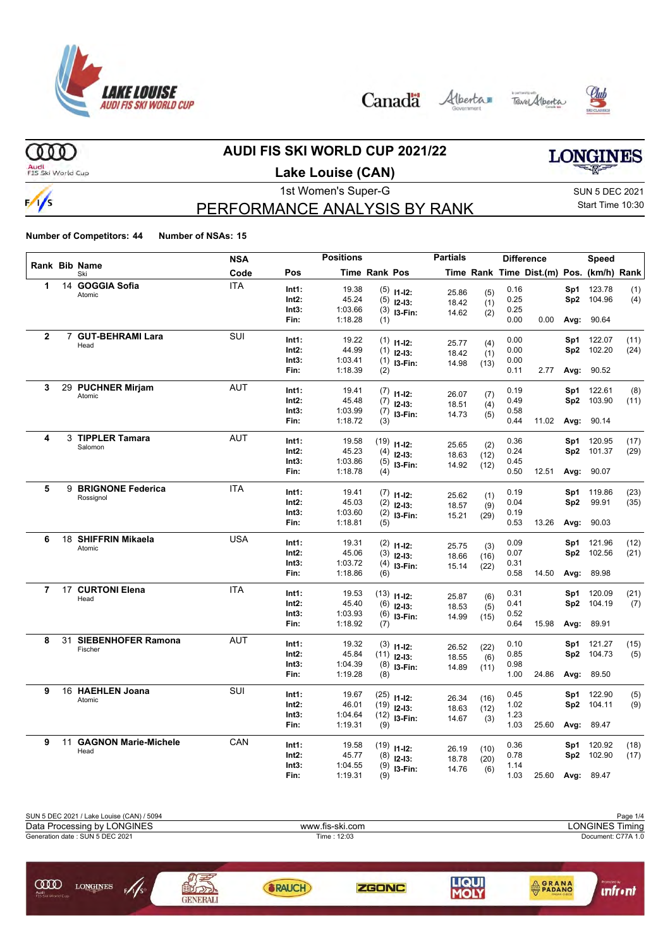

Canada Alberta Tave Alberta





 $000$ 

 $\frac{1}{s}$ 

### **AUDI FIS SKI WORLD CUP 2021/22**

Audi<br>FIS Ski World Cup

## **Lake Louise (CAN)**

1st Women's Super-G Super-G SUN 5 DEC 2021

## PERFORMANCE ANALYSIS BY RANK

Start Time 10:30

|                |    |                             | <b>NSA</b> |                | <b>Positions</b> |                      |                | <b>Partials</b> |      |              | <b>Difference</b>                        |            | Speed            |             |
|----------------|----|-----------------------------|------------|----------------|------------------|----------------------|----------------|-----------------|------|--------------|------------------------------------------|------------|------------------|-------------|
|                |    | Rank Bib Name<br>Ski        | Code       | Pos            |                  | <b>Time Rank Pos</b> |                |                 |      |              | Time Rank Time Dist.(m) Pos. (km/h) Rank |            |                  |             |
| $\mathbf{1}$   |    | 14 GOGGIA Sofia             | <b>ITA</b> | Int1:          | 19.38            |                      | $(5)$ 11-12:   | 25.86           | (5)  | 0.16         |                                          | Sp1        | 123.78           | (1)         |
|                |    | Atomic                      |            | Int2:          | 45.24            |                      | $(5)$ 12-13:   | 18.42           | (1)  | 0.25         |                                          | Sp2        | 104.96           | (4)         |
|                |    |                             |            | Int3:          | 1:03.66          |                      | $(3)$ 13-Fin:  | 14.62           | (2)  | 0.25         |                                          |            |                  |             |
|                |    |                             |            | Fin:           | 1:18.28          | (1)                  |                |                 |      | 0.00         | 0.00                                     | Avg:       | 90.64            |             |
| $\mathbf{2}$   |    | 7 GUT-BEHRAMI Lara          | SUI        | Int1:          | 19.22            |                      | $(1)$ 11-12:   |                 |      | 0.00         |                                          | Sp1        | 122.07           | (11)        |
|                |    | Head                        |            | Int2:          | 44.99            |                      | $(1)$ 12-13:   | 25.77           | (4)  | 0.00         |                                          | Sp2        | 102.20           | (24)        |
|                |    |                             |            | Int3:          | 1:03.41          |                      | $(1)$ 13-Fin:  | 18.42           | (1)  | 0.00         |                                          |            |                  |             |
|                |    |                             |            | Fin:           | 1:18.39          | (2)                  |                | 14.98           | (13) | 0.11         | 2.77                                     | Avg:       | 90.52            |             |
| 3              |    | 29 PUCHNER Mirjam           | <b>AUT</b> | Int1:          | 19.41            |                      |                |                 |      | 0.19         |                                          | Sp1        | 122.61           | (8)         |
|                |    | Atomic                      |            | Int2:          | 45.48            |                      | $(7)$ 11-12:   | 26.07           | (7)  | 0.49         |                                          |            | Sp2 103.90       | (11)        |
|                |    |                             |            | Int3:          | 1:03.99          |                      | $(7)$ 12-13:   | 18.51           | (4)  | 0.58         |                                          |            |                  |             |
|                |    |                             |            | Fin:           | 1:18.72          | (3)                  | $(7)$ 13-Fin:  | 14.73           | (5)  | 0.44         | 11.02                                    |            | Avg: 90.14       |             |
|                |    |                             |            |                |                  |                      |                |                 |      |              |                                          |            |                  |             |
| 4              |    | 3 TIPPLER Tamara<br>Salomon | <b>AUT</b> | Int1:          | 19.58            |                      | $(19)$ 11-12:  | 25.65           | (2)  | 0.36         |                                          |            | Sp1 120.95       | (17)        |
|                |    |                             |            | $Int2$ :       | 45.23            |                      | $(4)$ 12-13:   | 18.63           | (12) | 0.24         |                                          |            | Sp2 101.37       | (29)        |
|                |    |                             |            | Int3:          | 1:03.86          |                      | $(5)$ 13-Fin:  | 14.92           | (12) | 0.45         |                                          |            |                  |             |
|                |    |                             |            | Fin:           | 1:18.78          | (4)                  |                |                 |      | 0.50         | 12.51                                    |            | Avg: 90.07       |             |
| 5              |    | 9 BRIGNONE Federica         | <b>ITA</b> | Int1:          | 19.41            |                      | $(7)$ 11-12:   | 25.62           | (1)  | 0.19         |                                          | Sp1        | 119.86           | (23)        |
|                |    | Rossignol                   |            | Int2:          | 45.03            |                      | $(2)$ 12-13:   | 18.57           | (9)  | 0.04         |                                          | Sp2        | 99.91            | (35)        |
|                |    |                             |            | Int3:          | 1:03.60          |                      | $(2)$ 13-Fin:  | 15.21           | (29) | 0.19         |                                          |            |                  |             |
|                |    |                             |            | Fin:           | 1:18.81          | (5)                  |                |                 |      | 0.53         | 13.26                                    | Avg:       | 90.03            |             |
| 6              |    | 18 SHIFFRIN Mikaela         | <b>USA</b> | Int1:          | 19.31            |                      | $(2)$ 11-12:   |                 |      | 0.09         |                                          | Sp1        | 121.96           | (12)        |
|                |    | Atomic                      |            | $Int2$ :       | 45.06            |                      | $(3)$ 12-13:   | 25.75           | (3)  | 0.07         |                                          | Sp2        | 102.56           | (21)        |
|                |    |                             |            | Int3:          | 1:03.72          |                      | $(4)$ 13-Fin:  | 18.66           | (16) | 0.31         |                                          |            |                  |             |
|                |    |                             |            | Fin:           | 1:18.86          | (6)                  |                | 15.14           | (22) | 0.58         | 14.50                                    | Avg:       | 89.98            |             |
| $\overline{7}$ |    | 17 CURTONI Elena            | <b>ITA</b> | Int1:          | 19.53            |                      |                |                 |      | 0.31         |                                          | Sp1        | 120.09           |             |
|                |    | Head                        |            | $Int2$ :       | 45.40            |                      | $(13)$ 11-12:  | 25.87           | (6)  | 0.41         |                                          | Sp2        | 104.19           | (21)<br>(7) |
|                |    |                             |            | Int3:          | 1:03.93          |                      | $(6)$ 12-13:   | 18.53           | (5)  | 0.52         |                                          |            |                  |             |
|                |    |                             |            | Fin:           | 1:18.92          | (7)                  | $(6)$ 13-Fin:  | 14.99           | (15) | 0.64         | 15.98                                    | Avg:       | 89.91            |             |
| 8              |    | 31 SIEBENHOFER Ramona       | <b>AUT</b> |                |                  |                      |                |                 |      |              |                                          |            |                  |             |
|                |    | Fischer                     |            | Int1:<br>Int2: | 19.32<br>45.84   |                      | $(3)$ 11-12:   | 26.52           | (22) | 0.10<br>0.85 |                                          | Sp1<br>Sp2 | 121.27<br>104.73 | (15)        |
|                |    |                             |            | Int3:          | 1:04.39          |                      | $(11)$ 12-13:  | 18.55           | (6)  | 0.98         |                                          |            |                  | (5)         |
|                |    |                             |            | Fin:           | 1:19.28          | (8)                  | $(8)$ 13-Fin:  | 14.89           | (11) | 1.00         | 24.86                                    | Avg:       | 89.50            |             |
|                |    |                             |            |                |                  |                      |                |                 |      |              |                                          |            |                  |             |
| 9              |    | 16 HAEHLEN Joana<br>Atomic  | <b>SUI</b> | Int1:          | 19.67            |                      | $(25)$ 11-12:  | 26.34           | (16) | 0.45         |                                          | Sp1        | 122.90           | (5)         |
|                |    |                             |            | $Int2$ :       | 46.01            |                      | $(19)$ 12-13:  | 18.63           | (12) | 1.02         |                                          | Sp2        | 104.11           | (9)         |
|                |    |                             |            | Int3:          | 1:04.64          |                      | $(12)$ 13-Fin: | 14.67           | (3)  | 1.23         |                                          |            |                  |             |
|                |    |                             |            | Fin:           | 1:19.31          | (9)                  |                |                 |      | 1.03         | 25.60                                    |            | Avg: 89.47       |             |
| 9              | 11 | <b>GAGNON Marie-Michele</b> | CAN        | Int1:          | 19.58            |                      | $(19)$ 11-12:  | 26.19           | (10) | 0.36         |                                          |            | Sp1 120.92       | (18)        |
|                |    | Head                        |            | Int2:          | 45.77            | (8)                  | $12-13:$       | 18.78           | (20) | 0.78         |                                          |            | Sp2 102.90       | (17)        |
|                |    |                             |            | Int3:          | 1:04.55          |                      | $(9)$ 13-Fin:  | 14.76           | (6)  | 1.14         |                                          |            |                  |             |
|                |    |                             |            | Fin:           | 1:19.31          | (9)                  |                |                 |      | 1.03         | 25.60                                    |            | Avg: 89.47       |             |

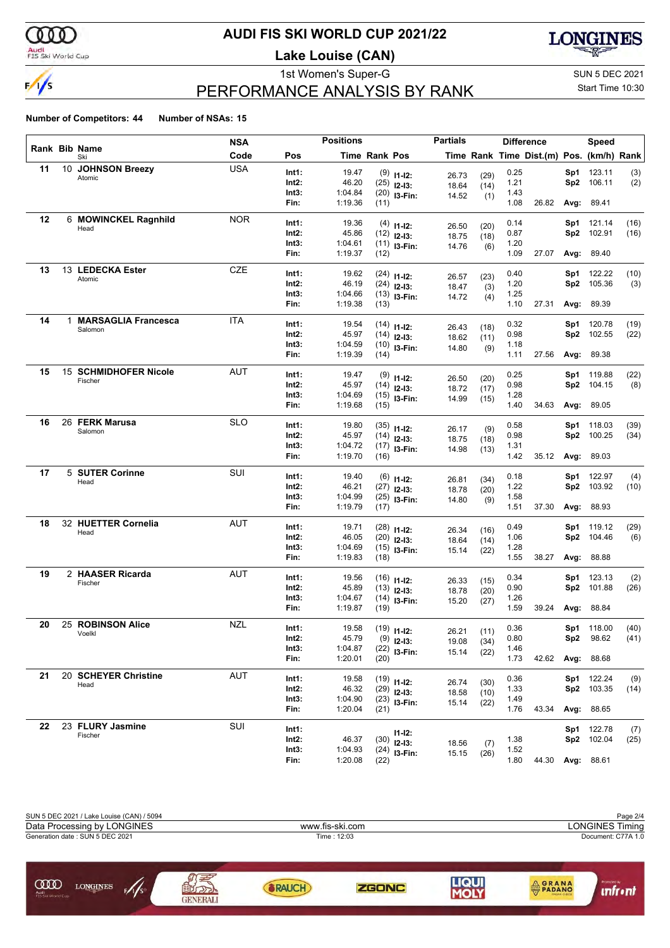

### **AUDI FIS SKI WORLD CUP 2021/22**

**Lake Louise (CAN)**



# PERFORMANCE ANALYSIS BY RANK

1st Women's Super-G Super-G SUN 5 DEC 2021 Start Time 10:30

|    |                                  | <b>NSA</b> |                | <b>Positions</b>   |                      |                               | <b>Partials</b> |              | <b>Difference</b> |                                          |      | Speed             |             |
|----|----------------------------------|------------|----------------|--------------------|----------------------|-------------------------------|-----------------|--------------|-------------------|------------------------------------------|------|-------------------|-------------|
|    | Rank Bib Name<br>Ski             | Code       | Pos            |                    | <b>Time Rank Pos</b> |                               |                 |              |                   | Time Rank Time Dist.(m) Pos. (km/h) Rank |      |                   |             |
| 11 | 10 JOHNSON Breezy                | <b>USA</b> | Int1:          | 19.47              |                      | $(9)$ 11-12:                  |                 |              | 0.25              |                                          | Sp1  | 123.11            | (3)         |
|    | Atomic                           |            | Int2:          | 46.20              |                      | $(25)$ 12-13:                 | 26.73<br>18.64  | (29)<br>(14) | 1.21              |                                          | Sp2  | 106.11            | (2)         |
|    |                                  |            | Int3:          | 1:04.84            |                      | $(20)$ 13-Fin:                | 14.52           | (1)          | 1.43              |                                          |      |                   |             |
|    |                                  |            | Fin:           | 1:19.36            | (11)                 |                               |                 |              | 1.08              | 26.82                                    | Avg: | 89.41             |             |
| 12 | 6 MOWINCKEL Ragnhild             | <b>NOR</b> | Int1:          | 19.36              |                      |                               |                 |              | 0.14              |                                          | Sp1. | 121.14            | (16)        |
|    | Head                             |            | Int2:          | 45.86              |                      | $(4)$ 11-12:<br>$(12)$ 12-13: | 26.50           | (20)         | 0.87              |                                          | Sp2  | 102.91            | (16)        |
|    |                                  |            | Int3:          | 1:04.61            |                      | $(11)$ 13-Fin:                | 18.75           | (18)         | 1.20              |                                          |      |                   |             |
|    |                                  |            | Fin:           | 1:19.37            | (12)                 |                               | 14.76           | (6)          | 1.09              | 27.07                                    |      | Avg: 89.40        |             |
| 13 | 13 LEDECKA Ester                 | <b>CZE</b> | Int1:          | 19.62              |                      |                               |                 |              | 0.40              |                                          | Sp1  | 122.22            |             |
|    | Atomic                           |            | Int2:          | 46.19              |                      | $(24)$ 11-12:                 | 26.57           | (23)         | 1.20              |                                          | Sp2  | 105.36            | (10)<br>(3) |
|    |                                  |            | Int3:          | 1:04.66            |                      | $(24)$ 12-13:                 | 18.47           | (3)          | 1.25              |                                          |      |                   |             |
|    |                                  |            | Fin:           | 1:19.38            | (13)                 | $(13)$ 13-Fin:                | 14.72           | (4)          | 1.10              | 27.31                                    | Avg: | 89.39             |             |
| 14 | 1 MARSAGLIA Francesca            | ITA        |                |                    |                      |                               |                 |              |                   |                                          |      |                   |             |
|    | Salomon                          |            | Int1:          | 19.54              |                      | $(14)$ 11-12:                 | 26.43           | (18)         | 0.32              |                                          | Sp1  | 120.78            | (19)        |
|    |                                  |            | Int2:          | 45.97              |                      | $(14)$ 12-13:                 | 18.62           | (11)         | 0.98              |                                          | Sp2  | 102.55            | (22)        |
|    |                                  |            | Int3:<br>Fin:  | 1:04.59<br>1:19.39 | (14)                 | $(10)$ 13-Fin:                | 14.80           | (9)          | 1.18<br>1.11      | 27.56                                    |      | Avg: 89.38        |             |
|    |                                  |            |                |                    |                      |                               |                 |              |                   |                                          |      |                   |             |
| 15 | 15 SCHMIDHOFER Nicole<br>Fischer | AUT        | Int1:          | 19.47              |                      | $(9)$ 11-12:                  | 26.50           | (20)         | 0.25              |                                          | Sp1  | 119.88            | (22)        |
|    |                                  |            | Int2:          | 45.97              |                      | $(14)$ 12-13:                 | 18.72           | (17)         | 0.98              |                                          |      | Sp2 104.15        | (8)         |
|    |                                  |            | Int3:          | 1:04.69            |                      | $(15)$ 13-Fin:                | 14.99           | (15)         | 1.28              |                                          |      |                   |             |
|    |                                  |            | Fin:           | 1:19.68            | (15)                 |                               |                 |              | 1.40              | 34.63                                    | Avg: | 89.05             |             |
| 16 | 26 FERK Marusa                   | <b>SLO</b> | Int1:          | 19.80              |                      | $(35)$ 11-12:                 |                 |              | 0.58              |                                          | Sp1  | 118.03            | (39)        |
|    | Salomon                          |            | Int2:          | 45.97              |                      | $(14)$ 12-13:                 | 26.17           | (9)          | 0.98              |                                          | Sp2  | 100.25            | (34)        |
|    |                                  |            | Int3:          | 1:04.72            |                      | $(17)$ 13-Fin:                | 18.75<br>14.98  | (18)         | 1.31              |                                          |      |                   |             |
|    |                                  |            | Fin:           | 1:19.70            | (16)                 |                               |                 | (13)         | 1.42              | 35.12                                    |      | Avg: 89.03        |             |
| 17 | 5 SUTER Corinne                  | SUI        | Int1:          | 19.40              |                      |                               |                 |              | 0.18              |                                          | Sp1  | 122.97            |             |
|    | Head                             |            | Int2:          | 46.21              |                      | $(6)$ 11-12:                  | 26.81           | (34)         | 1.22              |                                          | Sp2  | 103.92            | (4)<br>(10) |
|    |                                  |            | Int3:          | 1:04.99            |                      | $(27)$ 12-13:                 | 18.78           | (20)         | 1.58              |                                          |      |                   |             |
|    |                                  |            | Fin:           | 1:19.79            | (17)                 | $(25)$ 13-Fin:                | 14.80           | (9)          | 1.51              | 37.30                                    | Avg: | 88.93             |             |
| 18 | 32 HUETTER Cornelia              | AUT        |                |                    |                      |                               |                 |              |                   |                                          |      |                   |             |
|    | Head                             |            | Int1:<br>Int2: | 19.71<br>46.05     |                      | $(28)$ 11-12:                 | 26.34           | (16)         | 0.49              |                                          | Sp1  | 119.12            | (29)        |
|    |                                  |            | Int3:          | 1:04.69            |                      | $(20)$ 12-13:                 | 18.64           | (14)         | 1.06<br>1.28      |                                          | Sp2  | 104.46            | (6)         |
|    |                                  |            | Fin:           | 1:19.83            | (18)                 | $(15)$ 13-Fin:                | 15.14           | (22)         | 1.55              | 38.27                                    |      | Avg: 88.88        |             |
| 19 | 2 HAASER Ricarda                 | AUT        |                |                    |                      |                               |                 |              |                   |                                          |      |                   |             |
|    | Fischer                          |            | Int1:          | 19.56              |                      | $(16)$ 11-12:                 | 26.33           | (15)         | 0.34              |                                          | Sp1  | 123.13            | (2)         |
|    |                                  |            | Int2:          | 45.89              |                      | $(13)$ 12-13:                 | 18.78           | (20)         | 0.90              |                                          | Sp2  | 101.88            | (26)        |
|    |                                  |            | Int3:<br>Fin:  | 1:04.67<br>1:19.87 | (19)                 | $(14)$ 13-Fin:                | 15.20           | (27)         | 1.26<br>1.59      | 39.24                                    | Avg: | 88.84             |             |
|    |                                  |            |                |                    |                      |                               |                 |              |                   |                                          |      |                   |             |
| 20 | 25 ROBINSON Alice<br>Voelkl      | <b>NZL</b> | Int1:          | 19.58              |                      | $(19)$ 11-12:                 | 26.21           | (11)         | 0.36              |                                          |      | Sp1 118.00        | (40)        |
|    |                                  |            | Int2:          | 45.79              |                      | $(9)$ 12-13:                  | 19.08           | (34)         | 0.80              |                                          | Sp2. | 98.62             | (41)        |
|    |                                  |            | Int3:<br>Fin:  | 1:04.87<br>1:20.01 | (20)                 | $(22)$ 13-Fin:                | 15.14           | (22)         | 1.46<br>1.73      | 42.62                                    |      | Avg: 88.68        |             |
|    |                                  |            |                |                    |                      |                               |                 |              |                   |                                          |      |                   |             |
| 21 | 20 SCHEYER Christine<br>Head     | <b>AUT</b> | Int1:          | 19.58              |                      | $(19)$ 11-12:                 | 26.74           | (30)         | 0.36              |                                          |      | Sp1 122.24        | (9)         |
|    |                                  |            | Int2:          | 46.32              |                      | $(29)$ 12-13:                 | 18.58           | (10)         | 1.33              |                                          |      | Sp2 103.35        | (14)        |
|    |                                  |            | Int3:          | 1:04.90            |                      | $(23)$ 13-Fin:                | 15.14           | (22)         | 1.49              |                                          |      |                   |             |
|    |                                  |            | Fin:           | 1:20.04            | (21)                 |                               |                 |              | 1.76              | 43.34                                    |      | Avg: 88.65        |             |
| 22 | 23 FLURY Jasmine                 | SUI        | Int1:          |                    |                      | $11 - 12$ :                   |                 |              |                   |                                          |      | Sp1 122.78        | (7)         |
|    | Fischer                          |            | Int2:          | 46.37              |                      | $(30)$ 12-13:                 | 18.56           | (7)          | 1.38              |                                          |      | Sp2 102.04        | (25)        |
|    |                                  |            | Int3:          | 1:04.93            |                      | $(24)$ 13-Fin:                | 15.15           | (26)         | 1.52              |                                          |      |                   |             |
|    |                                  |            | Fin:           | 1:20.08            | (22)                 |                               |                 |              | 1.80              | 44.30                                    |      | <b>Avg: 88.61</b> |             |

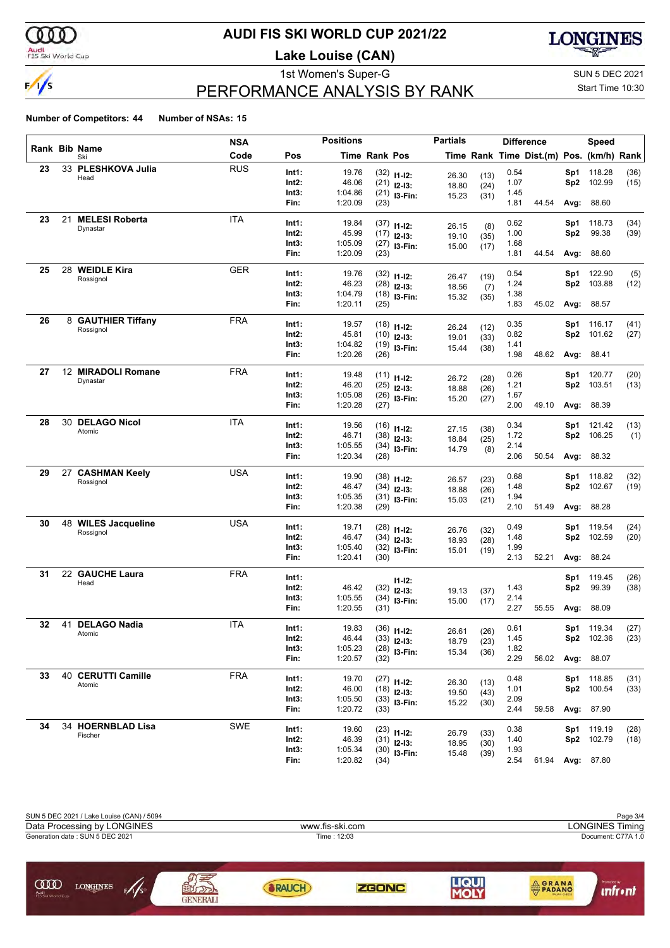

### **AUDI FIS SKI WORLD CUP 2021/22**

**Lake Louise (CAN)**



# PERFORMANCE ANALYSIS BY RANK

1st Women's Super-G Super-G SUN 5 DEC 2021 Start Time 10:30

|    |    |                        | <b>NSA</b> |                | <b>Positions</b>   |                      |                                | <b>Partials</b> |              |              | <b>Difference</b>                        |            | Speed             |             |
|----|----|------------------------|------------|----------------|--------------------|----------------------|--------------------------------|-----------------|--------------|--------------|------------------------------------------|------------|-------------------|-------------|
|    |    | Rank Bib Name<br>Ski   | Code       | Pos            |                    | <b>Time Rank Pos</b> |                                |                 |              |              | Time Rank Time Dist.(m) Pos. (km/h) Rank |            |                   |             |
| 23 |    | 33 PLESHKOVA Julia     | <b>RUS</b> | Int1:          | 19.76              |                      | $(32)$ 11-12:                  | 26.30           | (13)         | 0.54         |                                          | Sp1.       | 118.28            | (36)        |
|    |    | Head                   |            | Int2:          | 46.06              |                      | $(21)$ 12-13:                  | 18.80           | (24)         | 1.07         |                                          | Sp2        | 102.99            | (15)        |
|    |    |                        |            | Int3:          | 1:04.86            |                      | $(21)$ 13-Fin:                 | 15.23           | (31)         | 1.45         |                                          |            |                   |             |
|    |    |                        |            | Fin:           | 1:20.09            | (23)                 |                                |                 |              | 1.81         | 44.54                                    | Avg:       | 88.60             |             |
| 23 | 21 | <b>MELESI Roberta</b>  | ITA        | Int1:          | 19.84              |                      |                                |                 |              | 0.62         |                                          | Sp1        | 118.73            | (34)        |
|    |    | Dynastar               |            | Int2:          | 45.99              |                      | $(37)$ 11-12:<br>$(17)$ 12-13: | 26.15           | (8)          | 1.00         |                                          | Sp2        | 99.38             | (39)        |
|    |    |                        |            | Int3:          | 1:05.09            |                      | $(27)$ 13-Fin:                 | 19.10           | (35)         | 1.68         |                                          |            |                   |             |
|    |    |                        |            | Fin:           | 1:20.09            | (23)                 |                                | 15.00           | (17)         | 1.81         | 44.54                                    |            | <b>Avg: 88.60</b> |             |
| 25 | 28 | <b>WEIDLE Kira</b>     | <b>GER</b> |                |                    |                      |                                |                 |              |              |                                          |            |                   |             |
|    |    | Rossignol              |            | Int1:<br>Int2: | 19.76<br>46.23     |                      | $(32)$ 11-12:                  | 26.47           | (19)         | 0.54<br>1.24 |                                          | Sp1<br>Sp2 | 122.90<br>103.88  | (5)<br>(12) |
|    |    |                        |            | Int3:          | 1:04.79            |                      | $(28)$ 12-13:                  | 18.56           | (7)          | 1.38         |                                          |            |                   |             |
|    |    |                        |            | Fin:           | 1:20.11            | (25)                 | $(18)$ 13-Fin:                 | 15.32           | (35)         | 1.83         | 45.02                                    | Avg:       | 88.57             |             |
| 26 |    | 8 GAUTHIER Tiffany     | <b>FRA</b> |                |                    |                      |                                |                 |              |              |                                          |            |                   |             |
|    |    | Rossignol              |            | Int1:          | 19.57              |                      | $(18)$ 11-12:                  | 26.24           | (12)         | 0.35         |                                          | Sp1        | 116.17            | (41)        |
|    |    |                        |            | Int2:          | 45.81              |                      | $(10)$ 12-13:                  | 19.01           | (33)         | 0.82         |                                          | Sp2        | 101.62            | (27)        |
|    |    |                        |            | Int3:<br>Fin:  | 1:04.82<br>1:20.26 | (26)                 | $(19)$ 13-Fin:                 | 15.44           | (38)         | 1.41<br>1.98 | 48.62                                    |            | <b>Avg: 88.41</b> |             |
|    |    |                        |            |                |                    |                      |                                |                 |              |              |                                          |            |                   |             |
| 27 | 12 | <b>MIRADOLI Romane</b> | <b>FRA</b> | Int1:          | 19.48              |                      | $(11)$ 11-12:                  | 26.72           | (28)         | 0.26         |                                          | Sp1        | 120.77            | (20)        |
|    |    | Dynastar               |            | Int2:          | 46.20              |                      | $(25)$ 12-13:                  | 18.88           | (26)         | 1.21         |                                          | Sp2        | 103.51            | (13)        |
|    |    |                        |            | Int3:          | 1:05.08            |                      | $(26)$ 13-Fin:                 | 15.20           | (27)         | 1.67         |                                          |            |                   |             |
|    |    |                        |            | Fin:           | 1:20.28            | (27)                 |                                |                 |              | 2.00         | 49.10                                    | Avg:       | 88.39             |             |
| 28 |    | 30 DELAGO Nicol        | ITA        | Int1:          | 19.56              |                      |                                |                 |              | 0.34         |                                          | Sp1        | 121.42            | (13)        |
|    |    | Atomic                 |            | Int2:          | 46.71              |                      | $(16)$ 11-12:<br>$(38)$ 12-13: | 27.15           | (38)         | 1.72         |                                          | Sp2        | 106.25            | (1)         |
|    |    |                        |            | Int3:          | 1:05.55            |                      | $(34)$ 13-Fin:                 | 18.84           | (25)         | 2.14         |                                          |            |                   |             |
|    |    |                        |            | Fin:           | 1:20.34            | (28)                 |                                | 14.79           | (8)          | 2.06         | 50.54                                    |            | <b>Avg: 88.32</b> |             |
| 29 |    | 27 CASHMAN Keely       | <b>USA</b> |                |                    |                      |                                |                 |              |              |                                          |            |                   |             |
|    |    | Rossignol              |            | Int1:          | 19.90              |                      | $(38)$ 11-12:                  | 26.57           | (23)         | 0.68         |                                          | Sp1        | 118.82            | (32)        |
|    |    |                        |            | Int2:<br>Int3: | 46.47<br>1:05.35   |                      | $(34)$ 12-13:                  | 18.88           | (26)         | 1.48<br>1.94 |                                          | Sp2        | 102.67            | (19)        |
|    |    |                        |            | Fin:           | 1:20.38            | (29)                 | $(31)$ 13-Fin:                 | 15.03           | (21)         | 2.10         | 51.49                                    | Avg:       | 88.28             |             |
| 30 |    | 48 WILES Jacqueline    | <b>USA</b> |                |                    |                      |                                |                 |              |              |                                          |            |                   |             |
|    |    | Rossignol              |            | Int1:          | 19.71              |                      | $(28)$ 11-12:                  | 26.76           | (32)         | 0.49         |                                          | Sp1        | 119.54            | (24)        |
|    |    |                        |            | Int2:          | 46.47              |                      | $(34)$ 12-13:                  | 18.93           | (28)         | 1.48         |                                          | Sp2        | 102.59            | (20)        |
|    |    |                        |            | Int3:          | 1:05.40            |                      | $(32)$ 13-Fin:                 | 15.01           | (19)         | 1.99         |                                          |            |                   |             |
|    |    |                        |            | Fin:           | 1:20.41            | (30)                 |                                |                 |              | 2.13         | 52.21                                    |            | <b>Avg: 88.24</b> |             |
| 31 |    | 22 GAUCHE Laura        | <b>FRA</b> | Int1:          |                    |                      | $11 - 12$ :                    |                 |              |              |                                          | Sp1        | 119.45            | (26)        |
|    |    | Head                   |            | Int2:          | 46.42              | (32)                 | $12-13:$                       | 19.13           | (37)         | 1.43         |                                          | Sp2        | 99.39             | (38)        |
|    |    |                        |            | Int3:          | 1:05.55            | (34)                 | I3-Fin:                        | 15.00           | (17)         | 2.14         |                                          |            |                   |             |
|    |    |                        |            | Fin:           | 1:20.55            | (31)                 |                                |                 |              | 2.27         | 55.55                                    | Avg:       | 88.09             |             |
| 32 |    | 41 DELAGO Nadia        | ITA        | Int1:          | 19.83              |                      | $(36)$ 11-12:                  |                 | (26)         | 0.61         |                                          |            | Sp1 119.34        | (27)        |
|    |    | Atomic                 |            | Int2:          | 46.44              |                      | $(33)$ 12-13:                  | 26.61<br>18.79  |              | 1.45         |                                          |            | <b>Sp2</b> 102.36 | (23)        |
|    |    |                        |            | Int3:          | 1:05.23            |                      | $(28)$ 13-Fin:                 | 15.34           | (23)<br>(36) | 1.82         |                                          |            |                   |             |
|    |    |                        |            | Fin:           | 1:20.57            | (32)                 |                                |                 |              | 2.29         | 56.02                                    |            | <b>Avg: 88.07</b> |             |
| 33 |    | 40 CERUTTI Camille     | <b>FRA</b> | Int1:          | 19.70              |                      |                                |                 |              | 0.48         |                                          |            | Sp1 118.85        | (31)        |
|    |    | Atomic                 |            | Int2:          | 46.00              |                      | $(27)$ 11-12:<br>$(18)$ 12-13: | 26.30           | (13)         | 1.01         |                                          |            | Sp2 100.54        | (33)        |
|    |    |                        |            | Int3:          | 1:05.50            |                      | $(33)$ 13-Fin:                 | 19.50           | (43)         | 2.09         |                                          |            |                   |             |
|    |    |                        |            | Fin:           | 1:20.72            | (33)                 |                                | 15.22           | (30)         | 2.44         | 59.58                                    |            | Avg: 87.90        |             |
| 34 |    | 34 HOERNBLAD Lisa      | SWE        |                |                    |                      |                                |                 |              |              |                                          |            |                   |             |
|    |    | Fischer                |            | Int1:          | 19.60              |                      | $(23)$ 11-12:                  | 26.79           | (33)         | 0.38         |                                          |            | Sp1 119.19        | (28)        |
|    |    |                        |            | Int2:          | 46.39              |                      | $(31)$ 12-13:                  | 18.95           | (30)         | 1.40         |                                          |            | Sp2 102.79        | (18)        |
|    |    |                        |            | Int3:          | 1:05.34            |                      | $(30)$ 13-Fin:                 | 15.48           | (39)         | 1.93<br>2.54 | 61.94                                    |            |                   |             |
|    |    |                        |            | Fin:           | 1:20.82            | (34)                 |                                |                 |              |              |                                          |            | Avg: 87.80        |             |

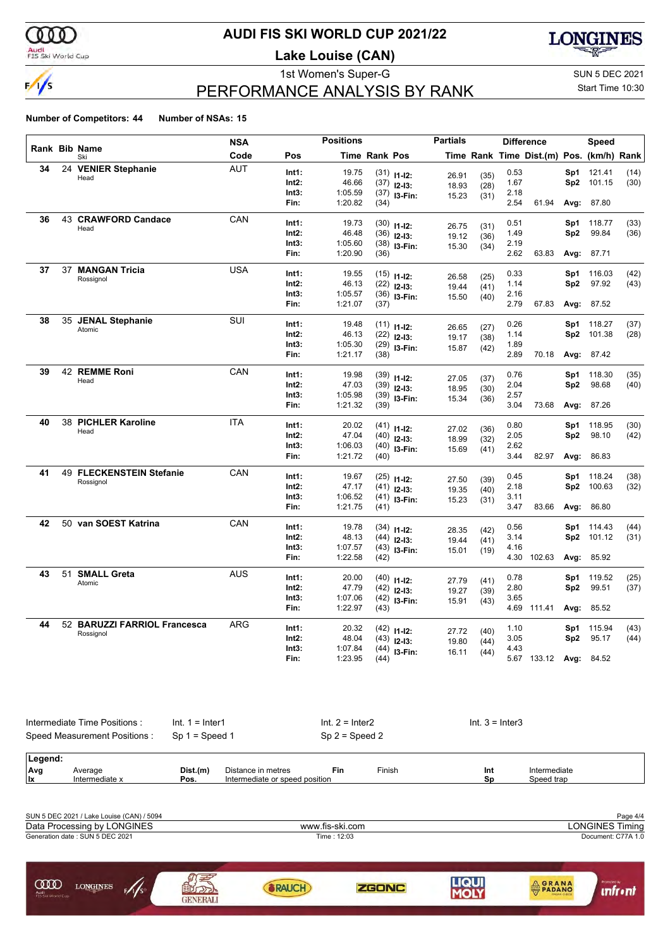

### Audi<br>FIS Ski World Cup

### **AUDI FIS SKI WORLD CUP 2021/22**

**Lake Louise (CAN)**



# PERFORMANCE ANALYSIS BY RANK

1st Women's Super-G Super-G SUN 5 DEC 2021 Start Time 10:30

| Rank Bib Name<br>Code<br>Pos<br><b>Time Rank Pos</b><br>Time Rank Time Dist.(m) Pos. (km/h) Rank<br>Ski<br><b>AUT</b><br>34<br>24 VENIER Stephanie<br>19.75<br>0.53<br>121.41<br>Int1:<br>$(31)$ 11-12:<br>Sp1<br>26.91<br>(35)<br>Head<br>Int2:<br>46.66<br>1.67<br>Sp2<br>101.15<br>$(37)$ 12-13:<br>18.93<br>(28)<br>Int3:<br>1:05.59<br>2.18<br>$(37)$ 13-Fin:<br>15.23<br>(31)<br>1:20.82<br>2.54<br>61.94<br>Fin:<br>Avg:<br>87.80<br>(34)<br>43 CRAWFORD Candace<br>CAN<br>36<br>Int1:<br>19.73<br>0.51<br>Sp1<br>118.77<br>$(30)$ 11-12:<br>26.75<br>(31)<br>Head<br>46.48<br>1.49<br>99.84<br>Int2:<br>Sp <sub>2</sub><br>$(36)$ 12-13:<br>19.12<br>(36)<br>Int3:<br>1:05.60<br>2.19<br>$(38)$ 13-Fin:<br>15.30<br>(34)<br>2.62<br>Fin:<br>1:20.90<br>63.83<br>(36)<br>Avg:<br>87.71<br>37 MANGAN Tricia<br><b>USA</b><br>37<br>Int1:<br>19.55<br>0.33<br>Sp1<br>116.03<br>$(15)$ 11-12:<br>26.58<br>(25)<br>Rossignol<br>Int2:<br>46.13<br>1.14<br>Sp2<br>97.92<br>$(22)$ 12-13:<br>19.44<br>(41)<br>1:05.57<br>2.16<br>Int3:<br>$(36)$ 13-Fin:<br>15.50<br>(40)<br>Fin:<br>1:21.07<br>2.79<br>67.83<br>(37)<br>Avg: 87.52<br>SUI<br>38<br>35 JENAL Stephanie<br>Int1:<br>19.48<br>0.26<br>Sp1<br>118.27<br>$(11)$ $11-12$ :<br>26.65<br>(27)<br>Atomic<br>46.13<br>Int2:<br>$(22)$ 12-13:<br>1.14<br>Sp2<br>101.38<br>19.17<br>(38)<br>1.89<br>Int3:<br>1:05.30<br>$(29)$ 13-Fin:<br>15.87<br>(42)<br>1:21.17<br>2.89<br>Fin:<br>(38)<br>70.18<br>Avg: 87.42<br>42 REMME Roni<br>CAN<br>39<br>Int1:<br>19.98<br>0.76<br>Sp1<br>118.30<br>$(39)$ 11-12:<br>27.05<br>(37)<br>Head<br>47.03<br>2.04<br>98.68<br>Int2:<br>Sp2<br>$(39)$ 12-13:<br>18.95<br>(30)<br>Int3:<br>1:05.98<br>2.57<br>$(39)$ 13-Fin:<br>15.34<br>(36)<br>3.04<br>Fin:<br>1:21.32<br>73.68<br>Avg: 87.26<br>(39)<br>38 PICHLER Karoline<br><b>ITA</b><br>40<br>0.80<br>Int1:<br>20.02<br>118.95<br>$(41)$ 11-12:<br>Sp1<br>27.02<br>(36)<br>Head<br>2.05<br>Int2:<br>47.04<br>Sp2<br>98.10<br>$(40)$ 12-13:<br>18.99<br>(32)<br>Int3:<br>1:06.03<br>2.62<br>$(40)$ 13-Fin:<br>15.69<br>(41)<br>Fin:<br>1:21.72<br>3.44<br>82.97<br>(40)<br>Avg: 86.83<br>41<br>49 FLECKENSTEIN Stefanie<br>CAN<br>Int1:<br>19.67<br>0.45<br>118.24<br>Sp1<br>$(25)$ 11-12:<br>27.50<br>(39)<br>Rossignol<br>Int2:<br>47.17<br>2.18<br>100.63<br>Sp2<br>$(41)$ 12-13:<br>19.35<br>(40)<br>Int3:<br>1:06.52<br>3.11<br>$(41)$ 13-Fin:<br>15.23<br>(31)<br>Fin:<br>1:21.75<br>3.47<br>83.66<br>Avg:<br>86.80<br>(41)<br>50 van SOEST Katrina<br>42<br>CAN<br>Int1:<br>19.78<br>0.56<br>114.43<br>$(34)$ 11-12:<br>Sp1<br>28.35<br>(42)<br>3.14<br>Int2:<br>48.13<br>Sp2<br>101.12<br>$(44)$ 12-13:<br>19.44<br>(41)<br>4.16<br>1:07.57<br>Int3:<br>$(43)$ 13-Fin:<br>15.01<br>(19)<br>Fin:<br>1:22.58<br>4.30<br>102.63<br>(42)<br>Avg:<br>85.92<br>43<br>51 SMALL Greta<br><b>AUS</b><br>20.00<br>Int1:<br>0.78<br>119.52<br>$(40)$ 11-12:<br>Sp1<br>27.79<br>(41)<br>Atomic<br>Int2:<br>47.79<br>2.80<br>99.51<br>Sp2<br>$(42)$ 12-13:<br>19.27<br>(39)<br>Int3:<br>1:07.06<br>$(42)$ 13-Fin:<br>3.65<br>15.91<br>(43)<br>1:22.97<br>Fin:<br>4.69 111.41<br>Avg:<br>85.52<br>(43)<br>52 BARUZZI FARRIOL Francesca<br>44<br>ARG<br>20.32<br>Int1:<br>1.10<br>Sp1<br>115.94<br>$(42)$ 11-12:<br>27.72<br>(40)<br>Rossignol<br>Int2:<br>48.04<br>3.05<br>Sp2<br>95.17<br>$(43)$ 12-13:<br>19.80<br>(44)<br>1:07.84<br>Int3:<br>4.43<br>$(44)$ 13-Fin:<br>16.11<br>(44) |  | <b>NSA</b> |      | <b>Positions</b> |      | <b>Partials</b> |  | <b>Difference</b> |      | Speed |              |
|-----------------------------------------------------------------------------------------------------------------------------------------------------------------------------------------------------------------------------------------------------------------------------------------------------------------------------------------------------------------------------------------------------------------------------------------------------------------------------------------------------------------------------------------------------------------------------------------------------------------------------------------------------------------------------------------------------------------------------------------------------------------------------------------------------------------------------------------------------------------------------------------------------------------------------------------------------------------------------------------------------------------------------------------------------------------------------------------------------------------------------------------------------------------------------------------------------------------------------------------------------------------------------------------------------------------------------------------------------------------------------------------------------------------------------------------------------------------------------------------------------------------------------------------------------------------------------------------------------------------------------------------------------------------------------------------------------------------------------------------------------------------------------------------------------------------------------------------------------------------------------------------------------------------------------------------------------------------------------------------------------------------------------------------------------------------------------------------------------------------------------------------------------------------------------------------------------------------------------------------------------------------------------------------------------------------------------------------------------------------------------------------------------------------------------------------------------------------------------------------------------------------------------------------------------------------------------------------------------------------------------------------------------------------------------------------------------------------------------------------------------------------------------------------------------------------------------------------------------------------------------------------------------------------------------------------------------------------------------------------------------------------------------------------------------------------------------------------------------------------------------------------------------------------------------------------------------------------------------------------------------------------------------------------------------------------------------------------------------------------------------------------------------------------------------------|--|------------|------|------------------|------|-----------------|--|-------------------|------|-------|--------------|
|                                                                                                                                                                                                                                                                                                                                                                                                                                                                                                                                                                                                                                                                                                                                                                                                                                                                                                                                                                                                                                                                                                                                                                                                                                                                                                                                                                                                                                                                                                                                                                                                                                                                                                                                                                                                                                                                                                                                                                                                                                                                                                                                                                                                                                                                                                                                                                                                                                                                                                                                                                                                                                                                                                                                                                                                                                                                                                                                                                                                                                                                                                                                                                                                                                                                                                                                                                                                                                   |  |            |      |                  |      |                 |  |                   |      |       |              |
|                                                                                                                                                                                                                                                                                                                                                                                                                                                                                                                                                                                                                                                                                                                                                                                                                                                                                                                                                                                                                                                                                                                                                                                                                                                                                                                                                                                                                                                                                                                                                                                                                                                                                                                                                                                                                                                                                                                                                                                                                                                                                                                                                                                                                                                                                                                                                                                                                                                                                                                                                                                                                                                                                                                                                                                                                                                                                                                                                                                                                                                                                                                                                                                                                                                                                                                                                                                                                                   |  |            |      |                  |      |                 |  |                   |      |       | (14)         |
|                                                                                                                                                                                                                                                                                                                                                                                                                                                                                                                                                                                                                                                                                                                                                                                                                                                                                                                                                                                                                                                                                                                                                                                                                                                                                                                                                                                                                                                                                                                                                                                                                                                                                                                                                                                                                                                                                                                                                                                                                                                                                                                                                                                                                                                                                                                                                                                                                                                                                                                                                                                                                                                                                                                                                                                                                                                                                                                                                                                                                                                                                                                                                                                                                                                                                                                                                                                                                                   |  |            |      |                  |      |                 |  |                   |      |       | (30)         |
|                                                                                                                                                                                                                                                                                                                                                                                                                                                                                                                                                                                                                                                                                                                                                                                                                                                                                                                                                                                                                                                                                                                                                                                                                                                                                                                                                                                                                                                                                                                                                                                                                                                                                                                                                                                                                                                                                                                                                                                                                                                                                                                                                                                                                                                                                                                                                                                                                                                                                                                                                                                                                                                                                                                                                                                                                                                                                                                                                                                                                                                                                                                                                                                                                                                                                                                                                                                                                                   |  |            |      |                  |      |                 |  |                   |      |       |              |
|                                                                                                                                                                                                                                                                                                                                                                                                                                                                                                                                                                                                                                                                                                                                                                                                                                                                                                                                                                                                                                                                                                                                                                                                                                                                                                                                                                                                                                                                                                                                                                                                                                                                                                                                                                                                                                                                                                                                                                                                                                                                                                                                                                                                                                                                                                                                                                                                                                                                                                                                                                                                                                                                                                                                                                                                                                                                                                                                                                                                                                                                                                                                                                                                                                                                                                                                                                                                                                   |  |            |      |                  |      |                 |  |                   |      |       |              |
|                                                                                                                                                                                                                                                                                                                                                                                                                                                                                                                                                                                                                                                                                                                                                                                                                                                                                                                                                                                                                                                                                                                                                                                                                                                                                                                                                                                                                                                                                                                                                                                                                                                                                                                                                                                                                                                                                                                                                                                                                                                                                                                                                                                                                                                                                                                                                                                                                                                                                                                                                                                                                                                                                                                                                                                                                                                                                                                                                                                                                                                                                                                                                                                                                                                                                                                                                                                                                                   |  |            |      |                  |      |                 |  |                   |      |       | (33)         |
|                                                                                                                                                                                                                                                                                                                                                                                                                                                                                                                                                                                                                                                                                                                                                                                                                                                                                                                                                                                                                                                                                                                                                                                                                                                                                                                                                                                                                                                                                                                                                                                                                                                                                                                                                                                                                                                                                                                                                                                                                                                                                                                                                                                                                                                                                                                                                                                                                                                                                                                                                                                                                                                                                                                                                                                                                                                                                                                                                                                                                                                                                                                                                                                                                                                                                                                                                                                                                                   |  |            |      |                  |      |                 |  |                   |      |       | (36)         |
|                                                                                                                                                                                                                                                                                                                                                                                                                                                                                                                                                                                                                                                                                                                                                                                                                                                                                                                                                                                                                                                                                                                                                                                                                                                                                                                                                                                                                                                                                                                                                                                                                                                                                                                                                                                                                                                                                                                                                                                                                                                                                                                                                                                                                                                                                                                                                                                                                                                                                                                                                                                                                                                                                                                                                                                                                                                                                                                                                                                                                                                                                                                                                                                                                                                                                                                                                                                                                                   |  |            |      |                  |      |                 |  |                   |      |       |              |
|                                                                                                                                                                                                                                                                                                                                                                                                                                                                                                                                                                                                                                                                                                                                                                                                                                                                                                                                                                                                                                                                                                                                                                                                                                                                                                                                                                                                                                                                                                                                                                                                                                                                                                                                                                                                                                                                                                                                                                                                                                                                                                                                                                                                                                                                                                                                                                                                                                                                                                                                                                                                                                                                                                                                                                                                                                                                                                                                                                                                                                                                                                                                                                                                                                                                                                                                                                                                                                   |  |            |      |                  |      |                 |  |                   |      |       |              |
|                                                                                                                                                                                                                                                                                                                                                                                                                                                                                                                                                                                                                                                                                                                                                                                                                                                                                                                                                                                                                                                                                                                                                                                                                                                                                                                                                                                                                                                                                                                                                                                                                                                                                                                                                                                                                                                                                                                                                                                                                                                                                                                                                                                                                                                                                                                                                                                                                                                                                                                                                                                                                                                                                                                                                                                                                                                                                                                                                                                                                                                                                                                                                                                                                                                                                                                                                                                                                                   |  |            |      |                  |      |                 |  |                   |      |       | (42)         |
|                                                                                                                                                                                                                                                                                                                                                                                                                                                                                                                                                                                                                                                                                                                                                                                                                                                                                                                                                                                                                                                                                                                                                                                                                                                                                                                                                                                                                                                                                                                                                                                                                                                                                                                                                                                                                                                                                                                                                                                                                                                                                                                                                                                                                                                                                                                                                                                                                                                                                                                                                                                                                                                                                                                                                                                                                                                                                                                                                                                                                                                                                                                                                                                                                                                                                                                                                                                                                                   |  |            |      |                  |      |                 |  |                   |      |       | (43)         |
|                                                                                                                                                                                                                                                                                                                                                                                                                                                                                                                                                                                                                                                                                                                                                                                                                                                                                                                                                                                                                                                                                                                                                                                                                                                                                                                                                                                                                                                                                                                                                                                                                                                                                                                                                                                                                                                                                                                                                                                                                                                                                                                                                                                                                                                                                                                                                                                                                                                                                                                                                                                                                                                                                                                                                                                                                                                                                                                                                                                                                                                                                                                                                                                                                                                                                                                                                                                                                                   |  |            |      |                  |      |                 |  |                   |      |       |              |
|                                                                                                                                                                                                                                                                                                                                                                                                                                                                                                                                                                                                                                                                                                                                                                                                                                                                                                                                                                                                                                                                                                                                                                                                                                                                                                                                                                                                                                                                                                                                                                                                                                                                                                                                                                                                                                                                                                                                                                                                                                                                                                                                                                                                                                                                                                                                                                                                                                                                                                                                                                                                                                                                                                                                                                                                                                                                                                                                                                                                                                                                                                                                                                                                                                                                                                                                                                                                                                   |  |            |      |                  |      |                 |  |                   |      |       |              |
|                                                                                                                                                                                                                                                                                                                                                                                                                                                                                                                                                                                                                                                                                                                                                                                                                                                                                                                                                                                                                                                                                                                                                                                                                                                                                                                                                                                                                                                                                                                                                                                                                                                                                                                                                                                                                                                                                                                                                                                                                                                                                                                                                                                                                                                                                                                                                                                                                                                                                                                                                                                                                                                                                                                                                                                                                                                                                                                                                                                                                                                                                                                                                                                                                                                                                                                                                                                                                                   |  |            |      |                  |      |                 |  |                   |      |       |              |
|                                                                                                                                                                                                                                                                                                                                                                                                                                                                                                                                                                                                                                                                                                                                                                                                                                                                                                                                                                                                                                                                                                                                                                                                                                                                                                                                                                                                                                                                                                                                                                                                                                                                                                                                                                                                                                                                                                                                                                                                                                                                                                                                                                                                                                                                                                                                                                                                                                                                                                                                                                                                                                                                                                                                                                                                                                                                                                                                                                                                                                                                                                                                                                                                                                                                                                                                                                                                                                   |  |            |      |                  |      |                 |  |                   |      |       | (37)         |
|                                                                                                                                                                                                                                                                                                                                                                                                                                                                                                                                                                                                                                                                                                                                                                                                                                                                                                                                                                                                                                                                                                                                                                                                                                                                                                                                                                                                                                                                                                                                                                                                                                                                                                                                                                                                                                                                                                                                                                                                                                                                                                                                                                                                                                                                                                                                                                                                                                                                                                                                                                                                                                                                                                                                                                                                                                                                                                                                                                                                                                                                                                                                                                                                                                                                                                                                                                                                                                   |  |            |      |                  |      |                 |  |                   |      |       | (28)         |
|                                                                                                                                                                                                                                                                                                                                                                                                                                                                                                                                                                                                                                                                                                                                                                                                                                                                                                                                                                                                                                                                                                                                                                                                                                                                                                                                                                                                                                                                                                                                                                                                                                                                                                                                                                                                                                                                                                                                                                                                                                                                                                                                                                                                                                                                                                                                                                                                                                                                                                                                                                                                                                                                                                                                                                                                                                                                                                                                                                                                                                                                                                                                                                                                                                                                                                                                                                                                                                   |  |            |      |                  |      |                 |  |                   |      |       |              |
|                                                                                                                                                                                                                                                                                                                                                                                                                                                                                                                                                                                                                                                                                                                                                                                                                                                                                                                                                                                                                                                                                                                                                                                                                                                                                                                                                                                                                                                                                                                                                                                                                                                                                                                                                                                                                                                                                                                                                                                                                                                                                                                                                                                                                                                                                                                                                                                                                                                                                                                                                                                                                                                                                                                                                                                                                                                                                                                                                                                                                                                                                                                                                                                                                                                                                                                                                                                                                                   |  |            |      |                  |      |                 |  |                   |      |       |              |
|                                                                                                                                                                                                                                                                                                                                                                                                                                                                                                                                                                                                                                                                                                                                                                                                                                                                                                                                                                                                                                                                                                                                                                                                                                                                                                                                                                                                                                                                                                                                                                                                                                                                                                                                                                                                                                                                                                                                                                                                                                                                                                                                                                                                                                                                                                                                                                                                                                                                                                                                                                                                                                                                                                                                                                                                                                                                                                                                                                                                                                                                                                                                                                                                                                                                                                                                                                                                                                   |  |            |      |                  |      |                 |  |                   |      |       | (35)         |
|                                                                                                                                                                                                                                                                                                                                                                                                                                                                                                                                                                                                                                                                                                                                                                                                                                                                                                                                                                                                                                                                                                                                                                                                                                                                                                                                                                                                                                                                                                                                                                                                                                                                                                                                                                                                                                                                                                                                                                                                                                                                                                                                                                                                                                                                                                                                                                                                                                                                                                                                                                                                                                                                                                                                                                                                                                                                                                                                                                                                                                                                                                                                                                                                                                                                                                                                                                                                                                   |  |            |      |                  |      |                 |  |                   |      |       | (40)         |
|                                                                                                                                                                                                                                                                                                                                                                                                                                                                                                                                                                                                                                                                                                                                                                                                                                                                                                                                                                                                                                                                                                                                                                                                                                                                                                                                                                                                                                                                                                                                                                                                                                                                                                                                                                                                                                                                                                                                                                                                                                                                                                                                                                                                                                                                                                                                                                                                                                                                                                                                                                                                                                                                                                                                                                                                                                                                                                                                                                                                                                                                                                                                                                                                                                                                                                                                                                                                                                   |  |            |      |                  |      |                 |  |                   |      |       |              |
|                                                                                                                                                                                                                                                                                                                                                                                                                                                                                                                                                                                                                                                                                                                                                                                                                                                                                                                                                                                                                                                                                                                                                                                                                                                                                                                                                                                                                                                                                                                                                                                                                                                                                                                                                                                                                                                                                                                                                                                                                                                                                                                                                                                                                                                                                                                                                                                                                                                                                                                                                                                                                                                                                                                                                                                                                                                                                                                                                                                                                                                                                                                                                                                                                                                                                                                                                                                                                                   |  |            |      |                  |      |                 |  |                   |      |       |              |
|                                                                                                                                                                                                                                                                                                                                                                                                                                                                                                                                                                                                                                                                                                                                                                                                                                                                                                                                                                                                                                                                                                                                                                                                                                                                                                                                                                                                                                                                                                                                                                                                                                                                                                                                                                                                                                                                                                                                                                                                                                                                                                                                                                                                                                                                                                                                                                                                                                                                                                                                                                                                                                                                                                                                                                                                                                                                                                                                                                                                                                                                                                                                                                                                                                                                                                                                                                                                                                   |  |            |      |                  |      |                 |  |                   |      |       | (30)         |
|                                                                                                                                                                                                                                                                                                                                                                                                                                                                                                                                                                                                                                                                                                                                                                                                                                                                                                                                                                                                                                                                                                                                                                                                                                                                                                                                                                                                                                                                                                                                                                                                                                                                                                                                                                                                                                                                                                                                                                                                                                                                                                                                                                                                                                                                                                                                                                                                                                                                                                                                                                                                                                                                                                                                                                                                                                                                                                                                                                                                                                                                                                                                                                                                                                                                                                                                                                                                                                   |  |            |      |                  |      |                 |  |                   |      |       | (42)         |
|                                                                                                                                                                                                                                                                                                                                                                                                                                                                                                                                                                                                                                                                                                                                                                                                                                                                                                                                                                                                                                                                                                                                                                                                                                                                                                                                                                                                                                                                                                                                                                                                                                                                                                                                                                                                                                                                                                                                                                                                                                                                                                                                                                                                                                                                                                                                                                                                                                                                                                                                                                                                                                                                                                                                                                                                                                                                                                                                                                                                                                                                                                                                                                                                                                                                                                                                                                                                                                   |  |            |      |                  |      |                 |  |                   |      |       |              |
|                                                                                                                                                                                                                                                                                                                                                                                                                                                                                                                                                                                                                                                                                                                                                                                                                                                                                                                                                                                                                                                                                                                                                                                                                                                                                                                                                                                                                                                                                                                                                                                                                                                                                                                                                                                                                                                                                                                                                                                                                                                                                                                                                                                                                                                                                                                                                                                                                                                                                                                                                                                                                                                                                                                                                                                                                                                                                                                                                                                                                                                                                                                                                                                                                                                                                                                                                                                                                                   |  |            |      |                  |      |                 |  |                   |      |       |              |
|                                                                                                                                                                                                                                                                                                                                                                                                                                                                                                                                                                                                                                                                                                                                                                                                                                                                                                                                                                                                                                                                                                                                                                                                                                                                                                                                                                                                                                                                                                                                                                                                                                                                                                                                                                                                                                                                                                                                                                                                                                                                                                                                                                                                                                                                                                                                                                                                                                                                                                                                                                                                                                                                                                                                                                                                                                                                                                                                                                                                                                                                                                                                                                                                                                                                                                                                                                                                                                   |  |            |      |                  |      |                 |  |                   |      |       | (38)         |
|                                                                                                                                                                                                                                                                                                                                                                                                                                                                                                                                                                                                                                                                                                                                                                                                                                                                                                                                                                                                                                                                                                                                                                                                                                                                                                                                                                                                                                                                                                                                                                                                                                                                                                                                                                                                                                                                                                                                                                                                                                                                                                                                                                                                                                                                                                                                                                                                                                                                                                                                                                                                                                                                                                                                                                                                                                                                                                                                                                                                                                                                                                                                                                                                                                                                                                                                                                                                                                   |  |            |      |                  |      |                 |  |                   |      |       | (32)         |
|                                                                                                                                                                                                                                                                                                                                                                                                                                                                                                                                                                                                                                                                                                                                                                                                                                                                                                                                                                                                                                                                                                                                                                                                                                                                                                                                                                                                                                                                                                                                                                                                                                                                                                                                                                                                                                                                                                                                                                                                                                                                                                                                                                                                                                                                                                                                                                                                                                                                                                                                                                                                                                                                                                                                                                                                                                                                                                                                                                                                                                                                                                                                                                                                                                                                                                                                                                                                                                   |  |            |      |                  |      |                 |  |                   |      |       |              |
|                                                                                                                                                                                                                                                                                                                                                                                                                                                                                                                                                                                                                                                                                                                                                                                                                                                                                                                                                                                                                                                                                                                                                                                                                                                                                                                                                                                                                                                                                                                                                                                                                                                                                                                                                                                                                                                                                                                                                                                                                                                                                                                                                                                                                                                                                                                                                                                                                                                                                                                                                                                                                                                                                                                                                                                                                                                                                                                                                                                                                                                                                                                                                                                                                                                                                                                                                                                                                                   |  |            |      |                  |      |                 |  |                   |      |       |              |
|                                                                                                                                                                                                                                                                                                                                                                                                                                                                                                                                                                                                                                                                                                                                                                                                                                                                                                                                                                                                                                                                                                                                                                                                                                                                                                                                                                                                                                                                                                                                                                                                                                                                                                                                                                                                                                                                                                                                                                                                                                                                                                                                                                                                                                                                                                                                                                                                                                                                                                                                                                                                                                                                                                                                                                                                                                                                                                                                                                                                                                                                                                                                                                                                                                                                                                                                                                                                                                   |  |            |      |                  |      |                 |  |                   |      |       | (44)         |
|                                                                                                                                                                                                                                                                                                                                                                                                                                                                                                                                                                                                                                                                                                                                                                                                                                                                                                                                                                                                                                                                                                                                                                                                                                                                                                                                                                                                                                                                                                                                                                                                                                                                                                                                                                                                                                                                                                                                                                                                                                                                                                                                                                                                                                                                                                                                                                                                                                                                                                                                                                                                                                                                                                                                                                                                                                                                                                                                                                                                                                                                                                                                                                                                                                                                                                                                                                                                                                   |  |            |      |                  |      |                 |  |                   |      |       | (31)         |
|                                                                                                                                                                                                                                                                                                                                                                                                                                                                                                                                                                                                                                                                                                                                                                                                                                                                                                                                                                                                                                                                                                                                                                                                                                                                                                                                                                                                                                                                                                                                                                                                                                                                                                                                                                                                                                                                                                                                                                                                                                                                                                                                                                                                                                                                                                                                                                                                                                                                                                                                                                                                                                                                                                                                                                                                                                                                                                                                                                                                                                                                                                                                                                                                                                                                                                                                                                                                                                   |  |            |      |                  |      |                 |  |                   |      |       |              |
|                                                                                                                                                                                                                                                                                                                                                                                                                                                                                                                                                                                                                                                                                                                                                                                                                                                                                                                                                                                                                                                                                                                                                                                                                                                                                                                                                                                                                                                                                                                                                                                                                                                                                                                                                                                                                                                                                                                                                                                                                                                                                                                                                                                                                                                                                                                                                                                                                                                                                                                                                                                                                                                                                                                                                                                                                                                                                                                                                                                                                                                                                                                                                                                                                                                                                                                                                                                                                                   |  |            |      |                  |      |                 |  |                   |      |       |              |
|                                                                                                                                                                                                                                                                                                                                                                                                                                                                                                                                                                                                                                                                                                                                                                                                                                                                                                                                                                                                                                                                                                                                                                                                                                                                                                                                                                                                                                                                                                                                                                                                                                                                                                                                                                                                                                                                                                                                                                                                                                                                                                                                                                                                                                                                                                                                                                                                                                                                                                                                                                                                                                                                                                                                                                                                                                                                                                                                                                                                                                                                                                                                                                                                                                                                                                                                                                                                                                   |  |            |      |                  |      |                 |  |                   |      |       | (25)         |
|                                                                                                                                                                                                                                                                                                                                                                                                                                                                                                                                                                                                                                                                                                                                                                                                                                                                                                                                                                                                                                                                                                                                                                                                                                                                                                                                                                                                                                                                                                                                                                                                                                                                                                                                                                                                                                                                                                                                                                                                                                                                                                                                                                                                                                                                                                                                                                                                                                                                                                                                                                                                                                                                                                                                                                                                                                                                                                                                                                                                                                                                                                                                                                                                                                                                                                                                                                                                                                   |  |            |      |                  |      |                 |  |                   |      |       | (37)         |
|                                                                                                                                                                                                                                                                                                                                                                                                                                                                                                                                                                                                                                                                                                                                                                                                                                                                                                                                                                                                                                                                                                                                                                                                                                                                                                                                                                                                                                                                                                                                                                                                                                                                                                                                                                                                                                                                                                                                                                                                                                                                                                                                                                                                                                                                                                                                                                                                                                                                                                                                                                                                                                                                                                                                                                                                                                                                                                                                                                                                                                                                                                                                                                                                                                                                                                                                                                                                                                   |  |            |      |                  |      |                 |  |                   |      |       |              |
|                                                                                                                                                                                                                                                                                                                                                                                                                                                                                                                                                                                                                                                                                                                                                                                                                                                                                                                                                                                                                                                                                                                                                                                                                                                                                                                                                                                                                                                                                                                                                                                                                                                                                                                                                                                                                                                                                                                                                                                                                                                                                                                                                                                                                                                                                                                                                                                                                                                                                                                                                                                                                                                                                                                                                                                                                                                                                                                                                                                                                                                                                                                                                                                                                                                                                                                                                                                                                                   |  |            |      |                  |      |                 |  |                   |      |       |              |
|                                                                                                                                                                                                                                                                                                                                                                                                                                                                                                                                                                                                                                                                                                                                                                                                                                                                                                                                                                                                                                                                                                                                                                                                                                                                                                                                                                                                                                                                                                                                                                                                                                                                                                                                                                                                                                                                                                                                                                                                                                                                                                                                                                                                                                                                                                                                                                                                                                                                                                                                                                                                                                                                                                                                                                                                                                                                                                                                                                                                                                                                                                                                                                                                                                                                                                                                                                                                                                   |  |            |      |                  |      |                 |  |                   |      |       |              |
|                                                                                                                                                                                                                                                                                                                                                                                                                                                                                                                                                                                                                                                                                                                                                                                                                                                                                                                                                                                                                                                                                                                                                                                                                                                                                                                                                                                                                                                                                                                                                                                                                                                                                                                                                                                                                                                                                                                                                                                                                                                                                                                                                                                                                                                                                                                                                                                                                                                                                                                                                                                                                                                                                                                                                                                                                                                                                                                                                                                                                                                                                                                                                                                                                                                                                                                                                                                                                                   |  |            |      |                  |      |                 |  |                   |      |       | (43)<br>(44) |
|                                                                                                                                                                                                                                                                                                                                                                                                                                                                                                                                                                                                                                                                                                                                                                                                                                                                                                                                                                                                                                                                                                                                                                                                                                                                                                                                                                                                                                                                                                                                                                                                                                                                                                                                                                                                                                                                                                                                                                                                                                                                                                                                                                                                                                                                                                                                                                                                                                                                                                                                                                                                                                                                                                                                                                                                                                                                                                                                                                                                                                                                                                                                                                                                                                                                                                                                                                                                                                   |  |            |      |                  |      |                 |  |                   |      |       |              |
|                                                                                                                                                                                                                                                                                                                                                                                                                                                                                                                                                                                                                                                                                                                                                                                                                                                                                                                                                                                                                                                                                                                                                                                                                                                                                                                                                                                                                                                                                                                                                                                                                                                                                                                                                                                                                                                                                                                                                                                                                                                                                                                                                                                                                                                                                                                                                                                                                                                                                                                                                                                                                                                                                                                                                                                                                                                                                                                                                                                                                                                                                                                                                                                                                                                                                                                                                                                                                                   |  |            | Fin: | 1:23.95          | (44) |                 |  | 5.67 133.12       | Avg: | 84.52 |              |
|                                                                                                                                                                                                                                                                                                                                                                                                                                                                                                                                                                                                                                                                                                                                                                                                                                                                                                                                                                                                                                                                                                                                                                                                                                                                                                                                                                                                                                                                                                                                                                                                                                                                                                                                                                                                                                                                                                                                                                                                                                                                                                                                                                                                                                                                                                                                                                                                                                                                                                                                                                                                                                                                                                                                                                                                                                                                                                                                                                                                                                                                                                                                                                                                                                                                                                                                                                                                                                   |  |            |      |                  |      |                 |  |                   |      |       |              |

| Intermediate Time Positions :<br>Speed Measurement Positions : |                           | $Int. 1 = Inter1$<br>Sp $1 =$ Speed 1 |                                                      | Int. $2 =$ Inter2<br>$Sp 2 = Speed 2$ |        | $Int. 3 = Inter3$ |                            |   |  |  |
|----------------------------------------------------------------|---------------------------|---------------------------------------|------------------------------------------------------|---------------------------------------|--------|-------------------|----------------------------|---|--|--|
| Legend:<br>Avg<br><b>Ix</b>                                    | Average<br>Intermediate x | Dist.(m)<br>Pos.                      | Distance in metres<br>Intermediate or speed position | Fin                                   | Finish | Int<br>Sp         | Intermediate<br>Speed trap |   |  |  |
|                                                                |                           |                                       |                                                      |                                       |        |                   |                            | _ |  |  |

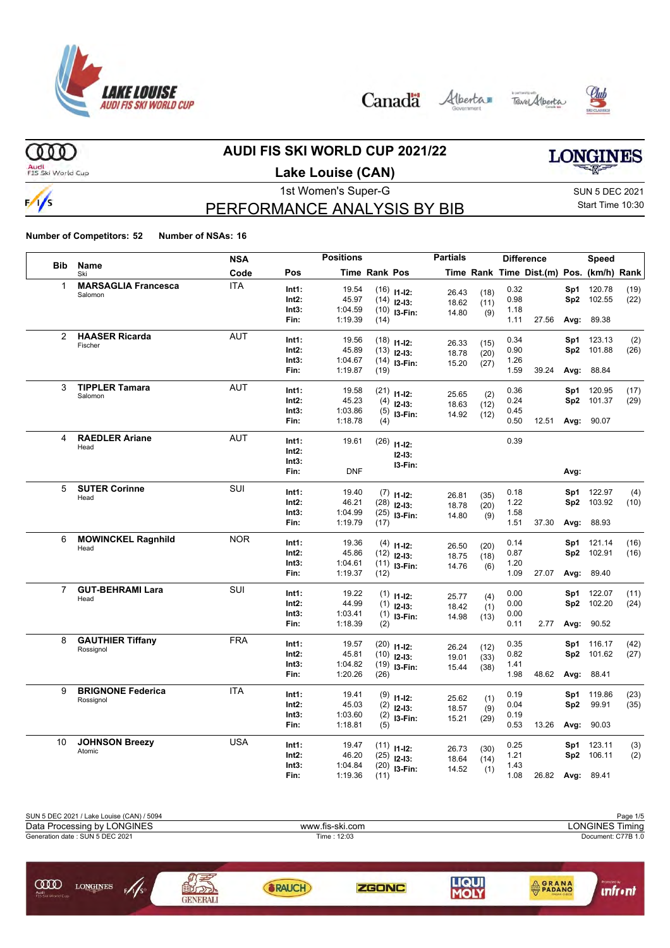







**LONGINES** 

### **AUDI FIS SKI WORLD CUP 2021/22**

Audi<br>FIS Ski World Cup

 $(000)$ 

 $\frac{1}{s}$ 

## **Lake Louise (CAN)**

1st Women's Super-G Super-G SUN 5 DEC 2021 Start Time 10:30

### PERFORMANCE ANALYSIS BY BIB

|                |                               | <b>NSA</b> |                | <b>Positions</b> |                      |                | <b>Partials</b> |             |              | <b>Difference</b>                        |                 | Speed                |      |
|----------------|-------------------------------|------------|----------------|------------------|----------------------|----------------|-----------------|-------------|--------------|------------------------------------------|-----------------|----------------------|------|
| <b>Bib</b>     | Name<br>Ski                   | Code       | Pos            |                  | <b>Time Rank Pos</b> |                |                 |             |              | Time Rank Time Dist.(m) Pos. (km/h) Rank |                 |                      |      |
| 1              | <b>MARSAGLIA Francesca</b>    | <b>ITA</b> | Int1:          | 19.54            |                      | $(16)$ 11-12:  | 26.43           | (18)        | 0.32         |                                          | Sp1             | 120.78               | (19) |
|                | Salomon                       |            | Int2:          | 45.97            |                      | $(14)$ 12-13:  | 18.62           | (11)        | 0.98         |                                          |                 | Sp2 102.55           | (22) |
|                |                               |            | Int3:          | 1:04.59          |                      | $(10)$ 13-Fin: | 14.80           | (9)         | 1.18         |                                          |                 |                      |      |
|                |                               |            | Fin:           | 1:19.39          | (14)                 |                |                 |             | 1.11         | 27.56                                    | Avg:            | 89.38                |      |
| 2              | <b>HAASER Ricarda</b>         | <b>AUT</b> | Int1:          | 19.56            |                      | $(18)$ 11-12:  |                 |             | 0.34         |                                          | Sp1             | 123.13               | (2)  |
|                | Fischer                       |            | Int2:          | 45.89            |                      | $(13)$ 12-13:  | 26.33           | (15)        | 0.90         |                                          |                 | Sp2 101.88           | (26) |
|                |                               |            | Int3:          | 1:04.67          |                      | $(14)$ 13-Fin: | 18.78           | (20)        | 1.26         |                                          |                 |                      |      |
|                |                               |            | Fin:           | 1:19.87          | (19)                 |                | 15.20           | (27)        | 1.59         | 39.24                                    |                 | Avg: 88.84           |      |
| 3              | <b>TIPPLER Tamara</b>         | <b>AUT</b> |                |                  |                      |                |                 |             |              |                                          |                 |                      |      |
|                | Salomon                       |            | Int1:<br>Int2: | 19.58<br>45.23   |                      | $(21)$ 11-12:  | 25.65           | (2)         | 0.36<br>0.24 |                                          | Sp1             | 120.95<br>Sp2 101.37 | (17) |
|                |                               |            | Int3:          | 1:03.86          |                      | $(4)$ 12-13:   | 18.63           | (12)        | 0.45         |                                          |                 |                      | (29) |
|                |                               |            | Fin:           | 1:18.78          |                      | $(5)$ 13-Fin:  | 14.92           | (12)        | 0.50         |                                          |                 | 12.51 Avg: 90.07     |      |
|                |                               |            |                |                  | (4)                  |                |                 |             |              |                                          |                 |                      |      |
| 4              | <b>RAEDLER Ariane</b><br>Head | <b>AUT</b> | Int1:          | 19.61            |                      | $(26)$ 11-12:  |                 |             | 0.39         |                                          |                 |                      |      |
|                |                               |            | Int2:          |                  |                      | $12 - 13:$     |                 |             |              |                                          |                 |                      |      |
|                |                               |            | Int3:          |                  |                      | I3-Fin:        |                 |             |              |                                          |                 |                      |      |
|                |                               |            | Fin:           | <b>DNF</b>       |                      |                |                 |             |              |                                          | Avg:            |                      |      |
| 5              | <b>SUTER Corinne</b>          | SUI        | Int1:          | 19.40            |                      | $(7)$ 11-12:   |                 |             | 0.18         |                                          |                 | Sp1 122.97           | (4)  |
|                | Head                          |            | Int2:          | 46.21            |                      | $(28)$ 12-13:  | 26.81<br>18.78  | (35)        | 1.22         |                                          |                 | Sp2 103.92           | (10) |
|                |                               |            | Int3:          | 1:04.99          |                      | $(25)$ 13-Fin: | 14.80           | (20)<br>(9) | 1.58         |                                          |                 |                      |      |
|                |                               |            | Fin:           | 1:19.79          | (17)                 |                |                 |             | 1.51         | 37.30                                    |                 | Avg: 88.93           |      |
| 6              | <b>MOWINCKEL Ragnhild</b>     | <b>NOR</b> | Int1:          | 19.36            |                      |                |                 |             | 0.14         |                                          | Sp1             | 121.14               | (16) |
|                | Head                          |            | Int2:          | 45.86            |                      | $(4)$ 11-12:   | 26.50           | (20)        | 0.87         |                                          | Sp2             | 102.91               | (16) |
|                |                               |            | Int3:          | 1:04.61          |                      | $(12)$ 12-13:  | 18.75           | (18)        | 1.20         |                                          |                 |                      |      |
|                |                               |            | Fin:           | 1:19.37          | (12)                 | $(11)$ 13-Fin: | 14.76           | (6)         | 1.09         | 27.07                                    | Avg:            | 89.40                |      |
| $\overline{7}$ | <b>GUT-BEHRAMI Lara</b>       | SUI        |                |                  |                      |                |                 |             |              |                                          |                 |                      |      |
|                | Head                          |            | Int1:          | 19.22            |                      | $(1)$ 11-12:   | 25.77           | (4)         | 0.00         |                                          | Sp1             | 122.07               | (11) |
|                |                               |            | Int2:          | 44.99            |                      | $(1)$ 12-13:   | 18.42           | (1)         | 0.00         |                                          | Sp2             | 102.20               | (24) |
|                |                               |            | Int3:          | 1:03.41          |                      | $(1)$ 13-Fin:  | 14.98           | (13)        | 0.00         |                                          |                 |                      |      |
|                |                               |            | Fin:           | 1:18.39          | (2)                  |                |                 |             | 0.11         | 2.77                                     | Avg:            | 90.52                |      |
| 8              | <b>GAUTHIER Tiffany</b>       | <b>FRA</b> | Int1:          | 19.57            |                      | $(20)$ 11-12:  | 26.24           | (12)        | 0.35         |                                          | Sp1             | 116.17               | (42) |
|                | Rossignol                     |            | Int2:          | 45.81            |                      | $(10)$ 12-13:  | 19.01           | (33)        | 0.82         |                                          |                 | Sp2 101.62           | (27) |
|                |                               |            | Int3:          | 1:04.82          |                      | $(19)$ 13-Fin: | 15.44           | (38)        | 1.41         |                                          |                 |                      |      |
|                |                               |            | Fin:           | 1:20.26          | (26)                 |                |                 |             | 1.98         | 48.62                                    |                 | Avg: 88.41           |      |
| 9              | <b>BRIGNONE Federica</b>      | <b>ITA</b> | Int1:          | 19.41            |                      | $(9)$ 11-12:   |                 |             | 0.19         |                                          | Sp1             | 119.86               | (23) |
|                | Rossignol                     |            | Int2:          | 45.03            |                      | $(2)$ 12-13:   | 25.62           | (1)         | 0.04         |                                          | Sp <sub>2</sub> | 99.91                | (35) |
|                |                               |            | Int3:          | 1:03.60          |                      | $(2)$ 13-Fin:  | 18.57           | (9)         | 0.19         |                                          |                 |                      |      |
|                |                               |            | Fin:           | 1:18.81          | (5)                  |                | 15.21           | (29)        | 0.53         | 13.26                                    |                 | Avg: 90.03           |      |
| 10             | <b>JOHNSON Breezy</b>         | <b>USA</b> |                |                  |                      |                |                 |             |              |                                          |                 |                      |      |
|                | Atomic                        |            | Int1:          | 19.47            |                      | $(11)$ 11-12:  | 26.73           | (30)        | 0.25         |                                          | Sp1             | 123.11               | (3)  |
|                |                               |            | Int2:<br>Int3: | 46.20<br>1:04.84 |                      | $(25)$ 12-13:  | 18.64           | (14)        | 1.21<br>1.43 |                                          |                 | Sp2 106.11           | (2)  |
|                |                               |            | Fin:           | 1:19.36          | (11)                 | $(20)$ 13-Fin: | 14.52           | (1)         | 1.08         | 26.82                                    |                 | Avg: 89.41           |      |
|                |                               |            |                |                  |                      |                |                 |             |              |                                          |                 |                      |      |

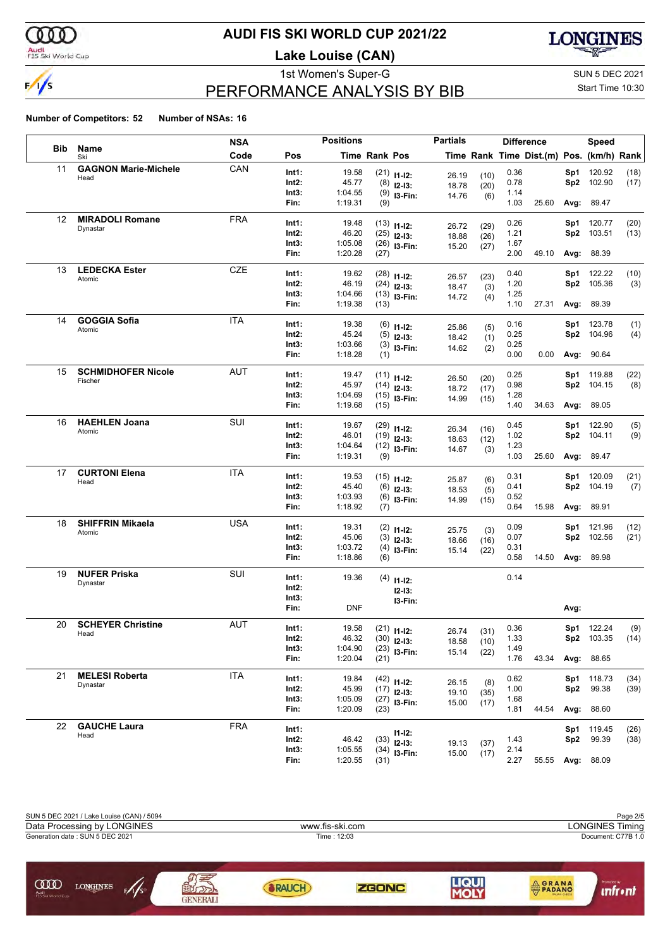

### Audi<br>FIS Ski World Cup

### **AUDI FIS SKI WORLD CUP 2021/22**

**Lake Louise (CAN)**



# PERFORMANCE ANALYSIS BY BIB

1st Women's Super-G Super-G SUN 5 DEC 2021 Start Time 10:30

|            |                             | <b>NSA</b> |                | <b>Positions</b> |                      |                                 | <b>Partials</b> |      | <b>Difference</b> |                                          |            | Speed                |              |
|------------|-----------------------------|------------|----------------|------------------|----------------------|---------------------------------|-----------------|------|-------------------|------------------------------------------|------------|----------------------|--------------|
| <b>Bib</b> | <b>Name</b><br>Ski          | Code       | Pos            |                  | <b>Time Rank Pos</b> |                                 |                 |      |                   | Time Rank Time Dist.(m) Pos. (km/h) Rank |            |                      |              |
| 11         | <b>GAGNON Marie-Michele</b> | CAN        | Int1:          | 19.58            |                      | $(21)$ 11-12:                   | 26.19           | (10) | 0.36              |                                          | Sp1        | 120.92               | (18)         |
|            | Head                        |            | Int2:          | 45.77            |                      | $(8)$ 12-13:                    | 18.78           | (20) | 0.78              |                                          | Sp2        | 102.90               | (17)         |
|            |                             |            | Int3:          | 1:04.55          |                      | $(9)$ 13-Fin:                   | 14.76           | (6)  | 1.14              |                                          |            |                      |              |
|            |                             |            | Fin:           | 1:19.31          | (9)                  |                                 |                 |      | 1.03              | 25.60                                    | Avg:       | 89.47                |              |
| 12         | <b>MIRADOLI Romane</b>      | <b>FRA</b> | Int1:          | 19.48            |                      |                                 |                 |      | 0.26              |                                          | Sp1        | 120.77               | (20)         |
|            | Dynastar                    |            | Int2:          | 46.20            |                      | $(13)$ 11-12:<br>$(25)$ 12-13:  | 26.72           | (29) | 1.21              |                                          | Sp2        | 103.51               | (13)         |
|            |                             |            | Int3:          | 1:05.08          |                      | $(26)$ 13-Fin:                  | 18.88           | (26) | 1.67              |                                          |            |                      |              |
|            |                             |            | Fin:           | 1:20.28          | (27)                 |                                 | 15.20           | (27) | 2.00              | 49.10                                    |            | Avg: 88.39           |              |
| 13         | <b>LEDECKA Ester</b>        | <b>CZE</b> | Int1:          | 19.62            |                      | $(28)$ 11-12:                   |                 |      | 0.40              |                                          | Sp1        | 122.22               | (10)         |
|            | Atomic                      |            | Int2:          | 46.19            |                      | $(24)$ 12-13:                   | 26.57           | (23) | 1.20              |                                          | Sp2        | 105.36               | (3)          |
|            |                             |            | Int3:          | 1:04.66          |                      | $(13)$ 13-Fin:                  | 18.47<br>14.72  | (3)  | 1.25              |                                          |            |                      |              |
|            |                             |            | Fin:           | 1:19.38          | (13)                 |                                 |                 | (4)  | 1.10              | 27.31                                    | Avg:       | 89.39                |              |
| 14         | <b>GOGGIA Sofia</b>         | <b>ITA</b> | Int1:          | 19.38            |                      |                                 |                 |      | 0.16              |                                          | Sp1        | 123.78               | (1)          |
|            | Atomic                      |            | Int2:          | 45.24            | (5)                  | $(6)$ 11-12:                    | 25.86           | (5)  | 0.25              |                                          | Sp2        | 104.96               | (4)          |
|            |                             |            | Int3:          | 1:03.66          |                      | $12-13:$<br>$(3)$ 13-Fin:       | 18.42           | (1)  | 0.25              |                                          |            |                      |              |
|            |                             |            | Fin:           | 1:18.28          | (1)                  |                                 | 14.62           | (2)  | 0.00              | 0.00                                     |            | Avg: 90.64           |              |
| 15         | <b>SCHMIDHOFER Nicole</b>   | AUT        | Int1:          | 19.47            |                      |                                 |                 |      | 0.25              |                                          | Sp1        | 119.88               | (22)         |
|            | Fischer                     |            | Int2:          | 45.97            |                      | $(11)$ 11-12:                   | 26.50           | (20) | 0.98              |                                          | Sp2        | 104.15               | (8)          |
|            |                             |            | Int3:          | 1:04.69          |                      | $(14)$ 12-13:                   | 18.72           | (17) | 1.28              |                                          |            |                      |              |
|            |                             |            | Fin:           | 1:19.68          | (15)                 | $(15)$ 13-Fin:                  | 14.99           | (15) | 1.40              | 34.63                                    | Avg:       | 89.05                |              |
| 16         | <b>HAEHLEN Joana</b>        | SUI        | Int1:          | 19.67            |                      |                                 |                 |      | 0.45              |                                          | Sp1        | 122.90               |              |
|            | Atomic                      |            | Int2:          | 46.01            |                      | $(29)$ 11-12:                   | 26.34           | (16) | 1.02              |                                          | Sp2        | 104.11               | (5)<br>(9)   |
|            |                             |            | Int3:          | 1:04.64          |                      | $(19)$ 12-13:<br>$(12)$ 13-Fin: | 18.63           | (12) | 1.23              |                                          |            |                      |              |
|            |                             |            | Fin:           | 1:19.31          | (9)                  |                                 | 14.67           | (3)  | 1.03              | 25.60                                    | Avg:       | 89.47                |              |
| 17         | <b>CURTONI Elena</b>        | ITA        | Int1:          | 19.53            |                      |                                 |                 |      | 0.31              |                                          | Sp1        | 120.09               | (21)         |
|            | Head                        |            | Int2:          | 45.40            |                      | $(15)$ 11-12:<br>$(6)$ 12-13:   | 25.87           | (6)  | 0.41              |                                          | Sp2        | 104.19               | (7)          |
|            |                             |            | Int3:          | 1:03.93          |                      | $(6)$ 13-Fin:                   | 18.53           | (5)  | 0.52              |                                          |            |                      |              |
|            |                             |            | Fin:           | 1:18.92          | (7)                  |                                 | 14.99           | (15) | 0.64              | 15.98                                    | Avg:       | 89.91                |              |
| 18         | <b>SHIFFRIN Mikaela</b>     | USA        | Int1:          | 19.31            |                      |                                 |                 |      | 0.09              |                                          |            |                      |              |
|            | Atomic                      |            | Int2:          | 45.06            |                      | $(2)$ 11-12:                    | 25.75           | (3)  | 0.07              |                                          | Sp1<br>Sp2 | 121.96<br>102.56     | (12)<br>(21) |
|            |                             |            | Int3:          | 1:03.72          | (3)                  | $12-13:$                        | 18.66           | (16) | 0.31              |                                          |            |                      |              |
|            |                             |            | Fin:           | 1:18.86          | (6)                  | $(4)$ 13-Fin:                   | 15.14           | (22) | 0.58              | 14.50                                    |            | Avg: 89.98           |              |
| 19         | <b>NUFER Priska</b>         | SUI        |                |                  |                      |                                 |                 |      | 0.14              |                                          |            |                      |              |
|            | Dynastar                    |            | Int1:<br>Int2: | 19.36            |                      | $(4)$ 11-12:                    |                 |      |                   |                                          |            |                      |              |
|            |                             |            | Int3:          |                  |                      | $12-13:$                        |                 |      |                   |                                          |            |                      |              |
|            |                             |            | Fin:           | DNF              |                      | I3-Fin:                         |                 |      |                   |                                          | Avg:       |                      |              |
| 20         | <b>SCHEYER Christine</b>    | AUT        | Int1:          | 19.58            |                      |                                 |                 |      | 0.36              |                                          |            |                      |              |
|            | Head                        |            |                | 46.32            |                      | $(21)$ 11-12:                   | 26.74           | (31) | 1.33              |                                          |            | Sp1 122.24<br>103.35 | (9)          |
|            |                             |            | Int2:<br>Int3: | 1:04.90          |                      | $(30)$ 12-13:<br>$(23)$ 13-Fin: | 18.58           | (10) | 1.49              |                                          | Sp2.       |                      | (14)         |
|            |                             |            | Fin:           | 1:20.04          | (21)                 |                                 | 15.14           | (22) | 1.76              | 43.34                                    |            | Avg: 88.65           |              |
| 21         | <b>MELESI Roberta</b>       | <b>ITA</b> | Int1:          | 19.84            |                      |                                 |                 |      | 0.62              |                                          |            | Sp1 118.73           | (34)         |
|            | Dynastar                    |            | Int2:          | 45.99            |                      | $(42)$ 11-12:<br>$(17)$ 12-13:  | 26.15           | (8)  | 1.00              |                                          | Sp2        | 99.38                | (39)         |
|            |                             |            | Int3:          | 1:05.09          |                      | $(27)$ 13-Fin:                  | 19.10           | (35) | 1.68              |                                          |            |                      |              |
|            |                             |            | Fin:           | 1:20.09          | (23)                 |                                 | 15.00           | (17) | 1.81              | 44.54                                    |            | Avg: 88.60           |              |
| 22         | <b>GAUCHE Laura</b>         | <b>FRA</b> | Int1:          |                  |                      |                                 |                 |      |                   |                                          |            | Sp1 119.45           | (26)         |
|            | Head                        |            | Int2:          | 46.42            |                      | $11 - 12$ :<br>$(33)$ 12-13:    |                 |      | 1.43              |                                          | Sp2        | 99.39                | (38)         |
|            |                             |            | Int3:          | 1:05.55          |                      | $(34)$ 13-Fin:                  | 19.13           | (37) | 2.14              |                                          |            |                      |              |
|            |                             |            | Fin:           | 1:20.55          | (31)                 |                                 | 15.00           | (17) | 2.27              | 55.55                                    |            | Avg: 88.09           |              |

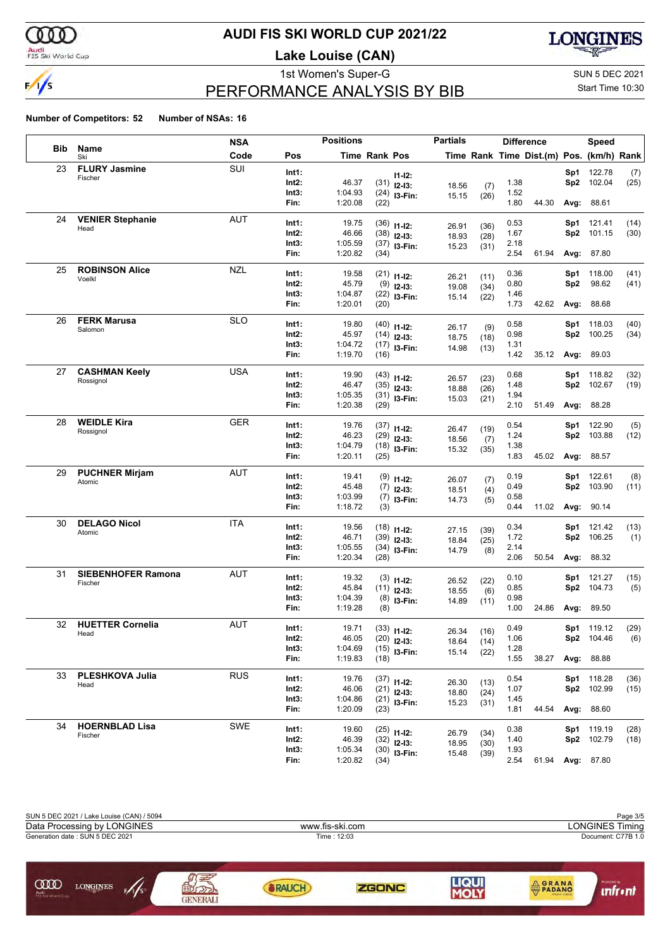

### Audi<br>FIS Ski World Cup

### **AUDI FIS SKI WORLD CUP 2021/22**

**Lake Louise (CAN)**



# PERFORMANCE ANALYSIS BY BIB

1st Women's Super-G Super-G SUN 5 DEC 2021 Start Time 10:30

|            |                           | <b>NSA</b> |       | <b>Positions</b> |                      |                | <b>Partials</b> |              | <b>Difference</b> |                                          |                 | <b>Speed</b>      |      |
|------------|---------------------------|------------|-------|------------------|----------------------|----------------|-----------------|--------------|-------------------|------------------------------------------|-----------------|-------------------|------|
| <b>Bib</b> | <b>Name</b><br>Ski        | Code       | Pos   |                  | <b>Time Rank Pos</b> |                |                 |              |                   | Time Rank Time Dist.(m) Pos. (km/h) Rank |                 |                   |      |
| 23         | <b>FLURY Jasmine</b>      | SUI        | Int1: |                  |                      | $11 - 12$ :    |                 |              |                   |                                          | Sp1             | 122.78            | (7)  |
|            | Fischer                   |            | Int2: | 46.37            | (31)                 | $12 - 13:$     | 18.56           | (7)          | 1.38              |                                          | Sp2             | 102.04            | (25) |
|            |                           |            | Int3: | 1:04.93          |                      | $(24)$ 13-Fin: | 15.15           | (26)         | 1.52              |                                          |                 |                   |      |
|            |                           |            | Fin:  | 1:20.08          | (22)                 |                |                 |              | 1.80              | 44.30                                    | Avg:            | 88.61             |      |
| 24         | <b>VENIER Stephanie</b>   | <b>AUT</b> | Int1: | 19.75            |                      | $(36)$ 11-12:  |                 |              | 0.53              |                                          | Sp1             | 121.41            | (14) |
|            | Head                      |            | Int2: | 46.66            |                      | $(38)$ 12-13:  | 26.91<br>18.93  | (36)         | 1.67              |                                          | Sp2             | 101.15            | (30) |
|            |                           |            | Int3: | 1:05.59          |                      | $(37)$ 13-Fin: | 15.23           | (28)<br>(31) | 2.18              |                                          |                 |                   |      |
|            |                           |            | Fin:  | 1:20.82          | (34)                 |                |                 |              | 2.54              | 61.94                                    |                 | <b>Avg: 87.80</b> |      |
| 25         | <b>ROBINSON Alice</b>     | <b>NZL</b> | Int1: | 19.58            |                      | $(21)$ 11-12:  |                 |              | 0.36              |                                          | Sp1             | 118.00            | (41) |
|            | Voelkl                    |            | Int2: | 45.79            |                      | $(9)$ 12-13:   | 26.21<br>19.08  | (11)         | 0.80              |                                          | Sp <sub>2</sub> | 98.62             | (41) |
|            |                           |            | Int3: | 1:04.87          |                      | $(22)$ 13-Fin: | 15.14           | (34)<br>(22) | 1.46              |                                          |                 |                   |      |
|            |                           |            | Fin:  | 1:20.01          | (20)                 |                |                 |              | 1.73              | 42.62                                    | Avg:            | 88.68             |      |
| 26         | <b>FERK Marusa</b>        | <b>SLO</b> | Int1: | 19.80            |                      | $(40)$ 11-12:  |                 |              | 0.58              |                                          | Sp1             | 118.03            | (40) |
|            | Salomon                   |            | Int2: | 45.97            |                      | $(14)$ 12-13:  | 26.17<br>18.75  | (9)<br>(18)  | 0.98              |                                          | Sp <sub>2</sub> | 100.25            | (34) |
|            |                           |            | Int3: | 1:04.72          |                      | $(17)$ 13-Fin: | 14.98           | (13)         | 1.31              |                                          |                 |                   |      |
|            |                           |            | Fin:  | 1:19.70          | (16)                 |                |                 |              | 1.42              | 35.12                                    |                 | Avg: 89.03        |      |
| 27         | <b>CASHMAN Keely</b>      | <b>USA</b> | Int1: | 19.90            |                      | $(43)$ 11-12:  | 26.57           |              | 0.68              |                                          | Sp1             | 118.82            | (32) |
|            | Rossignol                 |            | Int2: | 46.47            |                      | $(35)$ 12-13:  | 18.88           | (23)<br>(26) | 1.48              |                                          | Sp2             | 102.67            | (19) |
|            |                           |            | Int3: | 1:05.35          |                      | $(31)$ 13-Fin: | 15.03           | (21)         | 1.94              |                                          |                 |                   |      |
|            |                           |            | Fin:  | 1:20.38          | (29)                 |                |                 |              | 2.10              | 51.49                                    | Avg:            | 88.28             |      |
| 28         | <b>WEIDLE Kira</b>        | <b>GER</b> | Int1: | 19.76            |                      | $(37)$ 11-12:  |                 |              | 0.54              |                                          | Sp1             | 122.90            | (5)  |
|            | Rossignol                 |            | Int2: | 46.23            |                      | $(29)$ 12-13:  | 26.47<br>18.56  | (19)<br>(7)  | 1.24              |                                          | Sp2             | 103.88            | (12) |
|            |                           |            | Int3: | 1:04.79          |                      | $(18)$ 13-Fin: | 15.32           | (35)         | 1.38              |                                          |                 |                   |      |
|            |                           |            | Fin:  | 1:20.11          | (25)                 |                |                 |              | 1.83              | 45.02                                    |                 | Avg: 88.57        |      |
| 29         | <b>PUCHNER Mirjam</b>     | <b>AUT</b> | Int1: | 19.41            |                      | $(9)$ 11-12:   |                 |              | 0.19              |                                          | Sp1             | 122.61            | (8)  |
|            | Atomic                    |            | Int2: | 45.48            |                      | $(7)$ 12-13:   | 26.07           | (7)          | 0.49              |                                          | Sp <sub>2</sub> | 103.90            | (11) |
|            |                           |            | Int3: | 1:03.99          |                      | $(7)$ 13-Fin:  | 18.51<br>14.73  | (4)          | 0.58              |                                          |                 |                   |      |
|            |                           |            | Fin:  | 1:18.72          | (3)                  |                |                 | (5)          | 0.44              | 11.02                                    | Avg:            | 90.14             |      |
| 30         | <b>DELAGO Nicol</b>       | <b>ITA</b> | Int1: | 19.56            |                      | $(18)$ 11-12:  |                 |              | 0.34              |                                          | Sp1             | 121.42            | (13) |
|            | Atomic                    |            | Int2: | 46.71            |                      | $(39)$ 12-13:  | 27.15           | (39)         | 1.72              |                                          | Sp <sub>2</sub> | 106.25            | (1)  |
|            |                           |            | Int3: | 1:05.55          |                      | $(34)$ 13-Fin: | 18.84<br>14.79  | (25)         | 2.14              |                                          |                 |                   |      |
|            |                           |            | Fin:  | 1:20.34          | (28)                 |                |                 | (8)          | 2.06              | 50.54                                    |                 | Avg: 88.32        |      |
| 31         | <b>SIEBENHOFER Ramona</b> | <b>AUT</b> | Int1: | 19.32            |                      | $(3)$ 11-12:   |                 |              | 0.10              |                                          | Sp1             | 121.27            | (15) |
|            | Fischer                   |            | Int2: | 45.84            |                      | $(11)$ 12-13:  | 26.52           | (22)         | 0.85              |                                          | Sp2             | 104.73            | (5)  |
|            |                           |            | Int3: | 1:04.39          |                      | $(8)$ 13-Fin:  | 18.55<br>14.89  | (6)<br>(11)  | 0.98              |                                          |                 |                   |      |
|            |                           |            | Fin:  | 1:19.28          | (8)                  |                |                 |              | 1.00              | 24.86                                    | Avg:            | 89.50             |      |
| 32         | <b>HUETTER Cornelia</b>   | <b>AUT</b> | Int1: | 19.71            |                      | $(33)$ 11-12:  |                 |              | 0.49              |                                          |                 | Sp1 119.12        | (29) |
|            | Head                      |            | Int2: | 46.05            |                      | $(20)$ 12-13:  | 26.34<br>18.64  | (16)         | 1.06              |                                          | Sp2             | 104.46            | (6)  |
|            |                           |            | Int3: | 1:04.69          |                      | $(15)$ 13-Fin: | 15.14           | (14)<br>(22) | 1.28              |                                          |                 |                   |      |
|            |                           |            | Fin:  | 1:19.83          | (18)                 |                |                 |              | 1.55              | 38.27                                    |                 | Avg: 88.88        |      |
| 33         | PLESHKOVA Julia           | <b>RUS</b> | Int1: | 19.76            |                      | $(37)$ 11-12:  |                 |              | 0.54              |                                          |                 | Sp1 118.28        | (36) |
|            | Head                      |            | Int2: | 46.06            |                      | $(21)$ 12-13:  | 26.30<br>18.80  | (13)         | 1.07              |                                          |                 | Sp2 102.99        | (15) |
|            |                           |            | Int3: | 1:04.86          |                      | $(21)$ 13-Fin: | 15.23           | (24)<br>(31) | 1.45              |                                          |                 |                   |      |
|            |                           |            | Fin:  | 1:20.09          | (23)                 |                |                 |              | 1.81              | 44.54                                    |                 | Avg: 88.60        |      |
| 34         | <b>HOERNBLAD Lisa</b>     | SWE        | Int1: | 19.60            |                      | $(25)$ 11-12:  |                 |              | 0.38              |                                          |                 | Sp1 119.19        | (28) |
|            | Fischer                   |            | Int2: | 46.39            |                      | $(32)$ 12-13:  | 26.79<br>18.95  | (34)         | 1.40              |                                          |                 | Sp2 102.79        | (18) |
|            |                           |            | Int3: | 1:05.34          |                      | $(30)$ 13-Fin: | 15.48           | (30)<br>(39) | 1.93              |                                          |                 |                   |      |
|            |                           |            | Fin:  | 1:20.82          | (34)                 |                |                 |              | 2.54              | 61.94 Avg: 87.80                         |                 |                   |      |

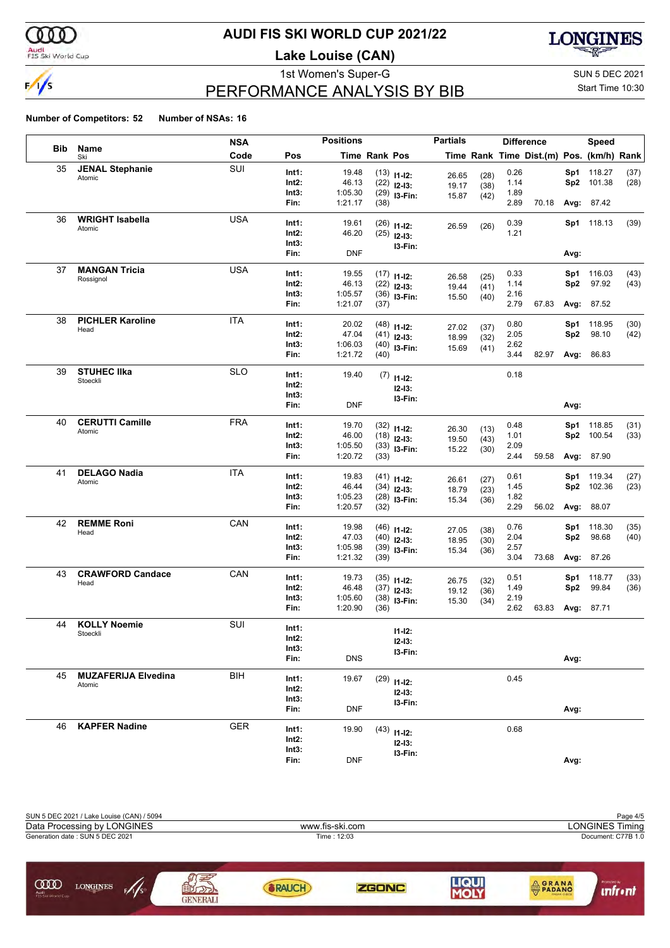

### Audi<br>FIS Ski World Cup

### **AUDI FIS SKI WORLD CUP 2021/22**

**Lake Louise (CAN)**



# PERFORMANCE ANALYSIS BY BIB

1st Women's Super-G Super-G SUN 5 DEC 2021 Start Time 10:30

|            |                            | <b>NSA</b> |                | <b>Positions</b> |                      |                                 | <b>Partials</b> |              | <b>Difference</b> |                                          |                        | <b>Speed</b>    |              |
|------------|----------------------------|------------|----------------|------------------|----------------------|---------------------------------|-----------------|--------------|-------------------|------------------------------------------|------------------------|-----------------|--------------|
| <b>Bib</b> | Name<br>Ski                | Code       | Pos            |                  | <b>Time Rank Pos</b> |                                 |                 |              |                   | Time Rank Time Dist.(m) Pos. (km/h) Rank |                        |                 |              |
| 35         | <b>JENAL Stephanie</b>     | SUI        | Int1:          | 19.48            |                      | $(13)$ 11-12:                   | 26.65           | (28)         | 0.26              |                                          |                        | Sp1 118.27      | (37)         |
|            | Atomic                     |            | Int2:          | 46.13            |                      | $(22)$ 12-13:                   | 19.17           | (38)         | 1.14              |                                          |                        | Sp2 101.38      | (28)         |
|            |                            |            | Int3:          | 1:05.30          |                      | $(29)$ 13-Fin:                  | 15.87           | (42)         | 1.89              |                                          |                        |                 |              |
|            |                            |            | Fin:           | 1:21.17          | (38)                 |                                 |                 |              | 2.89              | 70.18                                    |                        | Avg: 87.42      |              |
| 36         | <b>WRIGHT Isabella</b>     | <b>USA</b> | Int1:          | 19.61            |                      | $(26)$ 11-12:                   | 26.59           |              | 0.39              |                                          |                        | Sp1 118.13      | (39)         |
|            | Atomic                     |            | Int2:          | 46.20            |                      | $(25)$ 12-13:                   |                 | (26)         | 1.21              |                                          |                        |                 |              |
|            |                            |            | Int3:          |                  |                      | I3-Fin:                         |                 |              |                   |                                          |                        |                 |              |
|            |                            |            | Fin:           | <b>DNF</b>       |                      |                                 |                 |              |                   |                                          | Avg:                   |                 |              |
| 37         | <b>MANGAN Tricia</b>       | <b>USA</b> | Int1:          | 19.55            |                      | $(17)$ 11-12:                   | 26.58           |              | 0.33              |                                          | Sp1                    | 116.03          | (43)         |
|            | Rossignol                  |            | Int2:          | 46.13            |                      | $(22)$ 12-13:                   | 19.44           | (25)<br>(41) | 1.14              |                                          | Sp <sub>2</sub>        | 97.92           | (43)         |
|            |                            |            | Int3:          | 1:05.57          |                      | $(36)$ 13-Fin:                  | 15.50           | (40)         | 2.16              |                                          |                        |                 |              |
|            |                            |            | Fin:           | 1:21.07          | (37)                 |                                 |                 |              | 2.79              | 67.83                                    |                        | Avg: 87.52      |              |
| 38         | <b>PICHLER Karoline</b>    | <b>ITA</b> | Int1:          | 20.02            |                      | $(48)$ 11-12:                   |                 |              | 0.80              |                                          | Sp1                    | 118.95          | (30)         |
|            | Head                       |            | Int2:          | 47.04            |                      | $(41)$ 12-13:                   | 27.02<br>18.99  | (37)         | 2.05              |                                          | Sp <sub>2</sub>        | 98.10           | (42)         |
|            |                            |            | Int3:          | 1:06.03          |                      | $(40)$ 13-Fin:                  | 15.69           | (32)         | 2.62              |                                          |                        |                 |              |
|            |                            |            | Fin:           | 1:21.72          | (40)                 |                                 |                 | (41)         | 3.44              | 82.97                                    |                        | Avg: 86.83      |              |
| 39         | <b>STUHEC IIka</b>         | <b>SLO</b> | Int1:          | 19.40            |                      | $(7)$ 11-12:                    |                 |              | 0.18              |                                          |                        |                 |              |
|            | Stoeckli                   |            | Int2:          |                  |                      |                                 |                 |              |                   |                                          |                        |                 |              |
|            |                            |            | Int3:          |                  |                      | $12-13:$                        |                 |              |                   |                                          |                        |                 |              |
|            |                            |            | Fin:           | <b>DNF</b>       |                      | I3-Fin:                         |                 |              |                   |                                          | Avg:                   |                 |              |
| 40         | <b>CERUTTI Camille</b>     | <b>FRA</b> | Int1:          | 19.70            |                      |                                 |                 |              | 0.48              |                                          |                        | Sp1 118.85      | (31)         |
|            | Atomic                     |            | Int2:          | 46.00            |                      | $(32)$ 11-12:<br>$(18)$ 12-13:  | 26.30           | (13)         | 1.01              |                                          |                        | Sp2 100.54      | (33)         |
|            |                            |            | Int3:          | 1:05.50          |                      | $(33)$ 13-Fin:                  | 19.50           | (43)         | 2.09              |                                          |                        |                 |              |
|            |                            |            | Fin:           | 1:20.72          | (33)                 |                                 | 15.22           | (30)         | 2.44              | 59.58                                    |                        | Avg: 87.90      |              |
| 41         | <b>DELAGO Nadia</b>        | <b>ITA</b> | Int1:          | 19.83            |                      |                                 |                 |              | 0.61              |                                          |                        | Sp1 119.34      | (27)         |
|            | Atomic                     |            | Int2:          | 46.44            |                      | $(41)$ 11-12:<br>$(34)$ 12-13:  | 26.61           | (27)         | 1.45              |                                          |                        | Sp2 102.36      | (23)         |
|            |                            |            | Int3:          | 1:05.23          |                      | $(28)$ 13-Fin:                  | 18.79           | (23)         | 1.82              |                                          |                        |                 |              |
|            |                            |            | Fin:           | 1:20.57          | (32)                 |                                 | 15.34           | (36)         | 2.29              | 56.02                                    |                        | Avg: 88.07      |              |
| 42         | <b>REMME Roni</b>          | CAN        | Int1:          | 19.98            |                      |                                 |                 |              | 0.76              |                                          | Sp1                    | 118.30          | (35)         |
|            | Head                       |            | Int2:          | 47.03            |                      | $(46)$ 11-12:                   | 27.05           | (38)         | 2.04              |                                          | Sp <sub>2</sub>        | 98.68           | (40)         |
|            |                            |            | Int3:          | 1:05.98          |                      | $(40)$ 12-13:<br>$(39)$ 13-Fin: | 18.95           | (30)         | 2.57              |                                          |                        |                 |              |
|            |                            |            | Fin:           | 1:21.32          | (39)                 |                                 | 15.34           | (36)         | 3.04              | 73.68                                    |                        | Avg: 87.26      |              |
| 43         | <b>CRAWFORD Candace</b>    | CAN        | Int1:          | 19.73            |                      |                                 |                 |              |                   |                                          |                        |                 |              |
|            | Head                       |            | Int2:          | 46.48            |                      | $(35)$ 11-12:                   | 26.75           | (32)         | 0.51<br>1.49      |                                          | Sp1<br>Sp <sub>2</sub> | 118.77<br>99.84 | (33)<br>(36) |
|            |                            |            | Int3:          | 1:05.60          |                      | $(37)$ 12-13:                   | 19.12           | (36)         | 2.19              |                                          |                        |                 |              |
|            |                            |            | Fin:           | 1:20.90          | (36)                 | $(38)$ 13-Fin:                  | 15.30           | (34)         | 2.62              | 63.83                                    |                        | Avg: 87.71      |              |
| 44         | <b>KOLLY Noemie</b>        | SUI        | Int1:          |                  |                      |                                 |                 |              |                   |                                          |                        |                 |              |
|            | Stoeckli                   |            | Int2:          |                  |                      | $11 - 12$ :                     |                 |              |                   |                                          |                        |                 |              |
|            |                            |            | Int3:          |                  |                      | $12 - 13:$                      |                 |              |                   |                                          |                        |                 |              |
|            |                            |            | Fin:           | <b>DNS</b>       |                      | I3-Fin:                         |                 |              |                   |                                          | Avg:                   |                 |              |
| 45         | <b>MUZAFERIJA Elvedina</b> | <b>BIH</b> |                |                  |                      |                                 |                 |              |                   |                                          |                        |                 |              |
|            | Atomic                     |            | Int1:<br>Int2: | 19.67            | (29)                 | $11 - 12$ :                     |                 |              | 0.45              |                                          |                        |                 |              |
|            |                            |            | Int3:          |                  |                      | $12-13:$                        |                 |              |                   |                                          |                        |                 |              |
|            |                            |            | Fin:           | <b>DNF</b>       |                      | I3-Fin:                         |                 |              |                   |                                          | Avg:                   |                 |              |
| 46         | <b>KAPFER Nadine</b>       | <b>GER</b> |                |                  |                      |                                 |                 |              |                   |                                          |                        |                 |              |
|            |                            |            | Int1:<br>Int2: | 19.90            |                      | $(43)$ 11-12:                   |                 |              | 0.68              |                                          |                        |                 |              |
|            |                            |            | Int3:          |                  |                      | $12-13:$                        |                 |              |                   |                                          |                        |                 |              |
|            |                            |            | Fin:           | <b>DNF</b>       |                      | I3-Fin:                         |                 |              |                   |                                          | Avg:                   |                 |              |
|            |                            |            |                |                  |                      |                                 |                 |              |                   |                                          |                        |                 |              |

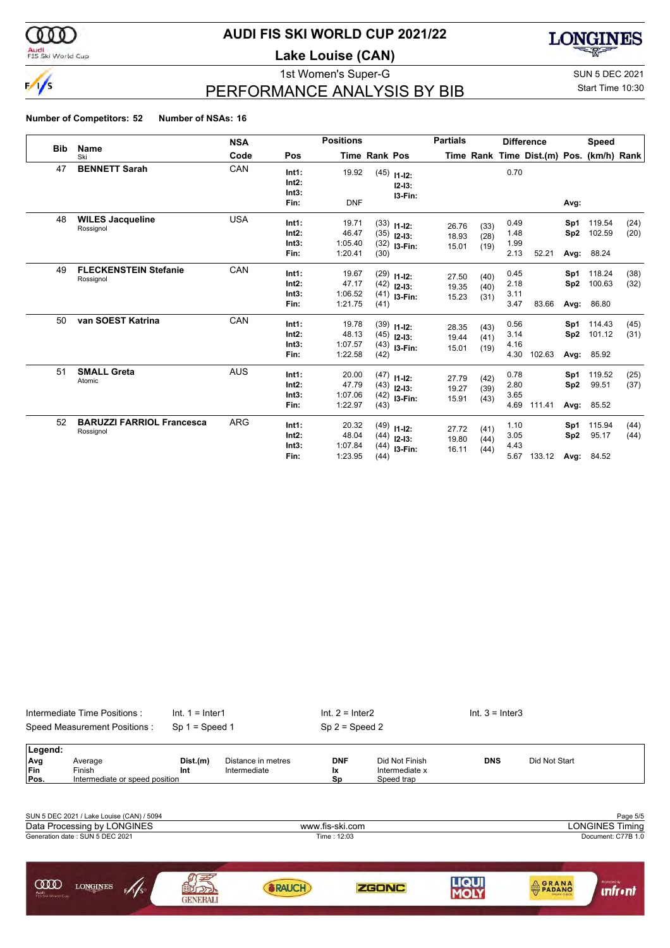

### Audi<br>FIS Ski World Cup

### **AUDI FIS SKI WORLD CUP 2021/22**

**Lake Louise (CAN)**



# PERFORMANCE ANALYSIS BY BIB

1st Women's Super-G Super-G SUN 5 DEC 2021 Start Time 10:30

#### **Number of Competitors: 52 Number of NSAs: 16**

|            |                                               | <b>NSA</b> |                                 | <b>Positions</b>                     |                      |                                                  | <b>Partials</b>         |                      |                              | <b>Difference</b>                        |                                | <b>Speed</b>                   |              |
|------------|-----------------------------------------------|------------|---------------------------------|--------------------------------------|----------------------|--------------------------------------------------|-------------------------|----------------------|------------------------------|------------------------------------------|--------------------------------|--------------------------------|--------------|
| <b>Bib</b> | Name<br>Ski                                   | Code       | Pos                             |                                      | <b>Time Rank Pos</b> |                                                  |                         |                      |                              | Time Rank Time Dist.(m) Pos. (km/h) Rank |                                |                                |              |
| 47         | <b>BENNETT Sarah</b>                          | CAN        | Int1:<br>Int2:<br>Int3:<br>Fin: | 19.92<br><b>DNF</b>                  | (45)                 | $11 - 12$ :<br>$12-13:$<br>13-Fin:               |                         |                      | 0.70                         |                                          | Avg:                           |                                |              |
| 48         | <b>WILES Jacqueline</b><br>Rossignol          | <b>USA</b> | Int1:<br>Int2:<br>Int3:<br>Fin: | 19.71<br>46.47<br>1:05.40<br>1:20.41 | (30)                 | $(33)$ 11-12:<br>$(35)$ 12-13:<br>$(32)$ 13-Fin: | 26.76<br>18.93<br>15.01 | (33)<br>(28)<br>(19) | 0.49<br>1.48<br>1.99<br>2.13 | 52.21                                    | Sp1<br>Sp <sub>2</sub>         | 119.54<br>102.59<br>Avg: 88.24 | (24)<br>(20) |
| 49         | <b>FLECKENSTEIN Stefanie</b><br>Rossignol     | CAN        | Int1:<br>Int2:<br>Int3:<br>Fin: | 19.67<br>47.17<br>1:06.52<br>1:21.75 | (41)                 | $(29)$ 11-12:<br>$(42)$ 12-13:<br>$(41)$ 13-Fin: | 27.50<br>19.35<br>15.23 | (40)<br>(40)<br>(31) | 0.45<br>2.18<br>3.11<br>3.47 | 83.66                                    | Sp1<br>Sp <sub>2</sub><br>Avg: | 118.24<br>100.63<br>86.80      | (38)<br>(32) |
| 50         | van SOEST Katrina                             | CAN        | Int1:<br>Int2:<br>Int3:<br>Fin: | 19.78<br>48.13<br>1:07.57<br>1:22.58 | (42)                 | $(39)$ 11-12:<br>$(45)$ 12-13:<br>$(43)$ 13-Fin: | 28.35<br>19.44<br>15.01 | (43)<br>(41)<br>(19) | 0.56<br>3.14<br>4.16<br>4.30 | 102.63                                   | Sp1<br>Sp <sub>2</sub><br>Avg: | 114.43<br>101.12<br>85.92      | (45)<br>(31) |
| 51         | <b>SMALL Greta</b><br>Atomic                  | <b>AUS</b> | Int1:<br>Int2:<br>Int3:<br>Fin: | 20.00<br>47.79<br>1:07.06<br>1:22.97 | (43)                 | $(47)$ 11-12:<br>$(43)$ 12-13:<br>$(42)$ 13-Fin: | 27.79<br>19.27<br>15.91 | (42)<br>(39)<br>(43) | 0.78<br>2.80<br>3.65<br>4.69 | 111.41                                   | Sp1<br>Sp <sub>2</sub><br>Avg: | 119.52<br>99.51<br>85.52       | (25)<br>(37) |
| 52         | <b>BARUZZI FARRIOL Francesca</b><br>Rossignol | <b>ARG</b> | Int1:<br>Int2:<br>Int3:<br>Fin: | 20.32<br>48.04<br>1:07.84<br>1:23.95 | (44)<br>(44)         | $(49)$ 11-12:<br>$(44)$ 12-13:<br>I3-Fin:        | 27.72<br>19.80<br>16.11 | (41)<br>(44)<br>(44) | 1.10<br>3.05<br>4.43<br>5.67 | 133.12                                   | Sp1<br>Sp <sub>2</sub>         | 115.94<br>95.17<br>Avg: 84.52  | (44)<br>(44) |

|                           | Speed Measurement Positions:                        | $Sp 1 = Speed 1$ |                                    | $Sp 2 = Speed 2$        |                                                |            |                        |
|---------------------------|-----------------------------------------------------|------------------|------------------------------------|-------------------------|------------------------------------------------|------------|------------------------|
| Legend:                   |                                                     |                  |                                    |                         |                                                |            |                        |
| Avg<br><b>Fin</b><br>Pos. | Average<br>Finish<br>Intermediate or speed position | Dist.(m)<br>Int  | Distance in metres<br>Intermediate | <b>DNF</b><br>Ιx.<br>Sp | Did Not Finish<br>Intermediate x<br>Speed trap | <b>DNS</b> | Did Not Start          |
|                           |                                                     |                  |                                    |                         |                                                |            |                        |
|                           | SUN 5 DEC 2021 / Lake Louise (CAN) / 5094           |                  |                                    |                         |                                                |            | Page 5/5               |
|                           | Data Processing by LONGINES                         |                  |                                    | www.fis-ski.com         |                                                |            | <b>LONGINES Timing</b> |
|                           | Generation date: SUN 5 DEC 2021                     |                  |                                    | Time: 12:03             |                                                |            | Document: C77B 1.0     |
|                           |                                                     |                  |                                    |                         |                                                |            |                        |
|                           |                                                     |                  |                                    |                         |                                                |            |                        |

**ZGONC** 

**LIQUI**<br>MOLY

**ORANA** 

**unfr** • nt

Intermediate Time Positions : Int. 1 = Inter1 Int. 2 = Inter2 Int. 3 = Inter3

**SRAUCH** 

**ARTISTS** 

 $\mathscr{N}_s$ 

**COD** LONGINES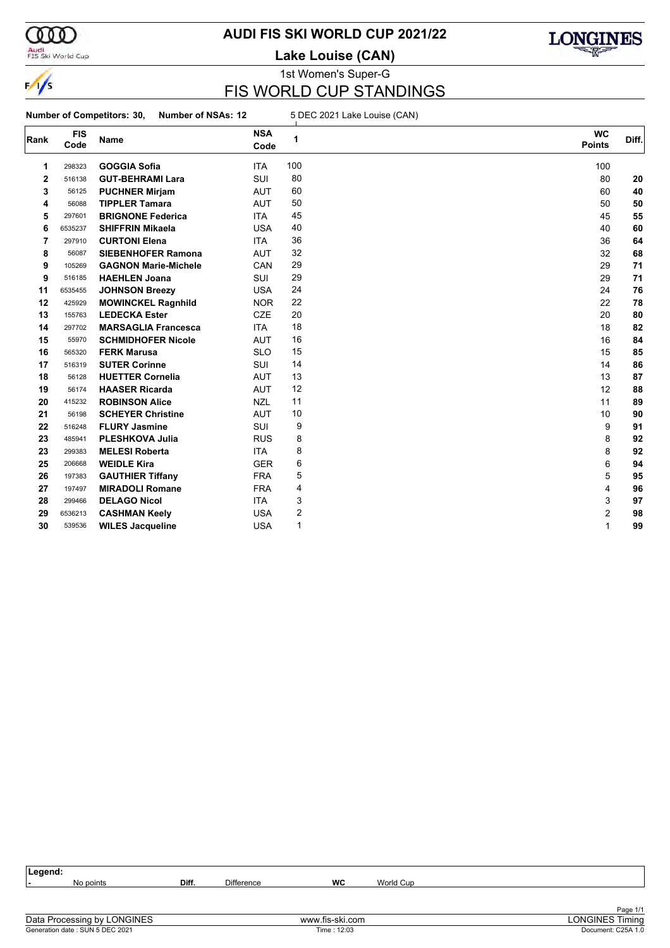

### Audi<br>FIS Ski World Cup

# **AUDI FIS SKI WORLD CUP 2021/22**

**Lake Louise (CAN)**



### 1st Women's Super-G FIS WORLD CUP STANDINGS

**Number of Competitors: 30, Number of NSAs: 12** 5 DEC 2021 Lake Louise (CAN)

| Rank         | <b>FIS</b><br>Code | Name                        | <b>NSA</b><br>Code | 1   | <b>WC</b><br><b>Points</b> | Diff. |
|--------------|--------------------|-----------------------------|--------------------|-----|----------------------------|-------|
| 1            | 298323             | <b>GOGGIA Sofia</b>         | <b>ITA</b>         | 100 | 100                        |       |
| $\mathbf{2}$ | 516138             | <b>GUT-BEHRAMI Lara</b>     | <b>SUI</b>         | 80  | 80                         | 20    |
| 3            | 56125              | <b>PUCHNER Mirjam</b>       | <b>AUT</b>         | 60  | 60                         | 40    |
| 4            | 56088              | <b>TIPPLER Tamara</b>       | <b>AUT</b>         | 50  | 50                         | 50    |
| 5            | 297601             | <b>BRIGNONE Federica</b>    | <b>ITA</b>         | 45  | 45                         | 55    |
| 6            | 6535237            | <b>SHIFFRIN Mikaela</b>     | <b>USA</b>         | 40  | 40                         | 60    |
| 7            | 297910             | <b>CURTONI Elena</b>        | <b>ITA</b>         | 36  | 36                         | 64    |
| 8            | 56087              | <b>SIEBENHOFER Ramona</b>   | <b>AUT</b>         | 32  | 32                         | 68    |
| 9            | 105269             | <b>GAGNON Marie-Michele</b> | CAN                | 29  | 29                         | 71    |
| 9            | 516185             | <b>HAEHLEN Joana</b>        | <b>SUI</b>         | 29  | 29                         | 71    |
| 11           | 6535455            | <b>JOHNSON Breezy</b>       | <b>USA</b>         | 24  | 24                         | 76    |
| 12           | 425929             | <b>MOWINCKEL Ragnhild</b>   | <b>NOR</b>         | 22  | 22                         | 78    |
| 13           | 155763             | <b>LEDECKA Ester</b>        | <b>CZE</b>         | 20  | 20                         | 80    |
| 14           | 297702             | <b>MARSAGLIA Francesca</b>  | <b>ITA</b>         | 18  | 18                         | 82    |
| 15           | 55970              | <b>SCHMIDHOFER Nicole</b>   | <b>AUT</b>         | 16  | 16                         | 84    |
| 16           | 565320             | <b>FERK Marusa</b>          | <b>SLO</b>         | 15  | 15                         | 85    |
| 17           | 516319             | <b>SUTER Corinne</b>        | SUI                | 14  | 14                         | 86    |
| 18           | 56128              | <b>HUETTER Cornelia</b>     | <b>AUT</b>         | 13  | 13                         | 87    |
| 19           | 56174              | <b>HAASER Ricarda</b>       | <b>AUT</b>         | 12  | 12                         | 88    |
| 20           | 415232             | <b>ROBINSON Alice</b>       | <b>NZL</b>         | 11  | 11                         | 89    |
| 21           | 56198              | <b>SCHEYER Christine</b>    | <b>AUT</b>         | 10  | 10                         | 90    |
| 22           | 516248             | <b>FLURY Jasmine</b>        | SUI                | 9   | 9                          | 91    |
| 23           | 485941             | <b>PLESHKOVA Julia</b>      | <b>RUS</b>         | 8   | 8                          | 92    |
| 23           | 299383             | <b>MELESI Roberta</b>       | <b>ITA</b>         | 8   | 8                          | 92    |
| 25           | 206668             | <b>WEIDLE Kira</b>          | <b>GER</b>         | 6   | 6                          | 94    |
| 26           | 197383             | <b>GAUTHIER Tiffany</b>     | <b>FRA</b>         | 5   | 5                          | 95    |
| 27           | 197497             | <b>MIRADOLI Romane</b>      | <b>FRA</b>         | 4   | 4                          | 96    |
| 28           | 299466             | <b>DELAGO Nicol</b>         | <b>ITA</b>         | 3   | 3                          | 97    |
| 29           | 6536213            | <b>CASHMAN Keely</b>        | <b>USA</b>         | 2   | 2                          | 98    |
| 30           | 539536             | <b>WILES Jacqueline</b>     | <b>USA</b>         | 1   | 1                          | 99    |

| Legend: |           |       |                   |               |           |              |
|---------|-----------|-------|-------------------|---------------|-----------|--------------|
|         | No points | Diff. | <b>Difference</b> | <b>WC</b>     | World Cup |              |
|         |           |       |                   |               |           |              |
|         |           |       |                   |               |           |              |
| - - -   |           |       |                   | $\sim$ $\sim$ |           | Page 1/1<br> |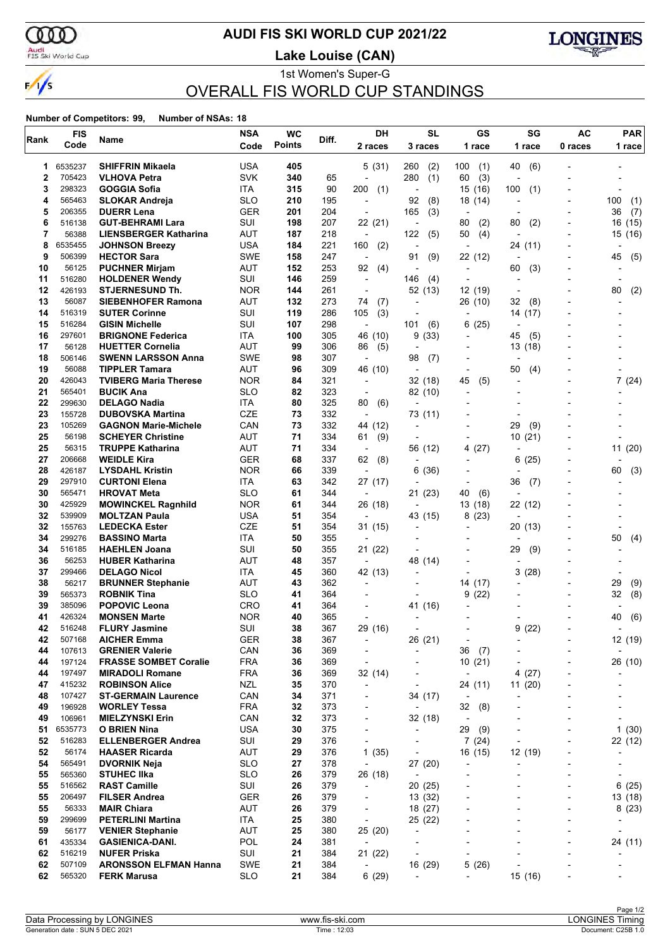

### **AUDI FIS SKI WORLD CUP 2021/22**

Audi<br>FIS Ski World Cup

**Lake Louise (CAN)**



1st Women's Super-G OVERALL FIS WORLD CUP STANDINGS

|        | <b>FIS</b>       |                                             | <b>NSA</b>        | <b>WC</b>     | Diff.      | DH                                    | <b>SL</b>                | GS                                  | SG                       | <b>AC</b>                | <b>PAR</b>               |
|--------|------------------|---------------------------------------------|-------------------|---------------|------------|---------------------------------------|--------------------------|-------------------------------------|--------------------------|--------------------------|--------------------------|
| Rank   | Code             | Name                                        | Code              | <b>Points</b> |            | 2 races                               | 3 races                  | 1 race                              | 1 race                   | 0 races                  | 1 race                   |
|        |                  |                                             |                   |               |            |                                       |                          |                                     |                          |                          |                          |
| 1      | 6535237          | <b>SHIFFRIN Mikaela</b>                     | <b>USA</b>        | 405           |            | 5(31)                                 | (2)<br>260               | 100<br>(1)                          | 40<br>(6)                |                          |                          |
| 2      | 705423           | <b>VLHOVA Petra</b>                         | <b>SVK</b>        | 340           | 65         | $\overline{a}$                        | 280<br>(1)               | (3)<br>60                           |                          |                          |                          |
| 3      | 298323           | <b>GOGGIA Sofia</b>                         | ITA               | 315           | 90         | 200<br>(1)                            |                          | 15<br>(16)                          | 100<br>(1)               |                          |                          |
| 4      | 565463           | <b>SLOKAR Andreja</b>                       | <b>SLO</b>        | 210           | 195        | $\overline{a}$                        | 92<br>(8)                | 18 (14)                             | ÷                        |                          | 100<br>(1)               |
| 5      | 206355           | <b>DUERR Lena</b>                           | <b>GER</b><br>SUI | 201           | 204        | $\overline{\phantom{a}}$              | 165<br>(3)               | $\overline{\phantom{a}}$            |                          |                          | 36<br>(7)                |
| 6<br>7 | 516138           | <b>GUT-BEHRAMI Lara</b>                     |                   | 198           | 207        | 22 (21)                               | $\overline{\phantom{a}}$ | (2)<br>80                           | 80<br>(2)                |                          | (15)<br>16               |
| 8      | 56388<br>6535455 | <b>LIENSBERGER Katharina</b>                | AUT<br><b>USA</b> | 187           | 218<br>221 | $\overline{\phantom{a}}$              | 122<br>(5)               | 50<br>(4)<br>÷,                     |                          |                          | 15 (16)                  |
| 9      | 506399           | <b>JOHNSON Breezy</b><br><b>HECTOR Sara</b> | <b>SWE</b>        | 184<br>158    | 247        | 160<br>(2)                            | 91                       |                                     | 24 (11)                  |                          | 45                       |
| 10     | 56125            | <b>PUCHNER Mirjam</b>                       | AUT               | 152           | 253        | $\overline{\phantom{a}}$<br>92<br>(4) | (9)<br>$\overline{a}$    | 22 (12)<br>$\overline{\phantom{a}}$ | 60                       |                          | (5)                      |
| 11     | 516280           | <b>HOLDENER Wendy</b>                       | SUI               | 146           | 259        | $\overline{\phantom{a}}$              | 146<br>(4)               | $\overline{a}$                      | (3)<br>$\blacksquare$    |                          |                          |
| 12     | 426193           | <b>STJERNESUND Th.</b>                      | <b>NOR</b>        | 144           | 261        | $\overline{\phantom{a}}$              | 52 (13)                  | 12 (19)                             | $\overline{\phantom{a}}$ |                          | 80<br>(2)                |
| 13     | 56087            | <b>SIEBENHOFER Ramona</b>                   | AUT               | 132           | 273        | 74<br>(7)                             | $\blacksquare$           | 26 (10)                             | 32<br>(8)                |                          |                          |
| 14     | 516319           | <b>SUTER Corinne</b>                        | SUI               | 119           | 286        | (3)<br>105                            |                          | ٠                                   | 14 (17)                  |                          |                          |
| 15     | 516284           | <b>GISIN Michelle</b>                       | SUI               | 107           | 298        | $\overline{\phantom{a}}$              | 101<br>(6)               | (25)<br>6                           |                          |                          |                          |
| 16     | 297601           | <b>BRIGNONE Federica</b>                    | ITA               | 100           | 305        | 46 (10)                               | 9<br>(33)                | $\overline{a}$                      | 45<br>(5)                |                          |                          |
| 17     | 56128            | <b>HUETTER Cornelia</b>                     | AUT               | 99            | 306        | 86<br>(5)                             | $\overline{a}$           |                                     | 13 (18)                  |                          |                          |
| 18     | 506146           | <b>SWENN LARSSON Anna</b>                   | <b>SWE</b>        | 98            | 307        | $\blacksquare$                        | 98<br>(7)                |                                     | $\overline{\phantom{a}}$ |                          |                          |
| 19     | 56088            | <b>TIPPLER Tamara</b>                       | AUT               | 96            | 309        | 46 (10)                               | $\overline{\phantom{a}}$ | $\overline{\phantom{a}}$            | 50<br>(4)                |                          |                          |
| 20     | 426043           | <b>TVIBERG Maria Therese</b>                | <b>NOR</b>        | 84            | 321        | $\overline{a}$                        | 32 (18)                  | 45<br>(5)                           | ÷                        |                          | 7(24)                    |
| 21     | 565401           | <b>BUCIK Ana</b>                            | <b>SLO</b>        | 82            | 323        | $\overline{a}$                        | 82 (10)                  |                                     |                          |                          |                          |
| 22     | 299630           | <b>DELAGO Nadia</b>                         | <b>ITA</b>        | 80            | 325        | 80<br>(6)                             | $\overline{a}$           |                                     |                          |                          |                          |
| 23     | 155728           | <b>DUBOVSKA Martina</b>                     | CZE               | 73            | 332        | $\overline{\phantom{a}}$              | 73 (11)                  |                                     |                          |                          |                          |
| 23     | 105269           | <b>GAGNON Marie-Michele</b>                 | CAN               | 73            | 332        | 44 (12)                               | $\overline{\phantom{a}}$ |                                     | 29<br>(9)                |                          |                          |
| 25     | 56198            | <b>SCHEYER Christine</b>                    | AUT               | 71            | 334        | 61<br>(9)                             |                          |                                     | 10<br>(21)               |                          |                          |
| 25     | 56315            | <b>TRUPPE Katharina</b>                     | <b>AUT</b>        | 71            | 334        | $\overline{\phantom{a}}$              | 56 (12)                  | (27)<br>4                           |                          |                          | 11 (20)                  |
| 27     | 206668           | <b>WEIDLE Kira</b>                          | <b>GER</b>        | 68            | 337        | 62<br>(8)                             |                          |                                     | 6<br>(25)                |                          |                          |
| 28     | 426187           | <b>LYSDAHL Kristin</b>                      | <b>NOR</b>        | 66            | 339        | $\overline{\phantom{a}}$              | 6<br>(36)                |                                     |                          |                          | 60<br>(3)                |
| 29     | 297910           | <b>CURTONI Elena</b>                        | ITA               | 63            | 342        | 27 (17)                               |                          | $\overline{a}$                      | 36<br>(7)                |                          |                          |
| 30     | 565471           | <b>HROVAT Meta</b>                          | <b>SLO</b>        | 61            | 344        | $\overline{\phantom{a}}$              | 21(23)                   | 40<br>(6)                           | ٠                        |                          |                          |
| 30     | 425929           | <b>MOWINCKEL Ragnhild</b>                   | <b>NOR</b>        | 61            | 344        | 26 (18)                               | $\blacksquare$           | 13 (18)                             | 22 (12)                  |                          |                          |
| 32     | 539909           | <b>MOLTZAN Paula</b>                        | <b>USA</b>        | 51            | 354        | $\overline{a}$                        | 43 (15)                  | (23)<br>8                           |                          |                          |                          |
| 32     | 155763           | <b>LEDECKA Ester</b>                        | <b>CZE</b>        | 51            | 354        | 31 (15)                               |                          |                                     | 20 (13)                  |                          |                          |
| 34     | 299276           | <b>BASSINO Marta</b>                        | ITA               | 50            | 355        | $\overline{a}$                        |                          |                                     |                          |                          | 50<br>(4)                |
| 34     | 516185           | <b>HAEHLEN Joana</b>                        | SUI               | 50            | 355        | 21 (22)                               |                          |                                     | 29<br>(9)                |                          |                          |
| 36     | 56253            | <b>HUBER Katharina</b>                      | AUT               | 48            | 357        | $\overline{\phantom{a}}$              | 48 (14)                  |                                     | ٠                        |                          |                          |
| 37     | 299466           | <b>DELAGO Nicol</b>                         | ITA               | 45            | 360        | 42 (13)                               | $\overline{\phantom{a}}$ | $\overline{\phantom{0}}$            | 3<br>(28)                |                          |                          |
| 38     | 56217            | <b>BRUNNER Stephanie</b>                    | AUT               | 43            | 362        | $\overline{\phantom{a}}$              |                          | 14 (17)                             |                          |                          | 29<br>(9)                |
| 39     | 565373           | <b>ROBNIK Tina</b>                          | <b>SLO</b>        | 41            | 364        |                                       |                          | (22)<br>9                           |                          |                          | (8)<br>32                |
| 39     | 385096           | <b>POPOVIC Leona</b>                        | <b>CRO</b>        | 41            | 364        | $\overline{\phantom{a}}$              | 41 (16)                  |                                     |                          |                          |                          |
| 41     | 426324           | <b>MONSEN Marte</b>                         | <b>NOR</b>        | 40            | 365        | ÷,                                    |                          |                                     |                          |                          | (6)<br>40                |
| 42     | 516248           | <b>FLURY Jasmine</b>                        | SUI               | 38            | 367        | 29 (16)                               |                          |                                     | 9<br>(22)                |                          |                          |
| 42     | 507168           | <b>AICHER Emma</b>                          | GER               | 38            | 367        | -                                     | 26 (21)                  | -                                   |                          |                          | 12 (19)                  |
| 44     | 107613           | <b>GRENIER Valerie</b>                      | CAN               | 36            | 369        | $\overline{\phantom{a}}$              | ÷,                       | 36<br>(7)                           |                          |                          | $\overline{a}$           |
| 44     | 197124           | <b>FRASSE SOMBET Coralie</b>                | <b>FRA</b>        | 36            | 369        | $\overline{a}$                        |                          | 10(21)                              |                          |                          | 26 (10)                  |
| 44     | 197497           | <b>MIRADOLI Romane</b>                      | <b>FRA</b>        | 36            | 369        | 32 (14)                               | $\overline{\phantom{a}}$ |                                     | 4(27)                    |                          |                          |
| 47     | 415232           | <b>ROBINSON Alice</b>                       | <b>NZL</b>        | 35            | 370        | ÷,                                    | $\overline{a}$           | 24 (11)                             | 11(20)                   |                          |                          |
| 48     | 107427           | <b>ST-GERMAIN Laurence</b>                  | CAN               | 34            | 371        |                                       | 34 (17)                  |                                     |                          |                          |                          |
| 49     | 196928           | <b>WORLEY Tessa</b>                         | <b>FRA</b>        | 32            | 373        | -                                     | $\overline{\phantom{a}}$ | 32<br>(8)                           | ۰                        |                          |                          |
| 49     | 106961           | <b>MIELZYNSKI Erin</b>                      | CAN               | 32            | 373        | $\overline{\phantom{a}}$              | 32 (18)                  | $\overline{\phantom{a}}$            | $\overline{\phantom{a}}$ |                          | $\overline{\phantom{a}}$ |
| 51     | 6535773          | O BRIEN Nina                                | <b>USA</b>        | 30            | 375        | -                                     | $\blacksquare$           | 29<br>(9)                           |                          |                          | 1(30)                    |
| 52     | 516283           | <b>ELLENBERGER Andrea</b>                   | SUI               | 29            | 376        | $\blacksquare$                        | $\overline{a}$           | 7(24)                               | $\overline{a}$           |                          | 22 (12)                  |
| 52     | 56174            | <b>HAASER Ricarda</b>                       | <b>AUT</b>        | 29            | 376        | 1(35)                                 | $\overline{\phantom{a}}$ | 16 (15)                             | 12 (19)                  |                          |                          |
| 54     | 565491           | <b>DVORNIK Neja</b>                         | <b>SLO</b>        | 27            | 378        | $\overline{a}$                        | 27 (20)                  |                                     |                          |                          |                          |
| 55     | 565360           | <b>STUHEC IIka</b>                          | <b>SLO</b>        | 26            | 379        | 26 (18)                               | $\overline{\phantom{a}}$ | $\overline{a}$                      |                          |                          | ٠                        |
| 55     | 516562           | <b>RAST Camille</b>                         | SUI               | 26            | 379        | $\overline{\phantom{a}}$              | 20(25)                   |                                     | $\blacksquare$           |                          | 6(25)                    |
| 55     | 206497           | <b>FILSER Andrea</b>                        | <b>GER</b>        | 26            | 379        |                                       | 13 (32)                  |                                     |                          |                          | 13 (18)                  |
| 55     | 56333            | <b>MAIR Chiara</b>                          | <b>AUT</b>        | 26            | 379        | $\overline{\phantom{a}}$              | 18 (27)                  | $\overline{\phantom{0}}$            | $\overline{\phantom{0}}$ |                          | 8(23)                    |
| 59     | 299699           | <b>PETERLINI Martina</b>                    | ITA               | 25            | 380        | $\overline{\phantom{a}}$              | 25 (22)                  |                                     | $\overline{\phantom{0}}$ |                          |                          |
| 59     | 56177            | <b>VENIER Stephanie</b>                     | <b>AUT</b>        | 25            | 380        | 25 (20)                               | $\overline{a}$           |                                     |                          |                          |                          |
| 61     | 435334           | <b>GASIENICA-DANI.</b>                      | POL               | 24            | 381        | $\overline{\phantom{a}}$              |                          | $\overline{a}$                      | $\overline{a}$           | $\overline{\phantom{a}}$ | 24 (11)                  |
| 62     | 516219           | <b>NUFER Priska</b>                         | SUI               | 21            | 384        | 21 (22)                               | $\overline{\phantom{a}}$ | ٠                                   |                          |                          |                          |
| 62     | 507109           | <b>ARONSSON ELFMAN Hanna</b>                | <b>SWE</b>        | 21            | 384        | $\overline{\phantom{a}}$              | 16 (29)                  | 5<br>(26)                           |                          |                          |                          |
| 62     | 565320           | <b>FERK Marusa</b>                          | <b>SLO</b>        | 21            | 384        | 6(29)                                 | $\overline{\phantom{a}}$ | $\overline{\phantom{0}}$            | 15 (16)                  |                          | $\overline{\phantom{0}}$ |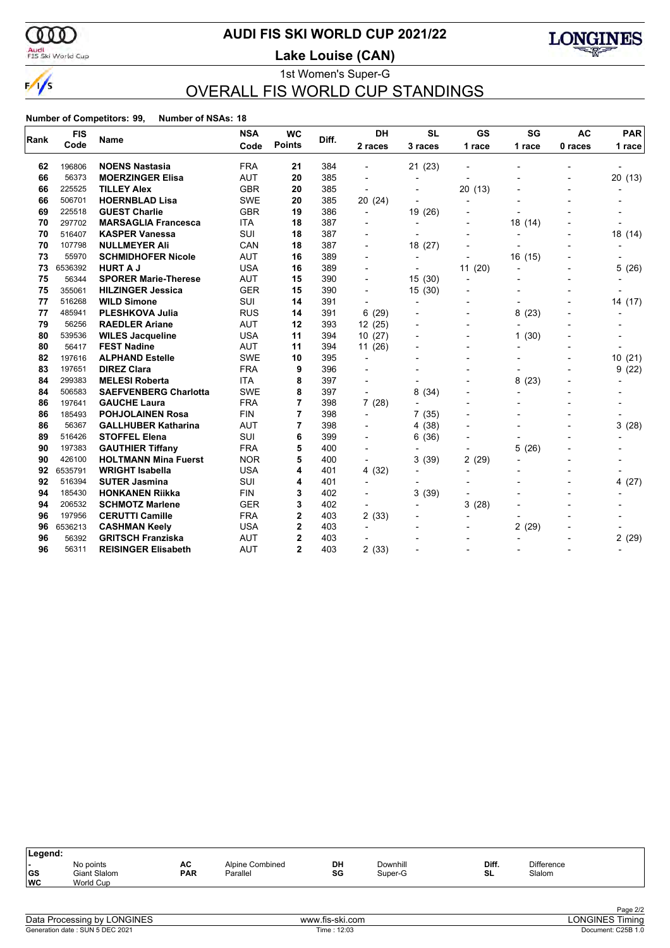

### **AUDI FIS SKI WORLD CUP 2021/22**

Audi<br>FIS Ski World Cup

1st Women's Super-G **Lake Louise (CAN)**



# OVERALL FIS WORLD CUP STANDINGS

| Rank | <b>FIS</b> | <b>Name</b>                  | <b>NSA</b> | <b>WC</b>      | Diff. | DH                       | <b>SL</b>                | GS                       | SG             | <b>AC</b>      | <b>PAR</b> |
|------|------------|------------------------------|------------|----------------|-------|--------------------------|--------------------------|--------------------------|----------------|----------------|------------|
|      | Code       |                              | Code       | <b>Points</b>  |       | 2 races                  | 3 races                  | 1 race                   | 1 race         | 0 races        | 1 race     |
| 62   | 196806     | <b>NOENS Nastasia</b>        | <b>FRA</b> | 21             | 384   |                          | 21 (23)                  |                          |                |                |            |
| 66   | 56373      | <b>MOERZINGER Elisa</b>      | <b>AUT</b> | 20             | 385   |                          | $\overline{\phantom{a}}$ |                          |                |                | 20 (13)    |
| 66   | 225525     | <b>TILLEY Alex</b>           | <b>GBR</b> | 20             | 385   |                          |                          | 20(13)                   |                |                |            |
| 66   | 506701     | <b>HOERNBLAD Lisa</b>        | <b>SWE</b> | 20             | 385   | 20 (24)                  |                          |                          |                |                |            |
| 69   | 225518     | <b>GUEST Charlie</b>         | <b>GBR</b> | 19             | 386   | $\blacksquare$           | 19 (26)                  |                          |                |                |            |
| 70   | 297702     | <b>MARSAGLIA Francesca</b>   | <b>ITA</b> | 18             | 387   |                          |                          |                          | 18 (14)        |                |            |
| 70   | 516407     | <b>KASPER Vanessa</b>        | <b>SUI</b> | 18             | 387   |                          |                          |                          |                |                | 18 (14)    |
| 70   | 107798     | <b>NULLMEYER Ali</b>         | CAN        | 18             | 387   |                          | 18 (27)                  |                          |                |                |            |
| 73   | 55970      | <b>SCHMIDHOFER Nicole</b>    | <b>AUT</b> | 16             | 389   |                          | $\blacksquare$           |                          | 16 (15)        |                |            |
| 73   | 6536392    | <b>HURT A J</b>              | <b>USA</b> | 16             | 389   |                          |                          | 11(20)                   |                |                | 5(26)      |
| 75   | 56344      | <b>SPORER Marie-Therese</b>  | <b>AUT</b> | 15             | 390   |                          | 15(30)                   | $\overline{\phantom{a}}$ |                |                |            |
| 75   | 355061     | <b>HILZINGER Jessica</b>     | <b>GER</b> | 15             | 390   |                          | 15(30)                   |                          |                |                |            |
| 77   | 516268     | <b>WILD Simone</b>           | <b>SUI</b> | 14             | 391   | $\overline{a}$           | $\blacksquare$           |                          |                |                | 14 (17)    |
| 77   | 485941     | <b>PLESHKOVA Julia</b>       | <b>RUS</b> | 14             | 391   | 6(29)                    |                          |                          | 8<br>(23)      | $\blacksquare$ |            |
| 79   | 56256      | <b>RAEDLER Ariane</b>        | <b>AUT</b> | 12             | 393   | 12(25)                   |                          |                          |                |                |            |
| 80   | 539536     | <b>WILES Jacqueline</b>      | <b>USA</b> | 11             | 394   | 10(27)                   |                          | $\overline{\phantom{0}}$ | (30)<br>1      |                |            |
| 80   | 56417      | <b>FEST Nadine</b>           | <b>AUT</b> | 11             | 394   | 11(26)                   | $\blacksquare$           | $\overline{\phantom{0}}$ | $\blacksquare$ |                |            |
| 82   | 197616     | <b>ALPHAND Estelle</b>       | <b>SWE</b> | 10             | 395   | $\overline{a}$           | $\blacksquare$           |                          |                |                | 10(21)     |
| 83   | 197651     | <b>DIREZ Clara</b>           | <b>FRA</b> | 9              | 396   |                          |                          |                          |                |                | 9(22)      |
| 84   | 299383     | <b>MELESI Roberta</b>        | <b>ITA</b> | 8              | 397   |                          | $\blacksquare$           |                          | 8<br>(23)      |                |            |
| 84   | 506583     | <b>SAEFVENBERG Charlotta</b> | <b>SWE</b> | 8              | 397   |                          | 8(34)                    |                          |                |                |            |
| 86   | 197641     | <b>GAUCHE Laura</b>          | <b>FRA</b> | 7              | 398   | 7(28)                    |                          |                          |                |                |            |
| 86   | 185493     | <b>POHJOLAINEN Rosa</b>      | <b>FIN</b> | 7              | 398   | $\blacksquare$           | 7(35)                    |                          |                |                |            |
| 86   | 56367      | <b>GALLHUBER Katharina</b>   | <b>AUT</b> | 7              | 398   |                          | 4(38)                    |                          |                |                | 3(28)      |
| 89   | 516426     | <b>STOFFEL Elena</b>         | <b>SUI</b> | 6              | 399   |                          | 6(36)                    |                          |                |                |            |
| 90   | 197383     | <b>GAUTHIER Tiffany</b>      | <b>FRA</b> | 5              | 400   |                          | $\blacksquare$           |                          | 5<br>(26)      |                |            |
| 90   | 426100     | <b>HOLTMANN Mina Fuerst</b>  | <b>NOR</b> | 5              | 400   | $\blacksquare$           | 3(39)                    | $\overline{2}$<br>(29)   |                |                |            |
| 92   | 6535791    | <b>WRIGHT Isabella</b>       | <b>USA</b> | 4              | 401   | 4 (32)                   |                          | $\overline{\phantom{0}}$ |                |                |            |
| 92   | 516394     | <b>SUTER Jasmina</b>         | SUI        | 4              | 401   | $\overline{\phantom{a}}$ |                          |                          |                |                | 4(27)      |
| 94   | 185430     | <b>HONKANEN Riikka</b>       | <b>FIN</b> | 3              | 402   |                          | 3(39)                    |                          |                |                |            |
| 94   | 206532     | <b>SCHMOTZ Marlene</b>       | <b>GER</b> | 3              | 402   | $\blacksquare$           |                          | 3<br>(28)                |                |                |            |
| 96   | 197956     | <b>CERUTTI Camille</b>       | <b>FRA</b> | $\overline{2}$ | 403   | 2(33)                    |                          |                          |                |                |            |
| 96   | 6536213    | <b>CASHMAN Keely</b>         | <b>USA</b> | $\overline{2}$ | 403   |                          |                          |                          | 2(29)          |                |            |
| 96   | 56392      | <b>GRITSCH Franziska</b>     | <b>AUT</b> | $\overline{2}$ | 403   |                          |                          |                          |                |                | 2(29)      |
| 96   | 56311      | <b>REISINGER Elisabeth</b>   | <b>AUT</b> | $\overline{2}$ | 403   | 2(33)                    |                          |                          |                |                |            |

| Legend:                 |                                        |                  |                             |          |                     |                    |                             |  |
|-------------------------|----------------------------------------|------------------|-----------------------------|----------|---------------------|--------------------|-----------------------------|--|
| . .<br> GS<br><b>WC</b> | No points<br>Giant Slalom<br>World Cup | AC<br><b>PAR</b> | Alpine Combined<br>Parallel | DH<br>SG | Downhill<br>Super-G | Diff.<br><b>SL</b> | <b>Difference</b><br>Slalom |  |
|                         |                                        |                  |                             |          |                     |                    |                             |  |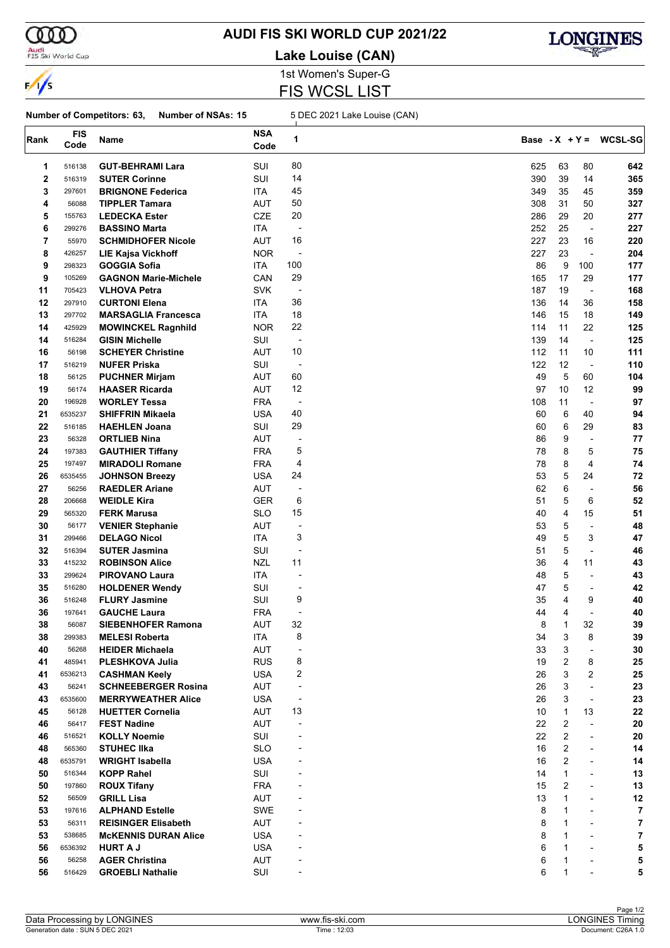

### Audi<br>FIS Ski World Cup

# **AUDI FIS SKI WORLD CUP 2021/22**

**Lake Louise (CAN)**



1st Women's Super-G FIS WCSL LIST

#### **Number of Competitors: 63, Number of NSAs: 15** 5 DEC 2021 Lake Louise (CAN)

| Rank     | <b>FIS</b><br>Code | Name                                         | <b>NSA</b><br>Code       | 1                        |            |             |                                                      | Base - $X + Y = WCSL-SG$ |
|----------|--------------------|----------------------------------------------|--------------------------|--------------------------|------------|-------------|------------------------------------------------------|--------------------------|
| 1        | 516138             | <b>GUT-BEHRAMI Lara</b>                      | SUI                      | 80                       | 625        | 63          | 80                                                   | 642                      |
| 2        | 516319             | <b>SUTER Corinne</b>                         | SUI                      | 14                       | 390        | 39          | 14                                                   | 365                      |
| 3        | 297601             | <b>BRIGNONE Federica</b>                     | ITA                      | 45                       | 349        | 35          | 45                                                   | 359                      |
| 4        | 56088              | <b>TIPPLER Tamara</b>                        | AUT                      | 50                       | 308        | 31          | 50                                                   | 327                      |
| 5        | 155763             | <b>LEDECKA Ester</b>                         | CZE                      | 20                       | 286        | 29          | 20                                                   | 277                      |
| 6        | 299276             | <b>BASSINO Marta</b>                         | ITA                      | $\overline{\phantom{a}}$ | 252        | 25          | $\overline{\phantom{a}}$                             | 227                      |
| 7        | 55970              | <b>SCHMIDHOFER Nicole</b>                    | AUT                      | 16                       | 227        | 23          | 16                                                   | 220                      |
| 8        | 426257             | <b>LIE Kajsa Vickhoff</b>                    | <b>NOR</b>               | -                        | 227        | 23          | $\overline{\phantom{a}}$                             | 204                      |
| 9        | 298323             | <b>GOGGIA Sofia</b>                          | <b>ITA</b>               | 100                      | 86         | 9           | 100                                                  | 177                      |
|          |                    |                                              |                          | 29                       |            | 17          |                                                      | 177                      |
| 9        | 105269             | <b>GAGNON Marie-Michele</b>                  | CAN                      | $\overline{a}$           | 165<br>187 | 19          | 29                                                   |                          |
| 11       | 705423<br>297910   | <b>VLHOVA Petra</b>                          | <b>SVK</b>               | 36                       |            |             | $\overline{\phantom{a}}$                             | 168                      |
| 12       |                    | <b>CURTONI Elena</b>                         | ITA                      |                          | 136        | 14          | 36                                                   | 158                      |
| 13       | 297702             | <b>MARSAGLIA Francesca</b>                   | ITA.                     | 18                       | 146        | 15          | 18                                                   | 149                      |
| 14       | 425929             | <b>MOWINCKEL Ragnhild</b>                    | <b>NOR</b>               | 22                       | 114        | 11          | 22                                                   | 125                      |
| 14       | 516284             | <b>GISIN Michelle</b>                        | SUI                      | $\overline{\phantom{a}}$ | 139        | 14          | $\overline{\phantom{a}}$                             | 125                      |
| 16       | 56198              | <b>SCHEYER Christine</b>                     | AUT                      | 10                       | 112        | 11          | 10                                                   | 111                      |
| 17       | 516219             | <b>NUFER Priska</b>                          | SUI                      | $\overline{\phantom{a}}$ | 122        | 12          | $\blacksquare$                                       | 110                      |
| 18       | 56125              | <b>PUCHNER Mirjam</b>                        | <b>AUT</b>               | 60                       | 49         | 5           | 60                                                   | 104                      |
| 19       | 56174              | <b>HAASER Ricarda</b>                        | <b>AUT</b>               | 12                       | 97         | 10          | 12                                                   | 99                       |
| 20       | 196928             | <b>WORLEY Tessa</b>                          | <b>FRA</b>               | $\overline{\phantom{a}}$ | 108        | 11          | $\overline{\phantom{a}}$                             | 97                       |
| 21       | 6535237            | <b>SHIFFRIN Mikaela</b>                      | <b>USA</b>               | 40                       | 60         | 6           | 40                                                   | 94                       |
| 22       | 516185             | <b>HAEHLEN Joana</b>                         | SUI                      | 29                       | 60         | 6           | 29                                                   | 83                       |
| 23       | 56328              | <b>ORTLIEB Nina</b>                          | AUT                      | $\overline{a}$           | 86         | 9           | ÷,                                                   | 77                       |
| 24       | 197383             | <b>GAUTHIER Tiffany</b>                      | <b>FRA</b>               | 5                        | 78         | 8           | 5                                                    | 75                       |
| 25       | 197497             | <b>MIRADOLI Romane</b>                       | <b>FRA</b>               | 4                        | 78         | 8           | 4                                                    | 74                       |
| 26       | 6535455            | <b>JOHNSON Breezy</b>                        | USA                      | 24                       | 53         | 5           | 24                                                   | 72                       |
| 27       | 56256              | <b>RAEDLER Ariane</b>                        | <b>AUT</b>               | $\overline{a}$           | 62         | 6           | ÷,                                                   | 56                       |
| 28       | 206668             | <b>WEIDLE Kira</b>                           | <b>GER</b>               | 6                        | 51         | 5           | 6                                                    | 52                       |
| 29       | 565320             | <b>FERK Marusa</b>                           | SLO                      | 15                       | 40         | 4           | 15                                                   | 51                       |
| 30       | 56177              | <b>VENIER Stephanie</b>                      | <b>AUT</b>               | -                        | 53         | 5           | ÷,                                                   | 48                       |
| 31       | 299466             | <b>DELAGO Nicol</b>                          | ITA.                     | 3                        | 49         | 5           | 3                                                    | 47                       |
| 32       | 516394             | <b>SUTER Jasmina</b>                         | SUI                      | $\overline{a}$           | 51         | 5           | $\overline{a}$                                       | 46                       |
| 33       | 415232             | <b>ROBINSON Alice</b>                        | <b>NZL</b>               | 11                       | 36         | 4           | 11                                                   | 43                       |
| 33       | 299624             | <b>PIROVANO Laura</b>                        | ITA                      | $\overline{\phantom{a}}$ | 48         | 5           | $\blacksquare$                                       | 43                       |
| 35       | 516280             | <b>HOLDENER Wendy</b>                        | SUI                      | -                        | 47         | 5           | ÷,                                                   | 42                       |
| 36       | 516248             | <b>FLURY Jasmine</b>                         | SUI                      | 9                        | 35         | 4           | 9                                                    | 40                       |
| 36       | 197641             | <b>GAUCHE Laura</b>                          | <b>FRA</b>               | $\overline{a}$           | 44         | 4           | $\overline{a}$                                       | 40                       |
| 38       | 56087              | <b>SIEBENHOFER Ramona</b>                    | AUT                      | 32                       | 8          | 1           | 32                                                   | 39                       |
| 38       | 299383             | <b>MELESI Roberta</b>                        | <b>ITA</b>               | 8                        | 34         | 3           | 8                                                    | 39                       |
| 40       | 56268              | <b>HEIDER Michaela</b>                       | <b>AUT</b>               | $\overline{\phantom{a}}$ | 33         | 3           | $\blacksquare$                                       | 30                       |
| 41       | 485941             | <b>PLESHKOVA Julia</b>                       | <b>RUS</b>               | 8                        | 19         | 2           | 8                                                    | 25                       |
| 41       | 6536213            | <b>CASHMAN Keely</b>                         | USA                      | 2                        | 26         | 3           | 2                                                    | 25                       |
| 43       | 56241              | <b>SCHNEEBERGER Rosina</b>                   | <b>AUT</b>               | $\overline{\phantom{a}}$ | 26         | 3           | $\overline{\phantom{a}}$                             | 23                       |
| 43       | 6535600            | <b>MERRYWEATHER Alice</b>                    | USA                      | $\overline{a}$           | 26         | 3           | $\overline{\phantom{a}}$                             | 23                       |
| 45       | 56128              | <b>HUETTER Cornelia</b>                      | <b>AUT</b>               | 13                       | 10         | $\mathbf 1$ | 13                                                   | 22                       |
| 46       | 56417              | <b>FEST Nadine</b>                           | <b>AUT</b>               |                          | 22         | 2           | $\overline{\phantom{a}}$                             | 20                       |
| 46       | 516521             | <b>KOLLY Noemie</b>                          | SUI                      |                          | 22         | 2           | $\overline{\phantom{a}}$                             | 20                       |
|          |                    |                                              |                          |                          |            | 2           |                                                      |                          |
| 48<br>48 | 565360<br>6535791  | <b>STUHEC IIka</b><br><b>WRIGHT Isabella</b> | <b>SLO</b><br><b>USA</b> |                          | 16<br>16   | 2           | $\overline{\phantom{a}}$<br>$\overline{\phantom{a}}$ | 14<br>14                 |
|          |                    | <b>KOPP Rahel</b>                            |                          |                          |            | 1           |                                                      |                          |
| 50       | 516344             |                                              | SUI                      |                          | 14         |             | $\overline{a}$                                       | 13                       |
| 50       | 197860             | <b>ROUX Tifany</b>                           | <b>FRA</b>               |                          | 15         | 2           | $\overline{a}$                                       | 13                       |
| 52       | 56509              | <b>GRILL Lisa</b>                            | AUT                      |                          | 13         | 1           | $\blacksquare$                                       | 12                       |
| 53       | 197616             | <b>ALPHAND Estelle</b>                       | SWE                      |                          | 8          | 1           | $\overline{\phantom{a}}$                             | 7                        |
| 53       | 56311              | <b>REISINGER Elisabeth</b>                   | AUT                      |                          | 8          | 1           | $\overline{a}$                                       | 7                        |
| 53       | 538685             | <b>MCKENNIS DURAN Alice</b>                  | <b>USA</b>               |                          | 8          | 1           | $\overline{a}$                                       | 7                        |
| 56       | 6536392            | <b>HURT A J</b>                              | <b>USA</b>               |                          | 6          | 1           | ÷                                                    | 5                        |
| 56       | 56258              | <b>AGER Christina</b>                        | AUT                      |                          | 6          | 1           |                                                      | 5                        |
| 56       | 516429             | <b>GROEBLI Nathalie</b>                      | SUI                      |                          | 6          | 1           |                                                      | 5                        |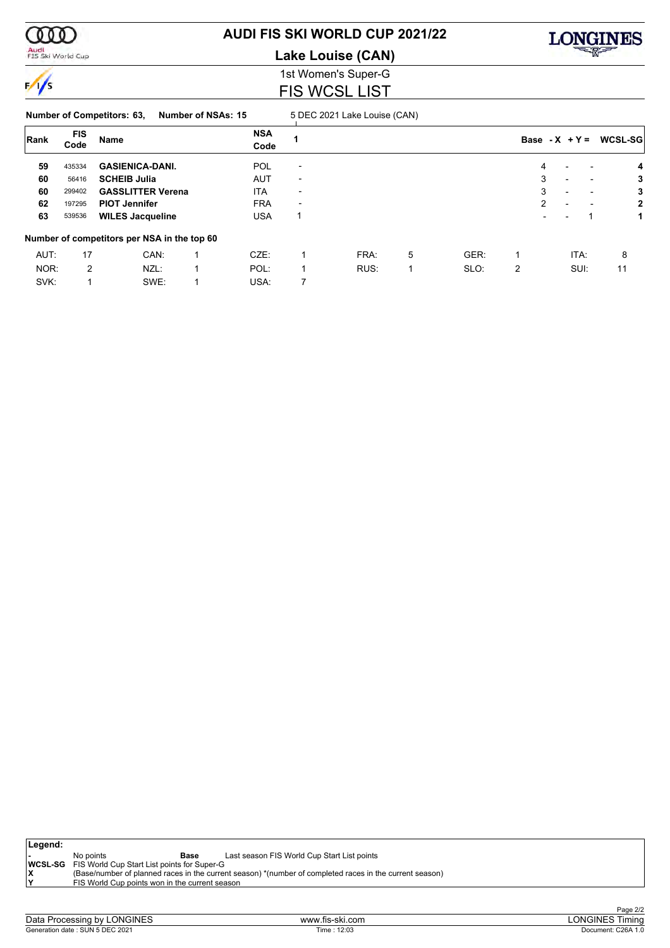

# **AUDI FIS SKI WORLD CUP 2021/22**

**Lake Louise (CAN)**



### 1st Women's Super-G FIS WCSL LIST

#### **Number of Competitors: 63, Number of NSAs: 15** 5 DEC 2021 Lake Louise (CAN)

| Rank | <b>FIS</b><br>Code | Name                                        | <b>NSA</b><br>Code |                          |      |   |      | Base - $X + Y =$ |                          |                          |      | WCSL-SG      |
|------|--------------------|---------------------------------------------|--------------------|--------------------------|------|---|------|------------------|--------------------------|--------------------------|------|--------------|
| 59   | 435334             | <b>GASIENICA-DANI.</b>                      | <b>POL</b>         | $\overline{\phantom{0}}$ |      |   |      |                  | 4                        |                          |      | 4            |
| 60   | 56416              | <b>SCHEIB Julia</b>                         | <b>AUT</b>         | $\overline{\phantom{0}}$ |      |   |      |                  | 3                        | $\overline{\phantom{a}}$ |      | 3            |
| 60   | 299402             | <b>GASSLITTER Verena</b>                    | <b>ITA</b>         | $\overline{\phantom{0}}$ |      |   |      |                  | 3                        | $\overline{\phantom{0}}$ | -    | 3            |
| 62   | 197295             | <b>PIOT Jennifer</b>                        | <b>FRA</b>         | $\overline{\phantom{a}}$ |      |   |      |                  | 2                        | $\overline{\phantom{0}}$ |      | $\mathbf{2}$ |
| 63   | 539536             | <b>WILES Jacqueline</b>                     | <b>USA</b>         | 1                        |      |   |      |                  | $\overline{\phantom{a}}$ |                          |      | 1            |
|      |                    | Number of competitors per NSA in the top 60 |                    |                          |      |   |      |                  |                          |                          |      |              |
| AUT: | 17                 | CAN:                                        | $CZE$ :            |                          | FRA: | 5 | GER: |                  |                          |                          | ITA: | 8            |
| NOR: | 2                  | NZL:                                        | POL:               |                          | RUS: |   | SLO: | 2                |                          |                          | SUI: | 11           |
| SVK: |                    | SWE:                                        | USA:               | 7                        |      |   |      |                  |                          |                          |      |              |

| Legend: |                                                                                                         |                                             |  |  |  |  |  |  |  |  |  |  |  |
|---------|---------------------------------------------------------------------------------------------------------|---------------------------------------------|--|--|--|--|--|--|--|--|--|--|--|
|         | No points<br>Base                                                                                       | Last season FIS World Cup Start List points |  |  |  |  |  |  |  |  |  |  |  |
|         | <b>WCSL-SG</b> FIS World Cup Start List points for Super-G                                              |                                             |  |  |  |  |  |  |  |  |  |  |  |
|         | (Base/number of planned races in the current season) *(number of completed races in the current season) |                                             |  |  |  |  |  |  |  |  |  |  |  |
| lv      | FIS World Cup points won in the current season                                                          |                                             |  |  |  |  |  |  |  |  |  |  |  |
|         |                                                                                                         |                                             |  |  |  |  |  |  |  |  |  |  |  |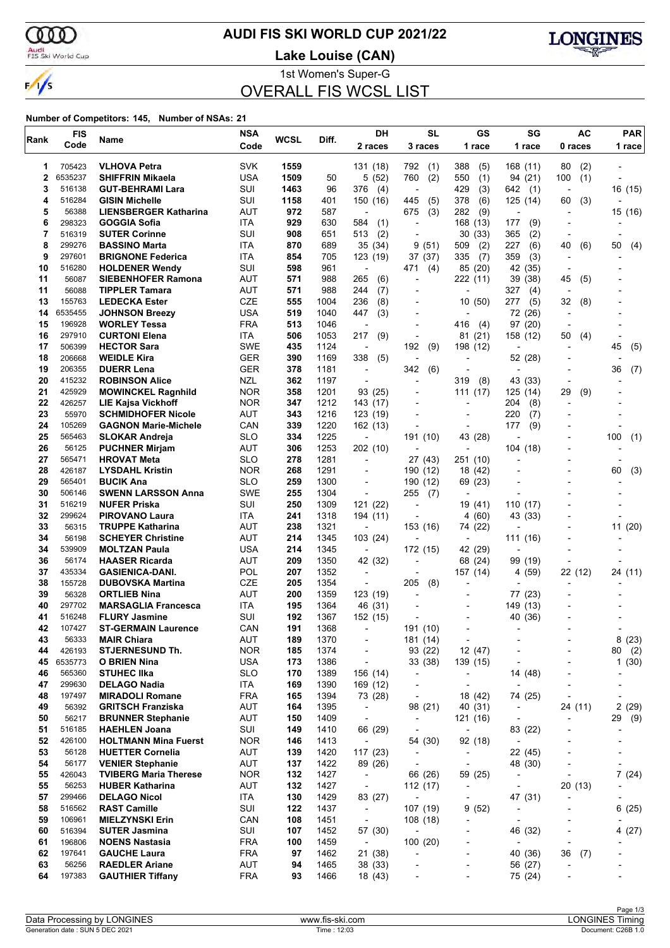ഞ Audi<br>FIS Ski World Cup

 $\frac{1}{s}$ 

# **AUDI FIS SKI WORLD CUP 2021/22**

**Lake Louise (CAN)**



1st Women's Super-G

OVERALL FIS WCSL LIST

| Rank     | <b>FIS</b>       | Name                                               | <b>NSA</b>               | WCSL       | Diff.        | DH                       | <b>SL</b>                                  | GS                                                   | SG                       | AC                       | <b>PAR</b>                   |
|----------|------------------|----------------------------------------------------|--------------------------|------------|--------------|--------------------------|--------------------------------------------|------------------------------------------------------|--------------------------|--------------------------|------------------------------|
|          | Code             |                                                    | Code                     |            |              | 2 races                  | 3 races                                    | 1 race                                               | 1 race                   | 0 races                  | 1 race                       |
| 1        | 705423           | <b>VLHOVA Petra</b>                                | <b>SVK</b>               | 1559       |              | 131 (18)                 | 792<br>(1)                                 | 388<br>(5)                                           | 168 (11)                 | (2)<br>80                |                              |
| 2        | 6535237          | <b>SHIFFRIN Mikaela</b>                            | <b>USA</b>               | 1509       | 50           | 5(52)                    | 760<br>(2)                                 | (1)<br>550                                           | 94 (21)                  | 100<br>(1)               |                              |
| 3        | 516138           | <b>GUT-BEHRAMI Lara</b>                            | SUI                      | 1463       | 96           | 376<br>(4)               | $\overline{\phantom{a}}$                   | 429<br>(3)                                           | 642<br>(1)               |                          | 16 (15)                      |
| 4        | 516284           | <b>GISIN Michelle</b>                              | SUI                      | 1158       | 401          | 150 (16)                 | 445<br>(5)                                 | 378<br>(6)                                           | 125 (14)                 | (3)<br>60                |                              |
| 5        | 56388            | <b>LIENSBERGER Katharina</b>                       | AUT                      | 972        | 587          | $\overline{a}$           | 675<br>(3)                                 | (9)<br>282                                           | $\overline{\phantom{a}}$ |                          | 15 (16)                      |
| 6        | 298323           | GOGGIA Sofia                                       | ITA                      | 929        | 630          | 584<br>(1)               | $\overline{a}$                             | 168 (13)                                             | 177<br>(9)               |                          |                              |
| 7<br>8   | 516319           | <b>SUTER Corinne</b><br><b>BASSINO Marta</b>       | SUI<br>ITA               | 908<br>870 | 651          | (2)<br>513               | ٠                                          | 30(33)                                               | 365<br>(2)<br>227        |                          |                              |
| 9        | 299276<br>297601 | <b>BRIGNONE Federica</b>                           | ITA                      | 854        | 689<br>705   | 35 (34)<br>123 (19)      | 9<br>(51)<br>37 (37)                       | 509<br>(2)<br>335<br>(7)                             | (6)<br>359<br>(3)        | 40<br>(6)                | 50<br>(4)                    |
| 10       | 516280           | <b>HOLDENER Wendy</b>                              | SUI                      | 598        | 961          |                          | 471<br>(4)                                 | 85 (20)                                              | 42 (35)                  |                          |                              |
| 11       | 56087            | <b>SIEBENHOFER Ramona</b>                          | AUT                      | 571        | 988          | 265<br>(6)               | $\overline{a}$                             | 222 (11)                                             | 39 (38)                  | 45<br>(5)                |                              |
| 11       | 56088            | <b>TIPPLER Tamara</b>                              | AUT                      | 571        | 988          | 244<br>(7)               | $\overline{a}$                             | $\overline{a}$                                       | 327<br>(4)               | $\overline{\phantom{a}}$ |                              |
| 13       | 155763           | <b>LEDECKA Ester</b>                               | <b>CZE</b>               | 555        | 1004         | 236<br>(8)               |                                            | 10(50)                                               | 277<br>(5)               | 32<br>(8)                |                              |
| 14       | 6535455          | <b>JOHNSON Breezy</b>                              | <b>USA</b>               | 519        | 1040         | 447<br>(3)               | $\overline{a}$                             |                                                      | 72 (26)                  | $\overline{\phantom{a}}$ |                              |
| 15       | 196928           | <b>WORLEY Tessa</b>                                | <b>FRA</b>               | 513        | 1046         | $\overline{a}$           | ÷                                          | 416<br>(4)                                           | 97 (20)                  | $\overline{\phantom{a}}$ |                              |
| 16       | 297910           | <b>CURTONI Elena</b>                               | ITA                      | 506        | 1053         | 217<br>(9)               | Ĭ.                                         | 81<br>(21)                                           | 158 (12)                 | 50<br>(4)                |                              |
| 17       | 506399           | <b>HECTOR Sara</b>                                 | SWE                      | 435        | 1124         | $\overline{\phantom{a}}$ | 192<br>(9)                                 | 198 (12)                                             |                          |                          | 45<br>(5)                    |
| 18       | 206668           | <b>WEIDLE Kira</b>                                 | GER                      | 390        | 1169         | 338<br>(5)               | L,                                         | $\overline{\phantom{a}}$                             | 52 (28)                  |                          |                              |
| 19<br>20 | 206355<br>415232 | <b>DUERR Lena</b><br><b>ROBINSON Alice</b>         | <b>GER</b><br><b>NZL</b> | 378<br>362 | 1181<br>1197 |                          | 342<br>(6)<br>$\overline{a}$               | 319<br>(8)                                           | 43 (33)                  |                          | 36<br>(7)                    |
| 21       | 425929           | <b>MOWINCKEL Ragnhild</b>                          | <b>NOR</b>               | 358        | 1201         | 93 (25)                  | $\overline{a}$                             | 111 (17)                                             | 125(14)                  | 29<br>(9)                |                              |
| 22       | 426257           | <b>LIE Kajsa Vickhoff</b>                          | <b>NOR</b>               | 347        | 1212         | 143 (17)                 |                                            |                                                      | 204<br>(8)               |                          |                              |
| 23       | 55970            | <b>SCHMIDHOFER Nicole</b>                          | AUT                      | 343        | 1216         | 123 (19)                 | $\overline{\phantom{a}}$                   | $\overline{a}$                                       | 220<br>(7)               |                          |                              |
| 24       | 105269           | <b>GAGNON Marie-Michele</b>                        | CAN                      | 339        | 1220         | 162 (13)                 | ÷                                          | $\overline{a}$                                       | 177<br>(9)               |                          |                              |
| 25       | 565463           | <b>SLOKAR Andreja</b>                              | <b>SLO</b>               | 334        | 1225         |                          | 191 (10)                                   | 43 (28)                                              |                          |                          | 100<br>(1)                   |
| 26       | 56125            | <b>PUCHNER Mirjam</b>                              | <b>AUT</b>               | 306        | 1253         | 202 (10)                 | $\overline{\phantom{0}}$                   |                                                      | 104 (18)                 |                          |                              |
| 27       | 565471           | <b>HROVAT Meta</b>                                 | <b>SLO</b>               | 278        | 1281         | $\overline{\phantom{a}}$ | 27 (43)                                    | 251 (10)                                             |                          |                          |                              |
| 28       | 426187           | <b>LYSDAHL Kristin</b>                             | <b>NOR</b>               | 268        | 1291         |                          | 190 (12)                                   | 18 (42)                                              |                          |                          | 60<br>(3)                    |
| 29       | 565401           | <b>BUCIK Ana</b>                                   | <b>SLO</b>               | 259        | 1300         | $\blacksquare$           | 190 (12)                                   | 69 (23)                                              |                          |                          |                              |
| 30       | 506146<br>516219 | <b>SWENN LARSSON Anna</b>                          | SWE<br>SUI               | 255        | 1304         |                          | (7)<br>255                                 | $\overline{a}$                                       |                          |                          |                              |
| 31<br>32 | 299624           | <b>NUFER Priska</b><br><b>PIROVANO Laura</b>       | ITA                      | 250<br>241 | 1309<br>1318 | 121 (22)<br>194 (11)     | Ĭ.<br>$\overline{a}$                       | 19 (41)<br>4(60)                                     | 110 (17)<br>43 (33)      |                          |                              |
| 33       | 56315            | <b>TRUPPE Katharina</b>                            | AUT                      | 238        | 1321         |                          | 153 (16)                                   | 74 (22)                                              |                          |                          | 11 (20)                      |
| 34       | 56198            | <b>SCHEYER Christine</b>                           | <b>AUT</b>               | 214        | 1345         | 103 (24)                 |                                            |                                                      | 111 (16)                 |                          |                              |
| 34       | 539909           | <b>MOLTZAN Paula</b>                               | <b>USA</b>               | 214        | 1345         | $\overline{\phantom{a}}$ | 172 (15)                                   | 42 (29)                                              |                          |                          |                              |
| 36       | 56174            | <b>HAASER Ricarda</b>                              | <b>AUT</b>               | 209        | 1350         | 42 (32)                  | ۰                                          | 68 (24)                                              | 99 (19)                  |                          |                              |
| 37       | 435334           | <b>GASIENICA-DANI.</b>                             | POL                      | 207        | 1352         | $\overline{\phantom{a}}$ |                                            | 157 (14)                                             | 4 (59)                   | 22 (12)                  | 24 (11)                      |
| 38       | 155728           | <b>DUBOVSKA Martina</b>                            | <b>CZE</b>               | 205        | 1354         | $\overline{\phantom{a}}$ | 205<br>(8)                                 | $\overline{a}$                                       |                          |                          |                              |
| 39       | 56328            | <b>ORTLIEB Nina</b>                                | AUT                      | 200        | 1359         | 123 (19)                 | $\overline{a}$                             | $\overline{a}$                                       | 77 (23)                  |                          |                              |
| 40       | 297702           | <b>MARSAGLIA Francesca</b>                         | <b>ITA</b>               | 195        | 1364         | 46 (31)                  |                                            |                                                      | 149 (13)                 |                          |                              |
| 41<br>42 | 516248<br>107427 | <b>FLURY Jasmine</b><br><b>ST-GERMAIN Laurence</b> | SUI<br>CAN               | 192<br>191 | 1367<br>1368 | 152 (15)                 |                                            | $\overline{a}$                                       | 40 (36)                  |                          |                              |
| 43       | 56333            | <b>MAIR Chiara</b>                                 | AUT                      | 189        | 1370         | $\overline{\phantom{a}}$ | 191 (10)<br>181 (14)                       | $\overline{\phantom{a}}$                             | $\overline{\phantom{a}}$ |                          | 8(23)                        |
| 44       | 426193           | <b>STJERNESUND Th.</b>                             | <b>NOR</b>               | 185        | 1374         | $\overline{\phantom{a}}$ | 93 (22)                                    | 12 (47)                                              |                          | ٠                        | 80 (2)                       |
| 45       | 6535773          | <b>O BRIEN Nina</b>                                | <b>USA</b>               | 173        | 1386         | $\overline{\phantom{a}}$ | 33 (38)                                    | 139 (15)                                             | $\overline{\phantom{a}}$ | $\overline{a}$           | 1(30)                        |
| 46       | 565360           | <b>STUHEC IIka</b>                                 | <b>SLO</b>               | 170        | 1389         | 156 (14)                 | $\overline{\phantom{a}}$                   | $\overline{\phantom{a}}$                             | 14 (48)                  |                          |                              |
| 47       | 299630           | <b>DELAGO Nadia</b>                                | ITA                      | 169        | 1390         | 169 (12)                 | $\overline{\phantom{a}}$                   | $\overline{\phantom{a}}$                             |                          | $\overline{a}$           |                              |
| 48       | 197497           | <b>MIRADOLI Romane</b>                             | <b>FRA</b>               | 165        | 1394         | 73 (28)                  | $\overline{\phantom{a}}$                   | 18 (42)                                              | 74 (25)                  | $\overline{\phantom{a}}$ | $\qquad \qquad \blacksquare$ |
| 49       | 56392            | <b>GRITSCH Franziska</b>                           | <b>AUT</b>               | 164        | 1395         | $\overline{\phantom{a}}$ | 98 (21)                                    | 40 (31)                                              | $\overline{\phantom{a}}$ | 24 (11)                  | 2(29)                        |
| 50       | 56217            | <b>BRUNNER Stephanie</b>                           | <b>AUT</b>               | 150        | 1409         | $\overline{\phantom{a}}$ | $\overline{\phantom{a}}$                   | 121 (16)                                             | $\overline{\phantom{a}}$ | $\overline{\phantom{0}}$ | 29 (9)                       |
| 51       | 516185           | <b>HAEHLEN Joana</b>                               | SUI                      | 149        | 1410         | 66 (29)                  | $\overline{\phantom{a}}$                   | $\overline{\phantom{a}}$                             | 83 (22)                  | $\overline{a}$           |                              |
| 52       | 426100           | <b>HOLTMANN Mina Fuerst</b>                        | <b>NOR</b>               | 146        | 1413         | $\overline{\phantom{a}}$ | 54 (30)                                    | 92 (18)                                              | $\overline{\phantom{a}}$ |                          |                              |
| 53<br>54 | 56128<br>56177   | <b>HUETTER Cornelia</b><br><b>VENIER Stephanie</b> | <b>AUT</b><br><b>AUT</b> | 139<br>137 | 1420<br>1422 | 117(23)<br>89 (26)       | $\blacksquare$<br>$\overline{\phantom{a}}$ | $\overline{\phantom{a}}$<br>$\overline{\phantom{a}}$ | 22 (45)<br>48 (30)       | ٠<br>$\overline{a}$      | $\overline{\phantom{a}}$     |
| 55       | 426043           | <b>TVIBERG Maria Therese</b>                       | <b>NOR</b>               | 132        | 1427         | $\overline{\phantom{a}}$ | 66 (26)                                    | 59 (25)                                              | $\overline{\phantom{a}}$ |                          | 7(24)                        |
| 55       | 56253            | <b>HUBER Katharina</b>                             | <b>AUT</b>               | 132        | 1427         | $\overline{\phantom{a}}$ | 112(17)                                    | $\overline{\phantom{a}}$                             | $\overline{\phantom{a}}$ | 20 (13)                  |                              |
| 57       | 299466           | <b>DELAGO Nicol</b>                                | ITA                      | 130        | 1429         | 83 (27)                  | $\overline{\phantom{a}}$                   | $\overline{\phantom{a}}$                             | 47 (31)                  |                          | $\qquad \qquad \blacksquare$ |
| 58       | 516562           | <b>RAST Camille</b>                                | SUI                      | 122        | 1437         | $\overline{\phantom{a}}$ | 107 (19)                                   | 9(52)                                                | $\overline{\phantom{a}}$ |                          | 6(25)                        |
| 59       | 106961           | <b>MIELZYNSKI Erin</b>                             | CAN                      | 108        | 1451         | $\overline{\phantom{a}}$ | 108(18)                                    | -                                                    | $\overline{\phantom{a}}$ |                          |                              |
| 60       | 516394           | <b>SUTER Jasmina</b>                               | SUI                      | 107        | 1452         | 57 (30)                  | $\overline{\phantom{a}}$                   | $\overline{\phantom{a}}$                             | 46 (32)                  | $\overline{a}$           | 4(27)                        |
| 61       | 196806           | <b>NOENS Nastasia</b>                              | <b>FRA</b>               | 100        | 1459         | $\overline{\phantom{a}}$ | 100(20)                                    | ٠                                                    | $\blacksquare$           |                          |                              |
| 62       | 197641           | <b>GAUCHE Laura</b>                                | <b>FRA</b>               | 97         | 1462         | 21 (38)                  | $\overline{\phantom{a}}$                   | $\overline{a}$                                       | 40 (36)                  | 36<br>(7)                |                              |
| 63       | 56256            | <b>RAEDLER Ariane</b>                              | AUT                      | 94         | 1465         | 38 (33)                  | $\overline{a}$                             | $\overline{\phantom{a}}$                             | 56 (27)                  | ٠                        |                              |
| 64       | 197383           | <b>GAUTHIER Tiffany</b>                            | <b>FRA</b>               | 93         | 1466         | 18 (43)                  |                                            |                                                      | 75 (24)                  |                          |                              |
|          |                  |                                                    |                          |            |              |                          |                                            |                                                      |                          |                          |                              |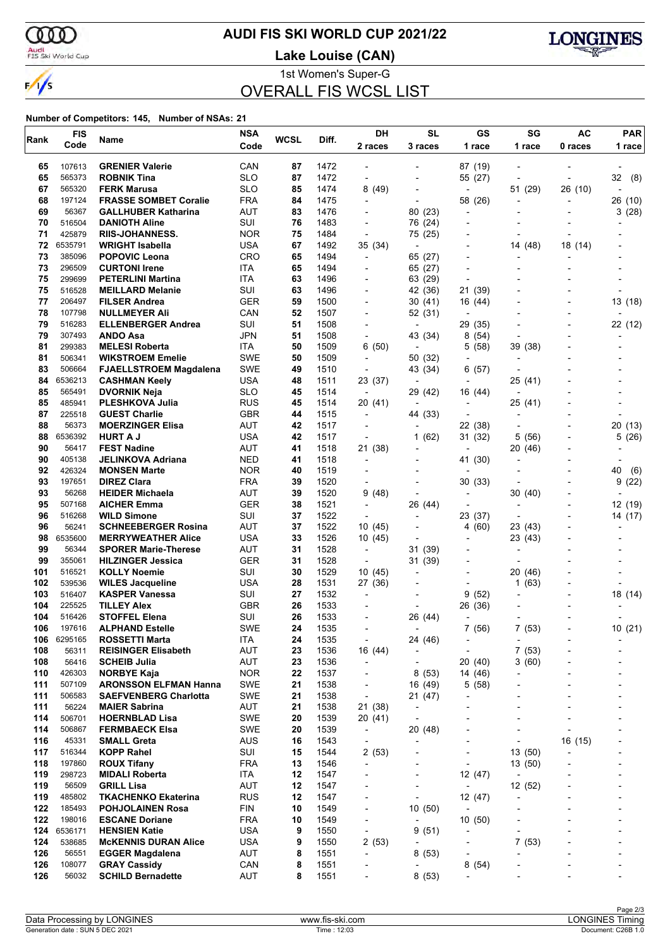ഞ Audi<br>FIS Ski World Cup

 $\frac{1}{s}$ 

# **AUDI FIS SKI WORLD CUP 2021/22**

**Lake Louise (CAN)**



1st Women's Super-G

# OVERALL FIS WCSL LIST

| Rank       | <b>FIS</b>       | Name                                               | <b>NSA</b>        | WCSL     | Diff.        | DH                                                   | <b>SL</b>                | GS                       | SG                       | AC      | <b>PAR</b> |  |
|------------|------------------|----------------------------------------------------|-------------------|----------|--------------|------------------------------------------------------|--------------------------|--------------------------|--------------------------|---------|------------|--|
|            | Code             |                                                    | Code              |          |              | 2 races                                              | 3 races                  | 1 race                   | 1 race                   | 0 races | 1 race     |  |
| 65         | 107613           | <b>GRENIER Valerie</b>                             | CAN               | 87       | 1472         |                                                      |                          | 87 (19)                  |                          |         |            |  |
| 65         | 565373           | <b>ROBNIK Tina</b>                                 | <b>SLO</b>        | 87       | 1472         |                                                      |                          | 55 (27)                  |                          |         | 32<br>(8)  |  |
| 67         | 565320           | <b>FERK Marusa</b>                                 | <b>SLO</b>        | 85       | 1474         | 8(49)                                                |                          | $\overline{a}$           | 51 (29)                  | 26 (10) |            |  |
| 68         | 197124           | <b>FRASSE SOMBET Coralie</b>                       | <b>FRA</b>        | 84       | 1475         |                                                      | $\overline{\phantom{a}}$ | 58 (26)                  |                          |         | 26 (10)    |  |
| 69         | 56367            | <b>GALLHUBER Katharina</b>                         | <b>AUT</b>        | 83       | 1476         |                                                      | 80 (23)                  | $\overline{a}$           |                          |         | 3(28)      |  |
| 70         | 516504           | <b>DANIOTH Aline</b>                               | SUI               | 76       | 1483         |                                                      | 76 (24)                  |                          |                          |         |            |  |
| 71         | 425879           | <b>RIIS-JOHANNESS.</b>                             | <b>NOR</b>        | 75       | 1484         | $\overline{\phantom{a}}$                             | 75 (25)                  |                          |                          |         |            |  |
| 72         | 6535791          | <b>WRIGHT Isabella</b>                             | <b>USA</b>        | 67       | 1492         | 35 (34)                                              | $\overline{a}$           |                          | 14 (48)                  | 18 (14) |            |  |
| 73         | 385096           | <b>POPOVIC Leona</b>                               | CRO               | 65       | 1494         | $\overline{\phantom{a}}$                             | 65 (27)                  | $\overline{\phantom{a}}$ |                          |         |            |  |
| 73         | 296509           | <b>CURTONI Irene</b>                               | <b>ITA</b>        | 65       | 1494         |                                                      | 65 (27)                  |                          |                          |         |            |  |
| 75         | 299699           | <b>PETERLINI Martina</b>                           | <b>ITA</b>        | 63       | 1496         |                                                      | 63 (29)                  |                          |                          |         |            |  |
| 75         | 516528           | <b>MEILLARD Melanie</b>                            | SUI               | 63       | 1496         |                                                      | 42 (36)                  | 21<br>(39)               |                          |         |            |  |
| 77         | 206497           | <b>FILSER Andrea</b>                               | <b>GER</b>        | 59       | 1500         | $\blacksquare$                                       | 30(41)                   | 16 (44)                  |                          |         | 13 (18)    |  |
| 78         | 107798<br>516283 | <b>NULLMEYER Ali</b>                               | CAN               | 52       | 1507         |                                                      | 52 (31)                  |                          |                          |         |            |  |
| 79         |                  | <b>ELLENBERGER Andrea</b>                          | SUI<br>JPN        | 51       | 1508         |                                                      | $\overline{\phantom{a}}$ | 29 (35)                  |                          |         | 22 (12)    |  |
| 79<br>81   | 307493<br>299383 | ANDO Asa<br><b>MELESI Roberta</b>                  | ITA               | 51<br>50 | 1508<br>1509 | $\blacksquare$<br>6(50)                              | 43 (34)<br>÷             | (54)<br>8<br>(58)<br>5   | 39 (38)                  |         |            |  |
| 81         | 506341           | <b>WIKSTROEM Emelie</b>                            | <b>SWE</b>        | 50       | 1509         |                                                      | 50 (32)                  | $\overline{\phantom{a}}$ | $\overline{\phantom{a}}$ |         |            |  |
| 83         | 506664           | <b>FJAELLSTROEM Magdalena</b>                      | <b>SWE</b>        | 49       | 1510         | $\overline{\phantom{a}}$                             | 43 (34)                  | 6(57)                    |                          |         |            |  |
| 84         | 6536213          | <b>CASHMAN Keely</b>                               | <b>USA</b>        | 48       | 1511         | 23 (37)                                              | $\blacksquare$           |                          | 25 (41)                  |         |            |  |
| 85         | 565491           | <b>DVORNIK Neja</b>                                | <b>SLO</b>        | 45       | 1514         | $\overline{\phantom{a}}$                             | 29 (42)                  | 16 (44)                  | $\overline{\phantom{a}}$ |         |            |  |
| 85         | 485941           | <b>PLESHKOVA Julia</b>                             | <b>RUS</b>        | 45       | 1514         | 20 (41)                                              |                          |                          | 25 (41)                  |         |            |  |
| 87         | 225518           | <b>GUEST Charlie</b>                               | <b>GBR</b>        | 44       | 1515         | $\overline{\phantom{0}}$                             | 44 (33)                  |                          | -                        |         |            |  |
| 88         | 56373            | <b>MOERZINGER Elisa</b>                            | AUT               | 42       | 1517         |                                                      | $\overline{a}$           | 22 (38)                  |                          |         | (13)<br>20 |  |
| 88         | 6536392          | <b>HURT A J</b>                                    | USA               | 42       | 1517         | $\overline{\phantom{a}}$                             | (62)<br>1                | 31 (32)                  | 5<br>(56)                |         | 5<br>(26)  |  |
| 90         | 56417            | <b>FEST Nadine</b>                                 | <b>AUT</b>        | 41       | 1518         | 21 (38)                                              |                          |                          | 20 (46)                  |         |            |  |
| 90         | 405138           | JELINKOVA Adriana                                  | <b>NED</b>        | 41       | 1518         | $\overline{\phantom{a}}$                             | $\overline{a}$           | 41 (30)                  |                          |         |            |  |
| 92         | 426324           | <b>MONSEN Marte</b>                                | <b>NOR</b>        | 40       | 1519         | $\blacksquare$                                       |                          |                          |                          |         | 40<br>(6)  |  |
| 93         | 197651           | <b>DIREZ Clara</b>                                 | <b>FRA</b>        | 39       | 1520         |                                                      |                          | 30(33)                   |                          |         | 9<br>(22)  |  |
| 93         | 56268            | <b>HEIDER Michaela</b>                             | AUT               | 39       | 1520         | 9<br>(48)                                            | $\overline{\phantom{0}}$ | $\overline{a}$           | 30 (40)                  |         |            |  |
| 95         | 507168           | <b>AICHER Emma</b>                                 | <b>GER</b>        | 38       | 1521         | $\blacksquare$                                       | 26 (44)                  | $\overline{\phantom{a}}$ | $\overline{\phantom{a}}$ |         | 12 (19)    |  |
| 96         | 516268           | <b>WILD Simone</b>                                 | SUI               | 37       | 1522         |                                                      |                          | 23 (37)                  |                          |         | 14 (17)    |  |
| 96         | 56241            | <b>SCHNEEBERGER Rosina</b>                         | AUT               | 37       | 1522         | 10 (45)                                              | $\overline{a}$           | 4 (60)                   | 23 (43)                  |         |            |  |
| 98         | 6535600          | <b>MERRYWEATHER Alice</b>                          | USA               | 33       | 1526         | 10 (45)                                              |                          |                          | 23 (43)                  |         |            |  |
| 99         | 56344            | <b>SPORER Marie-Therese</b>                        | <b>AUT</b>        | 31       | 1528         | $\blacksquare$                                       | 31 (39)                  |                          |                          |         |            |  |
| 99         | 355061           | <b>HILZINGER Jessica</b>                           | <b>GER</b>        | 31       | 1528         | $\overline{\phantom{a}}$                             | 31 (39)                  |                          |                          |         |            |  |
| 101        | 516521           | <b>KOLLY Noemie</b>                                | SUI               | 30       | 1529         | 10(45)                                               | $\overline{\phantom{a}}$ |                          | 20<br>(46)               |         |            |  |
| 102        | 539536           | <b>WILES Jacqueline</b>                            | <b>USA</b>        | 28       | 1531         | 27 (36)                                              |                          |                          | 1(63)                    |         |            |  |
| 103        | 516407           | <b>KASPER Vanessa</b>                              | SUI               | 27       | 1532         |                                                      |                          | 9<br>(52)                |                          |         | 18 (14)    |  |
| 104        | 225525           | <b>TILLEY Alex</b>                                 | <b>GBR</b>        | 26       | 1533         |                                                      |                          | 26 (36)                  |                          |         |            |  |
| 104        | 516426           | <b>STOFFEL Elena</b>                               | SUI               | 26       | 1533         |                                                      | 26 (44)                  |                          |                          |         |            |  |
| 106        | 197616           | <b>ALPHAND Estelle</b>                             | <b>SWE</b>        | 24       | 1535         |                                                      |                          | 7(56)                    | 7(53)                    |         | 10 (21)    |  |
| 106        | 6295165          | <b>ROSSETTI Marta</b>                              | ITA               | 24       | 1535         | $\overline{\phantom{a}}$                             | 24 (46)                  | $\overline{\phantom{a}}$ | $\overline{\phantom{a}}$ |         |            |  |
| 108        | 56311            | <b>REISINGER Elisabeth</b>                         | AUT               | 23       | 1536         | 16 (44)                                              | $\overline{\phantom{a}}$ | $\overline{\phantom{a}}$ | 7(53)                    |         |            |  |
| 108        | 56416            | <b>SCHEIB Julia</b>                                | AUT               | 23       | 1536         | $\overline{\phantom{a}}$                             | $\overline{\phantom{a}}$ | 20 (40)                  | 3(60)                    |         |            |  |
| 110<br>111 | 426303<br>507109 | <b>NORBYE Kaja</b><br><b>ARONSSON ELFMAN Hanna</b> | <b>NOR</b><br>SWE | 22<br>21 | 1537<br>1538 | $\overline{\phantom{a}}$<br>$\overline{\phantom{a}}$ | 8(53)<br>16 (49)         | 14 (46)<br>5(58)         | $\overline{a}$           |         |            |  |
| 111        | 506583           | <b>SAEFVENBERG Charlotta</b>                       | <b>SWE</b>        | 21       | 1538         | $\overline{\phantom{a}}$                             | 21 (47)                  | $\overline{a}$           |                          |         |            |  |
| 111        | 56224            | <b>MAIER Sabrina</b>                               | AUT               | 21       | 1538         | 21 (38)                                              | $\overline{a}$           |                          |                          |         |            |  |
| 114        | 506701           | <b>HOERNBLAD Lisa</b>                              | <b>SWE</b>        | 20       | 1539         | 20 (41)                                              |                          |                          |                          |         |            |  |
| 114        | 506867           | <b>FERMBAECK Elsa</b>                              | SWE               | 20       | 1539         | $\overline{\phantom{a}}$                             | 20 (48)                  |                          |                          |         |            |  |
| 116        | 45331            | <b>SMALL Greta</b>                                 | <b>AUS</b>        | 16       | 1543         | $\overline{\phantom{a}}$                             | $\overline{a}$           | $\overline{\phantom{a}}$ |                          | 16 (15) |            |  |
| 117        | 516344           | <b>KOPP Rahel</b>                                  | SUI               | 15       | 1544         | 2(53)                                                |                          | $\overline{a}$           | 13(50)                   |         |            |  |
| 118        | 197860           | <b>ROUX Tifany</b>                                 | <b>FRA</b>        | 13       | 1546         | $\overline{\phantom{a}}$                             |                          | $\overline{a}$           | 13 (50)                  |         |            |  |
| 119        | 298723           | <b>MIDALI Roberta</b>                              | ITA               | 12       | 1547         | $\overline{\phantom{a}}$                             | -                        | 12 (47)                  | $\overline{\phantom{a}}$ |         |            |  |
| 119        | 56509            | <b>GRILL Lisa</b>                                  | <b>AUT</b>        | 12       | 1547         |                                                      |                          | $\overline{\phantom{a}}$ | 12 (52)                  |         |            |  |
| 119        | 485802           | <b>TKACHENKO Ekaterina</b>                         | <b>RUS</b>        | 12       | 1547         |                                                      |                          | 12 (47)                  | $\overline{\phantom{a}}$ |         |            |  |
| 122        | 185493           | <b>POHJOLAINEN Rosa</b>                            | <b>FIN</b>        | 10       | 1549         |                                                      | 10(50)                   | $\overline{\phantom{a}}$ |                          |         |            |  |
| 122        | 198016           | <b>ESCANE Doriane</b>                              | <b>FRA</b>        | 10       | 1549         | $\overline{\phantom{a}}$                             | $\overline{a}$           | 10(50)                   |                          |         |            |  |
| 124        | 6536171          | <b>HENSIEN Katie</b>                               | <b>USA</b>        | 9        | 1550         | $\overline{\phantom{a}}$                             | 9(51)                    | $\overline{a}$           | -                        |         |            |  |
| 124        | 538685           | <b>McKENNIS DURAN Alice</b>                        | USA               | 9        | 1550         | 2(53)                                                | $\overline{\phantom{a}}$ | $\overline{\phantom{a}}$ | 7(53)                    |         |            |  |
| 126        | 56551            | <b>EGGER Magdalena</b>                             | AUT               | 8        | 1551         | $\overline{a}$                                       | 8(53)                    |                          | Ĭ.                       |         |            |  |
| 126        | 108077           | <b>GRAY Cassidy</b>                                | CAN               | 8        | 1551         |                                                      | $\overline{a}$           | 8(54)                    |                          |         |            |  |
| 126        | 56032            | <b>SCHILD Bernadette</b>                           | AUT               | 8        | 1551         |                                                      | 8 (53)                   | $\overline{a}$           |                          |         |            |  |
|            |                  |                                                    |                   |          |              |                                                      |                          |                          |                          |         |            |  |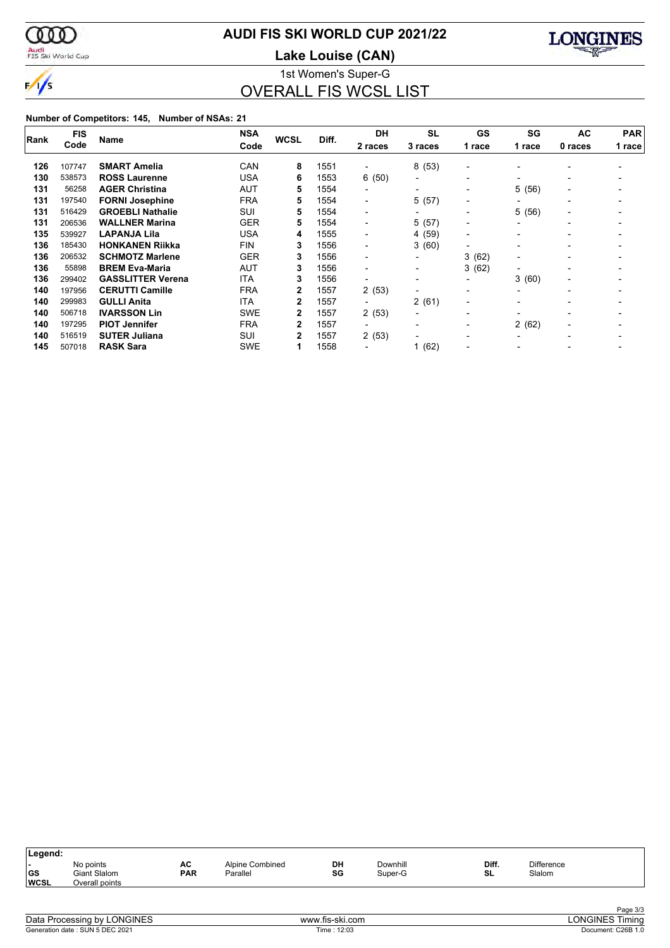

# **AUDI FIS SKI WORLD CUP 2021/22**

Audi<br>FIS Ski World Cup

**Lake Louise (CAN)**



1st Women's Super-G OVERALL FIS WCSL LIST

| Rank | <b>FIS</b> | <b>Name</b>              | <b>NSA</b> | <b>WCSL</b>  | Diff. | <b>DH</b>                | <b>SL</b>                | GS                       | SG                       | <b>AC</b>                | <b>PAR</b><br>1 race |  |
|------|------------|--------------------------|------------|--------------|-------|--------------------------|--------------------------|--------------------------|--------------------------|--------------------------|----------------------|--|
|      | Code       |                          | Code       |              |       | 2 races                  | 3 races                  | 1 race                   | 1 race                   | 0 races                  |                      |  |
| 126  | 107747     | <b>SMART Amelia</b>      | CAN        | 8            | 1551  |                          | 8(53)                    | $\overline{\phantom{a}}$ |                          |                          |                      |  |
| 130  | 538573     | <b>ROSS Laurenne</b>     | <b>USA</b> | 6            | 1553  | 6(50)                    | $\blacksquare$           | $\overline{\phantom{a}}$ |                          |                          |                      |  |
| 131  | 56258      | <b>AGER Christina</b>    | AUT        | 5            | 1554  | $\blacksquare$           | $\overline{\phantom{a}}$ | $\blacksquare$           | 5(56)                    |                          |                      |  |
| 131  | 197540     | <b>FORNI Josephine</b>   | <b>FRA</b> | 5            | 1554  | $\blacksquare$           | 5(57)                    | $\overline{\phantom{0}}$ | $\overline{\phantom{0}}$ | $\overline{\phantom{0}}$ |                      |  |
| 131  | 516429     | <b>GROEBLI Nathalie</b>  | SUI        | 5            | 1554  | $\blacksquare$           | $\overline{\phantom{a}}$ | $\overline{\phantom{0}}$ | 5<br>(56)                | $\overline{\phantom{a}}$ |                      |  |
| 131  | 206536     | <b>WALLNER Marina</b>    | <b>GER</b> | 5            | 1554  | $\blacksquare$           | 5(57)                    | $\overline{\phantom{a}}$ |                          |                          |                      |  |
| 135  | 539927     | <b>LAPANJA Lila</b>      | <b>USA</b> | 4            | 1555  | $\overline{\phantom{a}}$ | 4(59)                    | $\overline{\phantom{0}}$ |                          |                          |                      |  |
| 136  | 185430     | <b>HONKANEN Riikka</b>   | <b>FIN</b> | 3            | 1556  | $\overline{\phantom{0}}$ | 3(60)                    | $\overline{\phantom{0}}$ |                          |                          |                      |  |
| 136  | 206532     | <b>SCHMOTZ Marlene</b>   | <b>GER</b> | 3            | 1556  | $\overline{\phantom{0}}$ | $\overline{\phantom{a}}$ | 3<br>(62)                | $\overline{\phantom{a}}$ |                          |                      |  |
| 136  | 55898      | <b>BREM Eva-Maria</b>    | AUT        | 3            | 1556  | $\overline{\phantom{0}}$ | $\overline{\phantom{a}}$ | 3(62)                    | $\overline{\phantom{a}}$ |                          |                      |  |
| 136  | 299402     | <b>GASSLITTER Verena</b> | <b>ITA</b> | 3            | 1556  | $\blacksquare$           | $\blacksquare$           | $\blacksquare$           | 3(60)                    | $\overline{\phantom{0}}$ |                      |  |
| 140  | 197956     | <b>CERUTTI Camille</b>   | <b>FRA</b> | 2            | 1557  | 2(53)                    | $\blacksquare$           | $\overline{\phantom{0}}$ | $\overline{\phantom{a}}$ | $\overline{\phantom{0}}$ |                      |  |
| 140  | 299983     | <b>GULLI Anita</b>       | <b>ITA</b> | $\mathbf{2}$ | 1557  | $\overline{\phantom{a}}$ | 2(61)                    | $\overline{\phantom{a}}$ |                          |                          |                      |  |
| 140  | 506718     | <b>IVARSSON Lin</b>      | <b>SWE</b> | 2            | 1557  | 2(53)                    | $\overline{\phantom{a}}$ | $\blacksquare$           |                          |                          |                      |  |
| 140  | 197295     | <b>PIOT Jennifer</b>     | <b>FRA</b> | 2            | 1557  | ۰.                       | $\overline{\phantom{a}}$ | $\blacksquare$           | 2(62)                    | $\overline{\phantom{0}}$ |                      |  |
| 140  | 516519     | <b>SUTER Juliana</b>     | SUI        | 2            | 1557  | 2(53)                    | $\overline{\phantom{0}}$ | $\overline{\phantom{0}}$ |                          |                          |                      |  |
| 145  | 507018     | <b>RASK Sara</b>         | <b>SWE</b> | 1            | 1558  |                          | 1(62)                    | $\blacksquare$           |                          |                          |                      |  |

| Legend:                  |                                             |                  |                             |          |                     |             |                             |  |
|--------------------------|---------------------------------------------|------------------|-----------------------------|----------|---------------------|-------------|-----------------------------|--|
| <b>GS</b><br><b>WCSL</b> | No points<br>Giant Slalom<br>Overall points | AC<br><b>PAR</b> | Alpine Combined<br>Parallel | DH<br>SG | Downhill<br>Super-G | Diff.<br>SL | <b>Difference</b><br>Slalom |  |
|                          |                                             |                  |                             |          |                     |             |                             |  |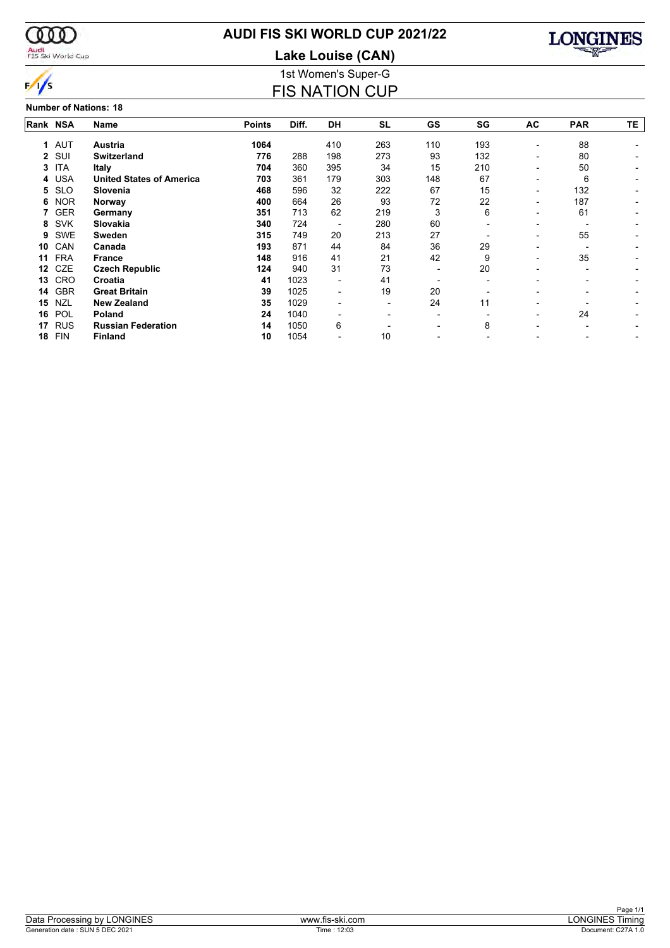

### Audi<br>FIS Ski World Cup

### **AUDI FIS SKI WORLD CUP 2021/22**

1st Women's Super-G **Lake Louise (CAN)**

FIS NATION CUP



#### **Number of Nations: 18**

| Rank NSA         | Name                            | <b>Points</b>  | Diff. | DH                       | <b>SL</b> | GS  | SG  | AC                       | <b>PAR</b>               | TΕ. |
|------------------|---------------------------------|----------------|-------|--------------------------|-----------|-----|-----|--------------------------|--------------------------|-----|
|                  |                                 |                |       |                          |           |     |     |                          |                          |     |
|                  |                                 |                |       |                          |           |     |     | ٠                        |                          |     |
| SUI<br>2         | <b>Switzerland</b>              | 776            | 288   | 198                      | 273       | 93  | 132 | $\overline{\phantom{0}}$ | 80                       |     |
| <b>ITA</b>       | <b>Italy</b>                    | 704            | 360   | 395                      | 34        | 15  | 210 | -                        | 50                       |     |
| <b>USA</b><br>4  | <b>United States of America</b> | 703            | 361   | 179                      | 303       | 148 | 67  | $\overline{\phantom{0}}$ | 6                        |     |
| <b>SLO</b><br>5  | Slovenia                        | 468            | 596   | 32                       | 222       | 67  | 15  | $\overline{\phantom{0}}$ | 132                      |     |
| <b>NOR</b>       | Norway                          | 400            | 664   | 26                       | 93        | 72  | 22  | $\overline{\phantom{0}}$ | 187                      |     |
| <b>GER</b><br>7  | Germany                         | 351            | 713   | 62                       | 219       | 3   | 6   | ٠                        | 61                       |     |
| <b>SVK</b>       | Slovakia                        | 340            | 724   |                          | 280       | 60  |     | -                        |                          |     |
| SWE              | Sweden                          | 315            | 749   | 20                       | 213       | 27  |     | $\overline{\phantom{0}}$ | 55                       |     |
| CAN              | Canada                          | 193            | 871   | 44                       | 84        | 36  | 29  |                          |                          |     |
| <b>FRA</b>       | <b>France</b>                   | 148            | 916   | 41                       | 21        | 42  | 9   | -                        | 35                       |     |
| CZE              | <b>Czech Republic</b>           | 124            | 940   | 31                       | 73        | -   | 20  | -                        | $\overline{\phantom{0}}$ |     |
| CRO              | Croatia                         | 41             | 1023  | $\overline{\phantom{a}}$ | 41        |     |     |                          |                          |     |
| <b>GBR</b><br>14 | <b>Great Britain</b>            | 39             | 1025  | $\overline{\phantom{a}}$ | 19        | 20  |     |                          |                          |     |
| <b>NZL</b>       | <b>New Zealand</b>              | 35             | 1029  |                          | -         | 24  | 11  |                          |                          |     |
| POL              | <b>Poland</b>                   | 24             | 1040  |                          |           |     |     | -                        | 24                       |     |
| <b>RUS</b>       | <b>Russian Federation</b>       | 14             | 1050  | 6                        |           |     | 8   |                          |                          |     |
| <b>FIN</b>       | <b>Finland</b>                  | 10             | 1054  |                          | 10        |     |     |                          |                          |     |
|                  | <b>AUT</b><br>1.                | <b>Austria</b> | 1064  |                          | 410       | 263 | 110 | 193                      |                          | 88  |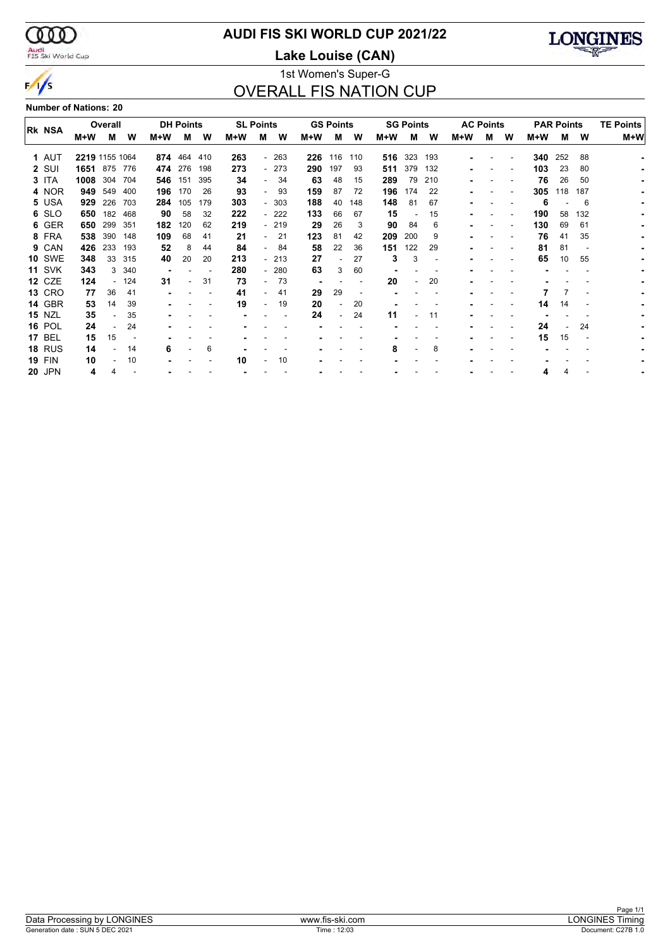$\infty$ Audi<br>FIS Ski World Cup

 $\frac{1}{s}$ 

# **AUDI FIS SKI WORLD CUP 2021/22**

**Lake Louise (CAN)**



### 1st Women's Super-G OVERALL FIS NATION CUP

**Number of Nations: 20**

|               |                | Overall |      |     | <b>DH Points</b> |     |     | <b>SL Points</b> |        |     | <b>GS Points</b> |     |     | <b>SG Points</b> |     |     | <b>AC Points</b> |   |       | <b>PAR Points</b> | <b>TE Points</b> |     |
|---------------|----------------|---------|------|-----|------------------|-----|-----|------------------|--------|-----|------------------|-----|-----|------------------|-----|-----|------------------|---|-------|-------------------|------------------|-----|
| <b>RK NSA</b> |                |         |      |     |                  |     |     |                  |        |     |                  |     |     |                  |     |     |                  |   |       |                   |                  |     |
|               | M+W            | м       | W    | M+W | M                | W   | M+W | м                | W      | M+W | м                | W   | M+W | M                | w   | M+W | м                | W | $M+W$ | М                 | W                | M+W |
| 1 AUT         | 2219 1155 1064 |         |      | 874 | 464              | 410 | 263 |                  | $-263$ | 226 | 116              | 110 | 516 | 323              | 193 |     |                  |   | 340   | 252               | 88               |     |
| 2 SUI         | 1651           | 875     | 776  | 474 | 276              | 198 | 273 |                  | $-273$ | 290 | 197              | 93  | 511 | 379              | 132 |     |                  |   | 103   | 23                | 80               |     |
| 3 ITA         | 1008           | 304     | 704  | 546 | 151              | 395 | 34  |                  | 34     | 63  | 48               | 15  | 289 | 79               | 210 |     |                  |   | 76    | 26                | 50               |     |
| 4 NOR         | 949            | 549     | 400  | 196 | 170              | 26  | 93  |                  | 93     | 159 | 87               | 72  | 196 | 174              | 22  |     |                  |   | 305   | 118               | 187              |     |
| 5 USA         | 929            | 226     | 703  | 284 | 105              | 179 | 303 |                  | $-303$ | 188 | 40               | 148 | 148 | 81               | 67  |     |                  |   | 6     |                   | 6                |     |
| 6 SLO         | 650            | 182     | 468  | 90  | 58               | 32  | 222 |                  | $-222$ | 133 | 66               | 67  | 15  |                  | 15  |     |                  |   | 190   | 58                | 132              |     |
| 6 GER         | 650            | 299     | -351 | 182 | 120              | 62  | 219 |                  | $-219$ | 29  | 26               | 3   | 90  | 84               | 6   |     |                  |   | 130   | 69                | 61               |     |
| 8 FRA         | 538            | 390     | 148  | 109 | 68               | 41  | 21  |                  | 21     | 123 | 81               | 42  | 209 | 200              | 9   |     |                  |   | 76    | 41                | 35               |     |
| 9 CAN         | 426            | 233     | 193  | 52  | 8                | 44  | 84  | . .              | 84     | 58  | 22               | 36  | 151 | 122              | 29  |     |                  |   | 81    | 81                |                  |     |
| <b>10 SWE</b> | 348            | 33      | 315  | 40  | 20               | 20  | 213 |                  | $-213$ | 27  |                  | 27  | 3   | 3                |     |     |                  |   | 65    | 10                | 55               |     |
| <b>11 SVK</b> | 343            |         | -340 |     |                  |     | 280 |                  | $-280$ | 63  | 3                | 60  |     |                  |     |     |                  |   |       |                   |                  |     |
| <b>12 CZE</b> | 124            |         | 124  | 31  |                  | 31  | 73  |                  | 73     |     |                  |     | 20  |                  | 20  |     |                  |   |       |                   |                  |     |
| <b>13 CRO</b> | 77             | 36      | -41  |     |                  |     | 41  |                  | 41     | 29  | 29               |     |     |                  |     |     |                  |   |       |                   |                  |     |
| <b>14 GBR</b> | 53             | 14      | 39   |     |                  |     | 19  |                  | 19     | 20  | $\blacksquare$   | 20  |     |                  |     |     |                  |   | 14    | 14                |                  |     |
| <b>15 NZL</b> | 35             |         | 35   |     |                  |     |     |                  |        | 24  |                  | 24  | 11  |                  | 11  |     |                  |   |       |                   |                  |     |
| <b>16 POL</b> | 24             |         | 24   |     |                  |     |     |                  |        |     |                  |     |     |                  |     |     |                  |   | 24    |                   | 24               |     |
| <b>17 BEL</b> | 15             | 15      |      |     |                  |     |     |                  |        |     |                  |     |     |                  |     |     |                  |   | 15    | 15                |                  |     |
| <b>18 RUS</b> | 14             |         | 14   | 6   |                  | 6   |     |                  |        |     |                  |     | 8   |                  | 8   |     |                  |   |       |                   |                  |     |
| <b>19 FIN</b> | 10             |         | 10   |     |                  |     | 10  |                  | 10     |     |                  |     |     |                  |     |     |                  |   |       |                   |                  |     |
|               |                |         |      |     |                  |     |     |                  |        |     |                  |     |     |                  |     |     |                  |   |       |                   |                  |     |
| <b>20 JPN</b> | 4              |         |      |     |                  |     |     |                  |        |     |                  |     |     |                  |     |     |                  |   | 4     | 4                 |                  |     |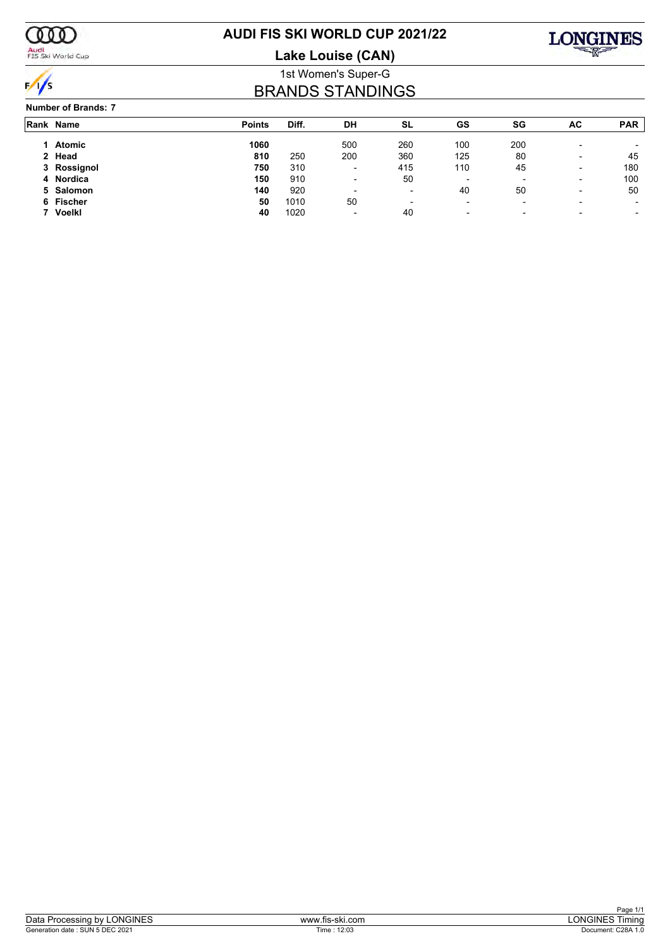

Audi<br>FIS Ski World Cup

# **AUDI FIS SKI WORLD CUP 2021/22**

**Lake Louise (CAN)**



### 1st Women's Super-G BRANDS STANDINGS

#### **Number of Brands: 7**

| Rank Name   | <b>Points</b> | Diff. | DH                       | <b>SL</b>                | GS                       | SG                       | AC                       | <b>PAR</b> |
|-------------|---------------|-------|--------------------------|--------------------------|--------------------------|--------------------------|--------------------------|------------|
| Atomic      | 1060          |       | 500                      | 260                      | 100                      | 200                      | $\overline{\phantom{0}}$ |            |
| 2 Head      | 810           | 250   | 200                      | 360                      | 125                      | 80                       | $\overline{\phantom{0}}$ | 45         |
| 3 Rossignol | 750           | 310   | $\overline{\phantom{0}}$ | 415                      | 110                      | 45                       | $\overline{\phantom{0}}$ | 180        |
| 4 Nordica   | 150           | 910   | $\overline{\phantom{0}}$ | 50                       | $\overline{\phantom{0}}$ | $\overline{\phantom{0}}$ | $\overline{\phantom{0}}$ | 100        |
| 5 Salomon   | 140           | 920   | $\overline{\phantom{0}}$ | $\overline{\phantom{a}}$ | 40                       | 50                       | $\overline{\phantom{a}}$ | 50         |
| 6 Fischer   | 50            | 1010  | 50                       | $\overline{\phantom{a}}$ | $\blacksquare$           | $\overline{\phantom{0}}$ | $\overline{\phantom{0}}$ |            |
| Voelkl      | 40            | 1020  | $\sim$                   | 40                       | $\overline{\phantom{a}}$ | $\overline{\phantom{0}}$ | $\overline{\phantom{0}}$ |            |